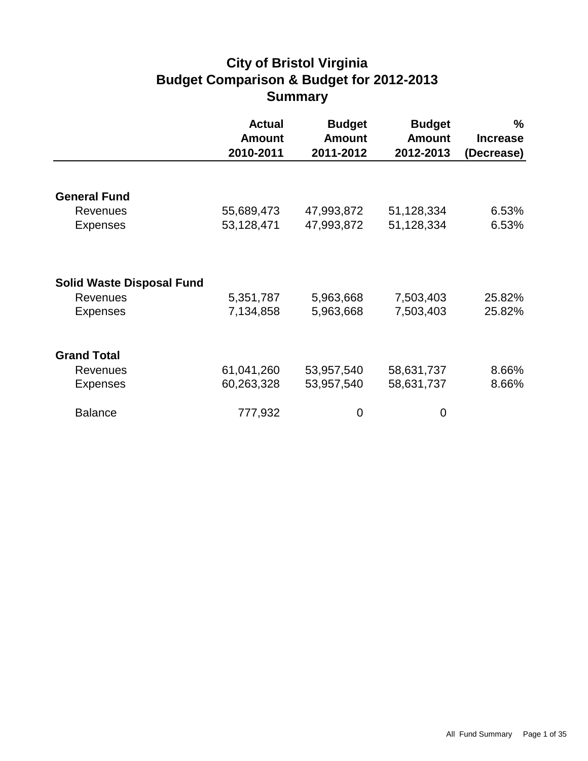# **City of Bristol Virginia Budget Comparison & Budget for 2012-2013 Summary**

|                                  | <b>Actual</b><br><b>Amount</b><br>2010-2011 | <b>Budget</b><br><b>Amount</b><br>2011-2012 | <b>Budget</b><br><b>Amount</b><br>2012-2013 | $\%$<br><b>Increase</b><br>(Decrease) |
|----------------------------------|---------------------------------------------|---------------------------------------------|---------------------------------------------|---------------------------------------|
|                                  |                                             |                                             |                                             |                                       |
| <b>General Fund</b>              |                                             |                                             |                                             |                                       |
| <b>Revenues</b>                  | 55,689,473                                  | 47,993,872                                  | 51,128,334                                  | 6.53%                                 |
| <b>Expenses</b>                  | 53,128,471                                  | 47,993,872                                  | 51,128,334                                  | 6.53%                                 |
|                                  |                                             |                                             |                                             |                                       |
| <b>Solid Waste Disposal Fund</b> |                                             |                                             |                                             |                                       |
| <b>Revenues</b>                  | 5,351,787                                   | 5,963,668                                   | 7,503,403                                   | 25.82%                                |
| <b>Expenses</b>                  | 7,134,858                                   | 5,963,668                                   | 7,503,403                                   | 25.82%                                |
|                                  |                                             |                                             |                                             |                                       |
| <b>Grand Total</b>               |                                             |                                             |                                             |                                       |
| <b>Revenues</b>                  | 61,041,260                                  | 53,957,540                                  | 58,631,737                                  | 8.66%                                 |
| <b>Expenses</b>                  | 60,263,328                                  | 53,957,540                                  | 58,631,737                                  | 8.66%                                 |
| <b>Balance</b>                   | 777,932                                     | 0                                           | 0                                           |                                       |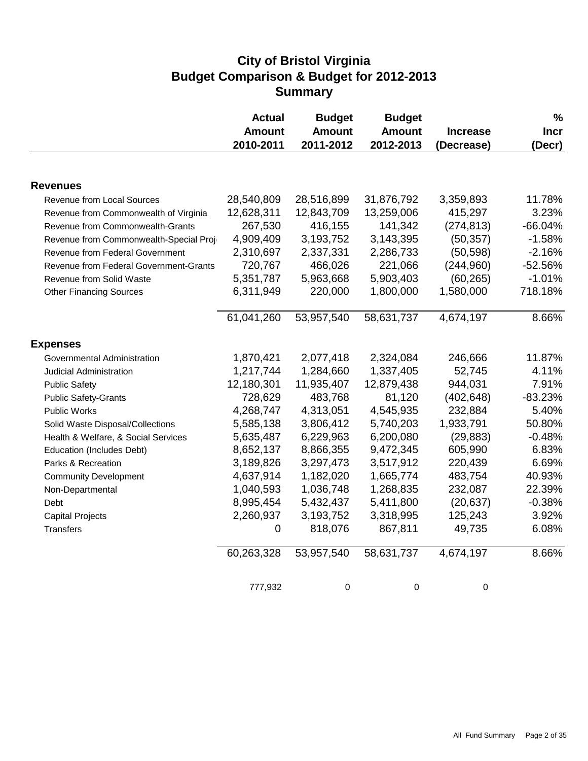### **City of Bristol Virginia Budget Comparison & Budget for 2012-2013 Summary**

|                                        | <b>Actual</b><br><b>Amount</b><br>2010-2011 | <b>Budget</b><br><b>Amount</b><br>2011-2012 | <b>Budget</b><br><b>Amount</b><br>2012-2013 | <b>Increase</b><br>(Decrease) | $\%$<br><b>Incr</b><br>(Decr) |
|----------------------------------------|---------------------------------------------|---------------------------------------------|---------------------------------------------|-------------------------------|-------------------------------|
|                                        |                                             |                                             |                                             |                               |                               |
| <b>Revenues</b>                        |                                             |                                             |                                             |                               |                               |
| Revenue from Local Sources             | 28,540,809                                  | 28,516,899                                  | 31,876,792                                  | 3,359,893                     | 11.78%                        |
| Revenue from Commonwealth of Virginia  | 12,628,311                                  | 12,843,709                                  | 13,259,006                                  | 415,297                       | 3.23%                         |
| Revenue from Commonwealth-Grants       | 267,530                                     | 416,155                                     | 141,342                                     | (274, 813)                    | $-66.04%$                     |
| Revenue from Commonwealth-Special Proj | 4,909,409                                   | 3,193,752                                   | 3,143,395                                   | (50, 357)                     | $-1.58%$                      |
| Revenue from Federal Government        | 2,310,697                                   | 2,337,331                                   | 2,286,733                                   | (50, 598)                     | $-2.16%$                      |
| Revenue from Federal Government-Grants | 720,767                                     | 466,026                                     | 221,066                                     | (244,960)                     | $-52.56%$                     |
| Revenue from Solid Waste               | 5,351,787                                   | 5,963,668                                   | 5,903,403                                   | (60, 265)                     | $-1.01%$                      |
| <b>Other Financing Sources</b>         | 6,311,949                                   | 220,000                                     | 1,800,000                                   | 1,580,000                     | 718.18%                       |
|                                        | 61,041,260                                  | 53,957,540                                  | 58,631,737                                  | 4,674,197                     | 8.66%                         |
| <b>Expenses</b>                        |                                             |                                             |                                             |                               |                               |
| Governmental Administration            | 1,870,421                                   | 2,077,418                                   | 2,324,084                                   | 246,666                       | 11.87%                        |
| Judicial Administration                | 1,217,744                                   | 1,284,660                                   | 1,337,405                                   | 52,745                        | 4.11%                         |
| <b>Public Safety</b>                   | 12,180,301                                  | 11,935,407                                  | 12,879,438                                  | 944,031                       | 7.91%                         |
| <b>Public Safety-Grants</b>            | 728,629                                     | 483,768                                     | 81,120                                      | (402, 648)                    | $-83.23%$                     |
| Public Works                           | 4,268,747                                   | 4,313,051                                   | 4,545,935                                   | 232,884                       | 5.40%                         |
| Solid Waste Disposal/Collections       | 5,585,138                                   | 3,806,412                                   | 5,740,203                                   | 1,933,791                     | 50.80%                        |
| Health & Welfare, & Social Services    | 5,635,487                                   | 6,229,963                                   | 6,200,080                                   | (29, 883)                     | $-0.48%$                      |
| Education (Includes Debt)              | 8,652,137                                   | 8,866,355                                   | 9,472,345                                   | 605,990                       | 6.83%                         |
| Parks & Recreation                     | 3,189,826                                   | 3,297,473                                   | 3,517,912                                   | 220,439                       | 6.69%                         |
| <b>Community Development</b>           | 4,637,914                                   | 1,182,020                                   | 1,665,774                                   | 483,754                       | 40.93%                        |
| Non-Departmental                       | 1,040,593                                   | 1,036,748                                   | 1,268,835                                   | 232,087                       | 22.39%                        |
| Debt                                   | 8,995,454                                   | 5,432,437                                   | 5,411,800                                   | (20, 637)                     | $-0.38%$                      |
| <b>Capital Projects</b>                | 2,260,937                                   | 3,193,752                                   | 3,318,995                                   | 125,243                       | 3.92%                         |
| <b>Transfers</b>                       | 0                                           | 818,076                                     | 867,811                                     | 49,735                        | 6.08%                         |
|                                        | 60,263,328                                  | 53,957,540                                  | 58,631,737                                  | 4,674,197                     | 8.66%                         |
|                                        | 777,932                                     | 0                                           | 0                                           | 0                             |                               |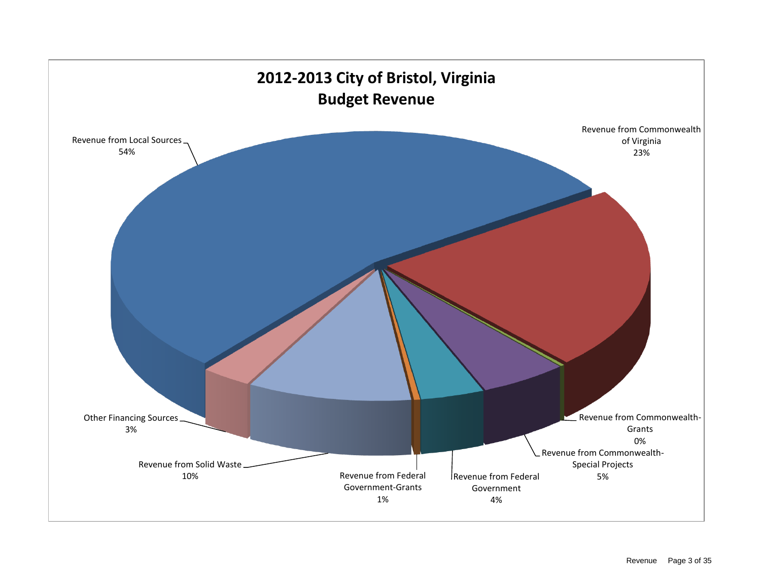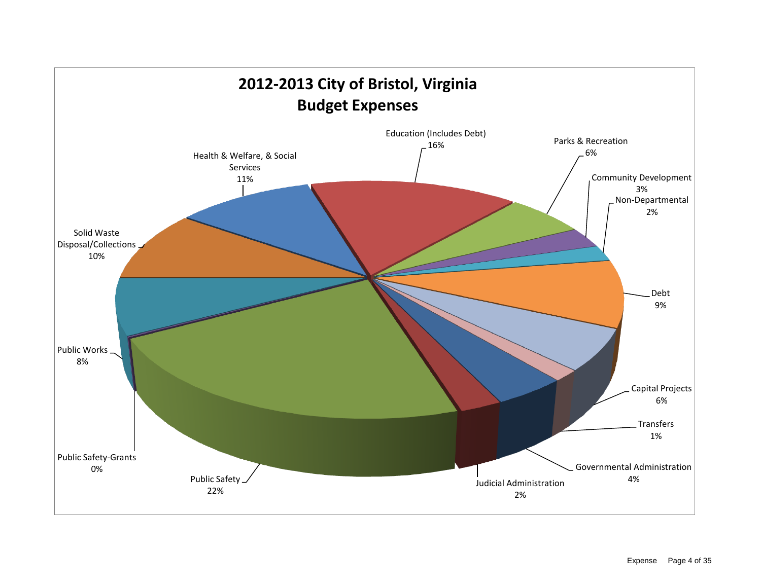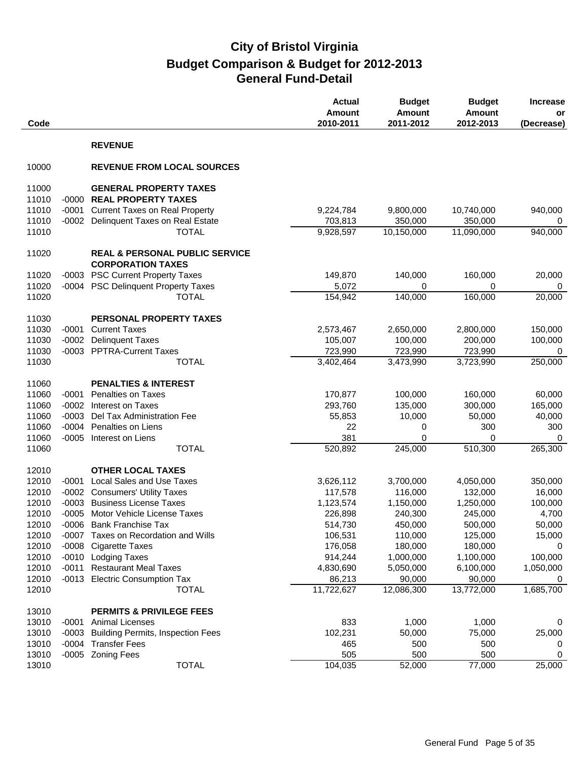| Code           |                |                                                                       | <b>Actual</b><br>Amount<br>2010-2011 | <b>Budget</b><br><b>Amount</b><br>2011-2012 | <b>Budget</b><br><b>Amount</b><br>2012-2013 | <b>Increase</b><br>or<br>(Decrease) |
|----------------|----------------|-----------------------------------------------------------------------|--------------------------------------|---------------------------------------------|---------------------------------------------|-------------------------------------|
|                |                | <b>REVENUE</b>                                                        |                                      |                                             |                                             |                                     |
| 10000          |                | <b>REVENUE FROM LOCAL SOURCES</b>                                     |                                      |                                             |                                             |                                     |
| 11000          |                | <b>GENERAL PROPERTY TAXES</b>                                         |                                      |                                             |                                             |                                     |
| 11010          | $-0000$        | <b>REAL PROPERTY TAXES</b>                                            |                                      |                                             |                                             |                                     |
| 11010          | $-0001$        | <b>Current Taxes on Real Property</b>                                 | 9,224,784                            | 9,800,000                                   | 10,740,000                                  | 940,000                             |
| 11010          | $-0002$        | Delinquent Taxes on Real Estate                                       | 703,813                              | 350,000                                     | 350,000                                     | 0                                   |
| 11010          |                | <b>TOTAL</b>                                                          | 9,928,597                            | 10,150,000                                  | 11,090,000                                  | 940,000                             |
| 11020          |                | <b>REAL &amp; PERSONAL PUBLIC SERVICE</b><br><b>CORPORATION TAXES</b> |                                      |                                             |                                             |                                     |
| 11020          | $-0003$        | <b>PSC Current Property Taxes</b>                                     | 149,870                              | 140,000                                     | 160,000                                     | 20,000                              |
| 11020          |                | -0004 PSC Delinquent Property Taxes                                   | 5,072                                | 0                                           | 0                                           | 0                                   |
| 11020          |                | <b>TOTAL</b>                                                          | 154,942                              | 140,000                                     | 160,000                                     | 20,000                              |
|                |                |                                                                       |                                      |                                             |                                             |                                     |
| 11030          |                | PERSONAL PROPERTY TAXES                                               |                                      |                                             |                                             |                                     |
| 11030          | $-0001$        | <b>Current Taxes</b>                                                  | 2,573,467                            | 2,650,000                                   | 2,800,000                                   | 150,000                             |
| 11030          | $-0002$        | <b>Delinquent Taxes</b>                                               | 105,007                              | 100,000                                     | 200,000                                     | 100,000                             |
| 11030          |                | -0003 PPTRA-Current Taxes                                             | 723,990                              | 723,990                                     | 723,990                                     | 0                                   |
| 11030          |                | <b>TOTAL</b>                                                          | 3,402,464                            | 3,473,990                                   | 3,723,990                                   | 250,000                             |
| 11060          |                | <b>PENALTIES &amp; INTEREST</b>                                       |                                      |                                             |                                             |                                     |
| 11060          | $-0001$        | <b>Penalties on Taxes</b>                                             | 170,877                              | 100,000                                     | 160,000                                     | 60,000                              |
| 11060          | $-0002$        | Interest on Taxes                                                     | 293,760                              | 135,000                                     | 300,000                                     | 165,000                             |
| 11060          | $-0003$        | Del Tax Administration Fee                                            | 55,853                               | 10,000                                      | 50,000                                      | 40,000                              |
| 11060          | $-0004$        | Penalties on Liens                                                    | 22                                   | 0                                           | 300                                         | 300                                 |
| 11060          | $-0005$        | Interest on Liens                                                     | 381                                  | 0                                           | 0                                           | 0                                   |
| 11060          |                | <b>TOTAL</b>                                                          | 520,892                              | 245,000                                     | 510,300                                     | 265,300                             |
|                |                | <b>OTHER LOCAL TAXES</b>                                              |                                      |                                             |                                             |                                     |
| 12010<br>12010 | $-0001$        | <b>Local Sales and Use Taxes</b>                                      | 3,626,112                            | 3,700,000                                   | 4,050,000                                   | 350,000                             |
| 12010          |                | -0002 Consumers' Utility Taxes                                        | 117,578                              | 116,000                                     | 132,000                                     | 16,000                              |
| 12010          | $-0003$        | <b>Business License Taxes</b>                                         | 1,123,574                            | 1,150,000                                   | 1,250,000                                   | 100,000                             |
| 12010          |                | -0005 Motor Vehicle License Taxes                                     | 226,898                              | 240,300                                     | 245,000                                     | 4,700                               |
| 12010          |                | -0006 Bank Franchise Tax                                              | 514,730                              | 450,000                                     | 500,000                                     | 50,000                              |
| 12010          |                | -0007 Taxes on Recordation and Wills                                  | 106,531                              | 110,000                                     | 125,000                                     | 15,000                              |
| 12010          |                | -0008 Cigarette Taxes                                                 | 176,058                              | 180,000                                     | 180,000                                     | $\mathbf 0$                         |
| 12010          |                | -0010 Lodging Taxes                                                   | 914,244                              | 1,000,000                                   | 1,100,000                                   | 100,000                             |
| 12010          |                | -0011 Restaurant Meal Taxes                                           | 4,830,690                            | 5,050,000                                   | 6,100,000                                   | 1,050,000                           |
| 12010          |                | -0013 Electric Consumption Tax                                        | 86,213                               | 90,000                                      | 90,000                                      | 0                                   |
| 12010          |                | <b>TOTAL</b>                                                          | 11,722,627                           | 12,086,300                                  | 13,772,000                                  | 1,685,700                           |
|                |                |                                                                       |                                      |                                             |                                             |                                     |
| 13010          |                | <b>PERMITS &amp; PRIVILEGE FEES</b>                                   |                                      |                                             |                                             |                                     |
| 13010<br>13010 | -0001<br>-0003 | <b>Animal Licenses</b><br><b>Building Permits, Inspection Fees</b>    | 833<br>102,231                       | 1,000<br>50,000                             | 1,000<br>75,000                             | 0<br>25,000                         |
| 13010          |                | -0004 Transfer Fees                                                   | 465                                  | 500                                         | 500                                         | 0                                   |
| 13010          |                | -0005 Zoning Fees                                                     | 505                                  | 500                                         | 500                                         | 0                                   |
| 13010          |                | <b>TOTAL</b>                                                          | 104,035                              | 52,000                                      | 77,000                                      | 25,000                              |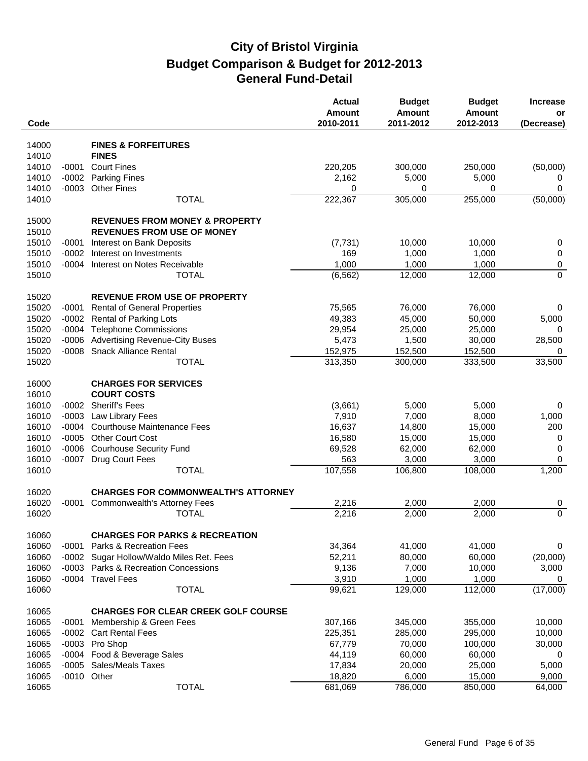| Code  |         |                                            | <b>Actual</b><br><b>Amount</b><br>2010-2011 | <b>Budget</b><br><b>Amount</b><br>2011-2012 | <b>Budget</b><br>Amount<br>2012-2013 | <b>Increase</b><br>or<br>(Decrease) |
|-------|---------|--------------------------------------------|---------------------------------------------|---------------------------------------------|--------------------------------------|-------------------------------------|
|       |         |                                            |                                             |                                             |                                      |                                     |
| 14000 |         | <b>FINES &amp; FORFEITURES</b>             |                                             |                                             |                                      |                                     |
| 14010 |         | <b>FINES</b>                               |                                             |                                             |                                      |                                     |
| 14010 | $-0001$ | <b>Court Fines</b>                         | 220,205                                     | 300,000                                     | 250,000                              | (50,000)                            |
| 14010 | $-0002$ | <b>Parking Fines</b>                       | 2,162                                       | 5,000                                       | 5,000                                | 0                                   |
| 14010 | $-0003$ | <b>Other Fines</b>                         | 0                                           | 0                                           | 0                                    | $\mathbf 0$                         |
| 14010 |         | <b>TOTAL</b>                               | 222,367                                     | 305,000                                     | 255,000                              | (50,000)                            |
| 15000 |         | <b>REVENUES FROM MONEY &amp; PROPERTY</b>  |                                             |                                             |                                      |                                     |
| 15010 |         | <b>REVENUES FROM USE OF MONEY</b>          |                                             |                                             |                                      |                                     |
| 15010 | $-0001$ | Interest on Bank Deposits                  | (7, 731)                                    | 10,000                                      | 10,000                               | 0                                   |
| 15010 | $-0002$ | Interest on Investments                    | 169                                         | 1,000                                       | 1,000                                | 0                                   |
| 15010 | $-0004$ | Interest on Notes Receivable               | 1,000                                       | 1,000                                       | 1,000                                | 0                                   |
| 15010 |         | <b>TOTAL</b>                               | (6, 562)                                    | 12,000                                      | 12,000                               | $\overline{0}$                      |
|       |         |                                            |                                             |                                             |                                      |                                     |
| 15020 |         | <b>REVENUE FROM USE OF PROPERTY</b>        |                                             |                                             |                                      |                                     |
| 15020 | $-0001$ | <b>Rental of General Properties</b>        | 75,565                                      | 76,000                                      | 76,000                               | 0                                   |
| 15020 | $-0002$ | <b>Rental of Parking Lots</b>              | 49,383                                      | 45,000                                      | 50,000                               | 5,000                               |
| 15020 |         | -0004 Telephone Commissions                | 29,954                                      | 25,000                                      | 25,000                               | 0                                   |
| 15020 | $-0006$ | <b>Advertising Revenue-City Buses</b>      | 5,473                                       | 1,500                                       | 30,000                               | 28,500                              |
| 15020 | $-0008$ | <b>Snack Alliance Rental</b>               | 152,975                                     | 152,500                                     | 152,500                              | 0                                   |
| 15020 |         | <b>TOTAL</b>                               | 313,350                                     | 300,000                                     | 333,500                              | 33,500                              |
|       |         |                                            |                                             |                                             |                                      |                                     |
| 16000 |         | <b>CHARGES FOR SERVICES</b>                |                                             |                                             |                                      |                                     |
| 16010 |         | <b>COURT COSTS</b>                         |                                             |                                             |                                      |                                     |
| 16010 | $-0002$ | <b>Sheriff's Fees</b>                      | (3,661)                                     | 5,000                                       | 5,000                                | 0                                   |
| 16010 | $-0003$ | Law Library Fees                           | 7,910                                       | 7,000                                       | 8,000                                | 1,000                               |
| 16010 | $-0004$ | <b>Courthouse Maintenance Fees</b>         | 16,637                                      | 14,800                                      | 15,000                               | 200                                 |
| 16010 |         | -0005 Other Court Cost                     | 16,580                                      | 15,000                                      | 15,000                               | 0                                   |
| 16010 | $-0006$ | <b>Courhouse Security Fund</b>             | 69,528                                      | 62,000                                      | 62,000                               | 0                                   |
| 16010 | $-0007$ | Drug Court Fees                            | 563                                         | 3,000                                       | 3,000                                | 0                                   |
| 16010 |         | <b>TOTAL</b>                               | 107,558                                     | 106,800                                     | 108,000                              | 1,200                               |
| 16020 |         | <b>CHARGES FOR COMMONWEALTH'S ATTORNEY</b> |                                             |                                             |                                      |                                     |
| 16020 | $-0001$ | <b>Commonwealth's Attorney Fees</b>        | 2,216                                       | 2,000                                       | 2,000                                | 0                                   |
| 16020 |         | <b>TOTAL</b>                               | 2,216                                       | $\overline{2,000}$                          | 2,000                                | $\overline{0}$                      |
|       |         |                                            |                                             |                                             |                                      |                                     |
| 16060 |         | <b>CHARGES FOR PARKS &amp; RECREATION</b>  |                                             |                                             |                                      |                                     |
| 16060 | $-0001$ | Parks & Recreation Fees                    | 34,364                                      | 41,000                                      | 41,000                               | 0                                   |
| 16060 | $-0002$ | Sugar Hollow/Waldo Miles Ret. Fees         | 52,211                                      | 80,000                                      | 60,000                               | (20,000)                            |
| 16060 | $-0003$ | Parks & Recreation Concessions             | 9,136                                       | 7,000                                       | 10,000                               | 3,000                               |
| 16060 |         | -0004 Travel Fees                          | 3,910                                       | 1,000                                       | 1,000                                | 0                                   |
| 16060 |         | <b>TOTAL</b>                               | 99,621                                      | 129,000                                     | 112,000                              | (17,000)                            |
|       |         |                                            |                                             |                                             |                                      |                                     |
| 16065 |         | <b>CHARGES FOR CLEAR CREEK GOLF COURSE</b> |                                             |                                             |                                      |                                     |
| 16065 | $-0001$ | Membership & Green Fees                    | 307,166                                     | 345,000                                     | 355,000                              | 10,000                              |
| 16065 | $-0002$ | <b>Cart Rental Fees</b>                    | 225,351                                     | 285,000                                     | 295,000                              | 10,000                              |
| 16065 |         | -0003 Pro Shop                             | 67,779                                      | 70,000                                      | 100,000                              | 30,000                              |
| 16065 | $-0004$ | Food & Beverage Sales                      | 44,119                                      | 60,000                                      | 60,000                               | 0                                   |
| 16065 | $-0005$ | <b>Sales/Meals Taxes</b>                   | 17,834                                      | 20,000                                      | 25,000                               | 5,000                               |
| 16065 |         | -0010 Other                                | 18,820                                      | 6,000                                       | 15,000                               | 9,000                               |
| 16065 |         | <b>TOTAL</b>                               | 681,069                                     | 786,000                                     | 850,000                              | 64,000                              |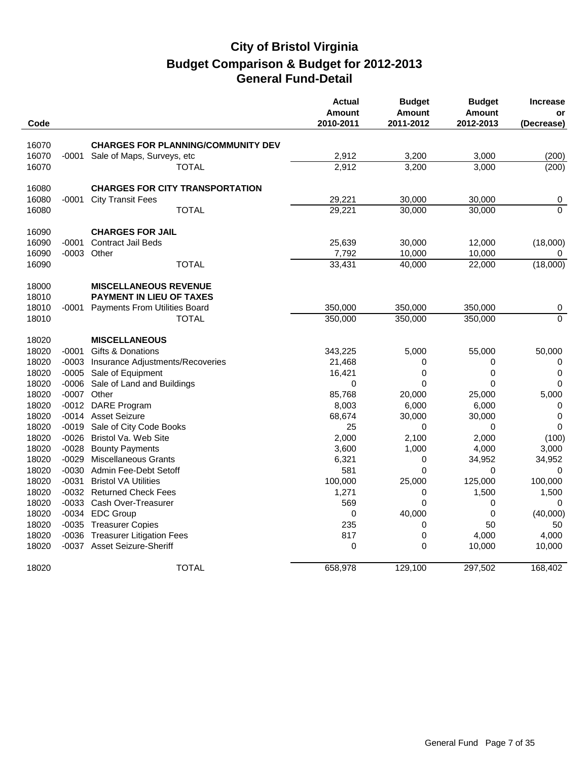| Code  |         |                                           | <b>Actual</b><br><b>Amount</b><br>2010-2011 | <b>Budget</b><br><b>Amount</b><br>2011-2012 | <b>Budget</b><br><b>Amount</b><br>2012-2013 | <b>Increase</b><br>or<br>(Decrease) |
|-------|---------|-------------------------------------------|---------------------------------------------|---------------------------------------------|---------------------------------------------|-------------------------------------|
|       |         |                                           |                                             |                                             |                                             |                                     |
| 16070 |         | <b>CHARGES FOR PLANNING/COMMUNITY DEV</b> |                                             |                                             |                                             |                                     |
| 16070 | -0001   | Sale of Maps, Surveys, etc                | 2,912                                       | 3,200                                       | 3,000                                       | (200)                               |
| 16070 |         | TOTAL                                     | 2,912                                       | 3,200                                       | 3,000                                       | (200)                               |
| 16080 |         | <b>CHARGES FOR CITY TRANSPORTATION</b>    |                                             |                                             |                                             |                                     |
| 16080 | -0001   | <b>City Transit Fees</b>                  | 29,221                                      | 30,000                                      | 30,000                                      | 0                                   |
| 16080 |         | <b>TOTAL</b>                              | 29,221                                      | 30,000                                      | 30,000                                      | $\overline{0}$                      |
| 16090 |         | <b>CHARGES FOR JAIL</b>                   |                                             |                                             |                                             |                                     |
| 16090 | $-0001$ | <b>Contract Jail Beds</b>                 | 25,639                                      | 30,000                                      | 12,000                                      | (18,000)                            |
| 16090 |         | -0003 Other                               | 7,792                                       | 10,000                                      | 10,000                                      | 0                                   |
| 16090 |         | <b>TOTAL</b>                              | 33,431                                      | 40,000                                      | 22,000                                      | (18,000)                            |
| 18000 |         | <b>MISCELLANEOUS REVENUE</b>              |                                             |                                             |                                             |                                     |
| 18010 |         | <b>PAYMENT IN LIEU OF TAXES</b>           |                                             |                                             |                                             |                                     |
| 18010 | -0001   | <b>Payments From Utilities Board</b>      | 350,000                                     | 350,000                                     | 350,000                                     | 0                                   |
| 18010 |         | TOTAL                                     | 350,000                                     | 350,000                                     | 350,000                                     | $\overline{0}$                      |
| 18020 |         | <b>MISCELLANEOUS</b>                      |                                             |                                             |                                             |                                     |
| 18020 | $-0001$ | Gifts & Donations                         | 343,225                                     | 5,000                                       | 55,000                                      | 50,000                              |
| 18020 | $-0003$ | Insurance Adjustments/Recoveries          | 21,468                                      | 0                                           | 0                                           | 0                                   |
| 18020 | -0005   | Sale of Equipment                         | 16,421                                      | $\mathbf 0$                                 | $\pmb{0}$                                   | $\pmb{0}$                           |
| 18020 | $-0006$ | Sale of Land and Buildings                | $\mathbf 0$                                 | 0                                           | 0                                           | 0                                   |
| 18020 |         | -0007 Other                               | 85,768                                      | 20,000                                      | 25,000                                      | 5,000                               |
| 18020 | $-0012$ | <b>DARE Program</b>                       | 8,003                                       | 6,000                                       | 6,000                                       | 0                                   |
| 18020 |         | -0014 Asset Seizure                       | 68,674                                      | 30,000                                      | 30,000                                      | $\mathbf 0$                         |
| 18020 | $-0019$ | Sale of City Code Books                   | 25                                          | 0                                           | 0                                           | $\mathbf 0$                         |
| 18020 | -0026   | Bristol Va. Web Site                      | 2,000                                       | 2,100                                       | 2,000                                       | (100)                               |
| 18020 | $-0028$ | <b>Bounty Payments</b>                    | 3,600                                       | 1,000                                       | 4,000                                       | 3,000                               |
| 18020 | $-0029$ | <b>Miscellaneous Grants</b>               | 6,321                                       | $\mathbf 0$                                 | 34,952                                      | 34,952                              |
| 18020 | -0030   | Admin Fee-Debt Setoff                     | 581                                         | $\mathbf 0$                                 | 0                                           | 0                                   |
| 18020 | $-0031$ | <b>Bristol VA Utilities</b>               | 100,000                                     | 25,000                                      | 125,000                                     | 100,000                             |
| 18020 |         | -0032 Returned Check Fees                 | 1,271                                       | 0                                           | 1,500                                       | 1,500                               |
| 18020 |         | -0033 Cash Over-Treasurer                 | 569                                         | $\mathbf 0$                                 | 0                                           | 0                                   |
| 18020 |         | -0034 EDC Group                           | $\pmb{0}$                                   | 40,000                                      | $\mathsf 0$                                 | (40,000)                            |
| 18020 |         | -0035 Treasurer Copies                    | 235                                         | 0                                           | 50                                          | 50                                  |
| 18020 |         | -0036 Treasurer Litigation Fees           | 817                                         | $\mathbf 0$                                 | 4,000                                       | 4,000                               |
| 18020 |         | -0037 Asset Seizure-Sheriff               | $\mathbf 0$                                 | $\mathbf 0$                                 | 10,000                                      | 10,000                              |
| 18020 |         | <b>TOTAL</b>                              | 658,978                                     | 129,100                                     | 297,502                                     | 168,402                             |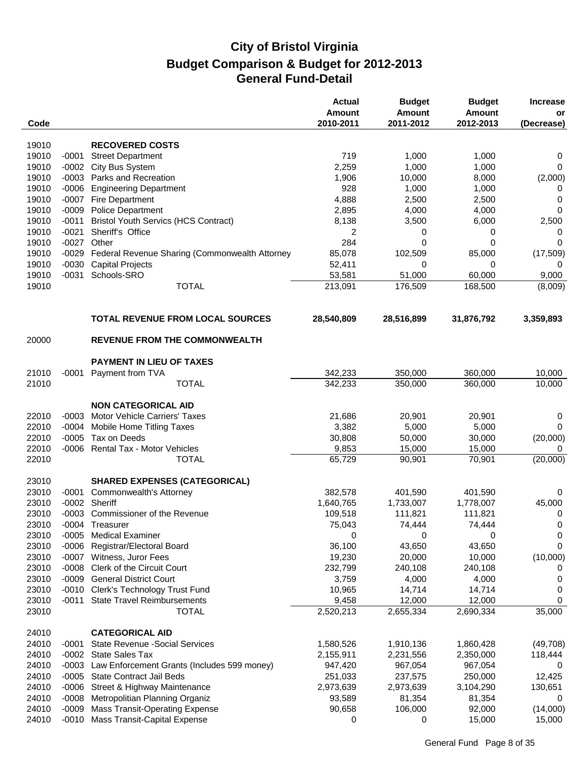| Code           |         |                                                      | <b>Actual</b><br>Amount<br>2010-2011 | <b>Budget</b><br><b>Amount</b><br>2011-2012 | <b>Budget</b><br><b>Amount</b><br>2012-2013 | <b>Increase</b><br>or<br>(Decrease) |
|----------------|---------|------------------------------------------------------|--------------------------------------|---------------------------------------------|---------------------------------------------|-------------------------------------|
|                |         |                                                      |                                      |                                             |                                             |                                     |
| 19010<br>19010 | $-0001$ | <b>RECOVERED COSTS</b>                               | 719                                  | 1,000                                       | 1,000                                       |                                     |
| 19010          | $-0002$ | <b>Street Department</b><br>City Bus System          | 2,259                                | 1,000                                       | 1,000                                       | 0<br>0                              |
| 19010          |         | -0003 Parks and Recreation                           | 1,906                                | 10,000                                      | 8,000                                       | (2,000)                             |
| 19010          | $-0006$ | <b>Engineering Department</b>                        | 928                                  | 1,000                                       | 1,000                                       | 0                                   |
| 19010          | $-0007$ | Fire Department                                      | 4,888                                | 2,500                                       | 2,500                                       | 0                                   |
| 19010          | $-0009$ | <b>Police Department</b>                             | 2,895                                | 4,000                                       | 4,000                                       | 0                                   |
| 19010          | $-0011$ | <b>Bristol Youth Servics (HCS Contract)</b>          | 8,138                                | 3,500                                       | 6,000                                       | 2,500                               |
| 19010          | $-0021$ | Sheriff's Office                                     | 2                                    | 0                                           | 0                                           | 0                                   |
| 19010          |         | -0027 Other                                          | 284                                  | 0                                           | 0                                           | 0                                   |
| 19010          |         | -0029 Federal Revenue Sharing (Commonwealth Attorney | 85,078                               | 102,509                                     | 85,000                                      | (17, 509)                           |
| 19010          | $-0030$ | <b>Capital Projects</b>                              | 52,411                               | 0                                           | 0                                           | 0                                   |
| 19010          | $-0031$ | Schools-SRO                                          | 53,581                               | 51,000                                      | 60,000                                      | 9,000                               |
| 19010          |         | <b>TOTAL</b>                                         | 213,091                              | 176,509                                     | 168,500                                     | (8,009)                             |
|                |         | <b>TOTAL REVENUE FROM LOCAL SOURCES</b>              | 28,540,809                           | 28,516,899                                  | 31,876,792                                  | 3,359,893                           |
| 20000          |         | <b>REVENUE FROM THE COMMONWEALTH</b>                 |                                      |                                             |                                             |                                     |
|                |         |                                                      |                                      |                                             |                                             |                                     |
|                |         | <b>PAYMENT IN LIEU OF TAXES</b>                      |                                      |                                             |                                             |                                     |
| 21010          | $-0001$ | Payment from TVA                                     | 342,233                              | 350,000                                     | 360,000                                     | 10,000                              |
| 21010          |         | <b>TOTAL</b>                                         | 342,233                              | 350,000                                     | 360,000                                     | 10,000                              |
|                |         | <b>NON CATEGORICAL AID</b>                           |                                      |                                             |                                             |                                     |
| 22010          | $-0003$ | <b>Motor Vehicle Carriers' Taxes</b>                 | 21,686                               | 20,901                                      | 20,901                                      | 0                                   |
| 22010          | $-0004$ | Mobile Home Titling Taxes                            | 3,382                                | 5,000                                       | 5,000                                       | 0                                   |
| 22010          | $-0005$ | Tax on Deeds                                         | 30,808                               | 50,000                                      | 30,000                                      | (20,000)                            |
| 22010          |         | -0006 Rental Tax - Motor Vehicles                    | 9,853                                | 15,000                                      | 15,000                                      | 0                                   |
| 22010          |         | <b>TOTAL</b>                                         | 65,729                               | 90,901                                      | 70,901                                      | (20,000)                            |
| 23010          |         | <b>SHARED EXPENSES (CATEGORICAL)</b>                 |                                      |                                             |                                             |                                     |
| 23010          | $-0001$ | Commonwealth's Attorney                              | 382,578                              | 401,590                                     | 401,590                                     | 0                                   |
| 23010          |         | -0002 Sheriff                                        | 1,640,765                            | 1,733,007                                   | 1,778,007                                   | 45,000                              |
| 23010          |         | -0003 Commissioner of the Revenue                    | 109,518                              | 111,821                                     | 111,821                                     | 0                                   |
| 23010          |         | -0004 Treasurer                                      | 75,043                               | 74,444                                      | 74,444                                      | $\Omega$                            |
| 23010          |         | -0005 Medical Examiner                               | 0                                    | 0                                           | 0                                           | 0                                   |
| 23010          | $-0006$ | Registrar/Electoral Board                            | 36,100                               | 43,650                                      | 43,650                                      | 0                                   |
| 23010          | $-0007$ | Witness, Juror Fees                                  | 19,230                               | 20,000                                      | 10,000                                      | (10,000)                            |
| 23010          | $-0008$ | Clerk of the Circuit Court                           | 232,799                              | 240,108                                     | 240,108                                     | 0                                   |
| 23010          |         | -0009 General District Court                         | 3,759                                | 4,000                                       | 4,000                                       | 0                                   |
| 23010          |         | -0010 Clerk's Technology Trust Fund                  | 10,965                               | 14,714                                      | 14,714                                      | 0                                   |
| 23010          | $-0011$ | <b>State Travel Reimbursements</b>                   | 9,458                                | 12,000                                      | 12,000                                      | 0                                   |
| 23010          |         | <b>TOTAL</b>                                         | 2,520,213                            | 2,655,334                                   | 2,690,334                                   | 35,000                              |
| 24010          |         | <b>CATEGORICAL AID</b>                               |                                      |                                             |                                             |                                     |
| 24010          | -0001   | <b>State Revenue - Social Services</b>               | 1,580,526                            | 1,910,136                                   | 1,860,428                                   | (49,708)                            |
| 24010          | $-0002$ | <b>State Sales Tax</b>                               | 2,155,911                            | 2,231,556                                   | 2,350,000                                   | 118,444                             |
| 24010          | $-0003$ | Law Enforcement Grants (Includes 599 money)          | 947,420                              | 967,054                                     | 967,054                                     | 0                                   |
| 24010          | $-0005$ | <b>State Contract Jail Beds</b>                      | 251,033                              | 237,575                                     | 250,000                                     | 12,425                              |
| 24010          | $-0006$ | Street & Highway Maintenance                         | 2,973,639                            | 2,973,639                                   | 3,104,290                                   | 130,651                             |
| 24010          | $-0008$ | Metropolitian Planning Organiz                       | 93,589                               | 81,354                                      | 81,354                                      | 0                                   |
| 24010          | $-0009$ | <b>Mass Transit-Operating Expense</b>                | 90,658                               | 106,000                                     | 92,000                                      | (14,000)                            |
| 24010          |         | -0010 Mass Transit-Capital Expense                   | 0                                    | 0                                           | 15,000                                      | 15,000                              |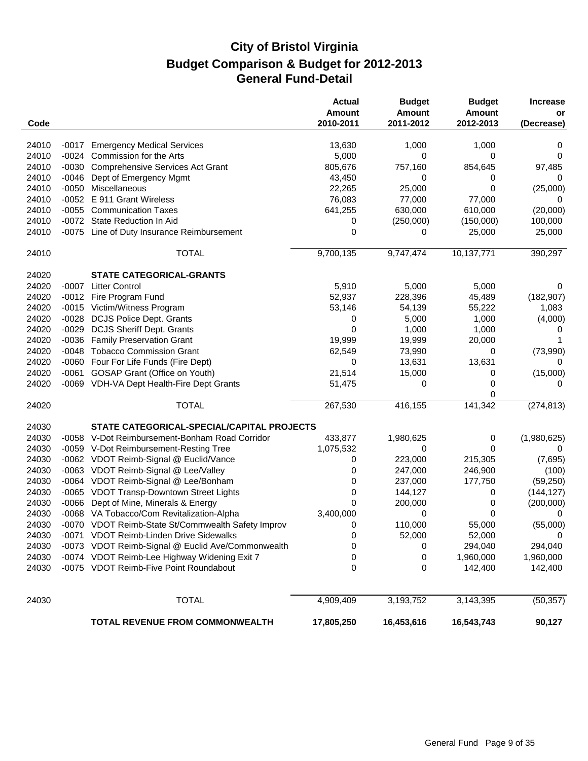|                |         |                                                                                                   | <b>Actual</b><br>Amount | <b>Budget</b><br><b>Amount</b> | <b>Budget</b><br><b>Amount</b> | <b>Increase</b><br>or |
|----------------|---------|---------------------------------------------------------------------------------------------------|-------------------------|--------------------------------|--------------------------------|-----------------------|
| Code           |         |                                                                                                   | 2010-2011               | 2011-2012                      | 2012-2013                      | (Decrease)            |
| 24010          | -0017   | <b>Emergency Medical Services</b>                                                                 | 13,630                  | 1,000                          | 1,000                          | 0                     |
| 24010          |         | -0024 Commission for the Arts                                                                     | 5,000                   | 0                              | 0                              | 0                     |
| 24010          | $-0030$ | <b>Comprehensive Services Act Grant</b>                                                           | 805,676                 | 757,160                        | 854,645                        | 97,485                |
| 24010          | $-0046$ | Dept of Emergency Mgmt                                                                            | 43,450                  | 0                              | 0                              | 0                     |
| 24010          | $-0050$ | Miscellaneous                                                                                     | 22,265                  | 25,000                         | 0                              | (25,000)              |
| 24010          | $-0052$ | E 911 Grant Wireless                                                                              | 76,083                  | 77,000                         | 77,000                         | 0                     |
| 24010          |         | -0055 Communication Taxes                                                                         | 641,255                 | 630,000                        | 610,000                        | (20,000)              |
| 24010          |         | -0072 State Reduction In Aid                                                                      | 0                       | (250,000)                      | (150,000)                      | 100,000               |
| 24010          |         | -0075 Line of Duty Insurance Reimbursement                                                        | 0                       | 0                              | 25,000                         | 25,000                |
| 24010          |         | <b>TOTAL</b>                                                                                      | 9,700,135               | 9,747,474                      | 10,137,771                     | 390,297               |
| 24020          |         | STATE CATEGORICAL-GRANTS                                                                          |                         |                                |                                |                       |
| 24020          | -0007   | <b>Litter Control</b>                                                                             | 5,910                   | 5,000                          | 5,000                          | 0                     |
| 24020          | $-0012$ | Fire Program Fund                                                                                 | 52,937                  | 228,396                        | 45,489                         | (182, 907)            |
| 24020          |         | -0015 Victim/Witness Program                                                                      | 53,146                  | 54,139                         | 55,222                         | 1,083                 |
| 24020          | $-0028$ | <b>DCJS Police Dept. Grants</b>                                                                   | 0                       | 5,000                          | 1,000                          | (4,000)               |
| 24020          | $-0029$ | <b>DCJS Sheriff Dept. Grants</b>                                                                  | 0                       | 1,000                          | 1,000                          | 0                     |
| 24020          | $-0036$ | <b>Family Preservation Grant</b>                                                                  | 19,999                  | 19,999                         | 20,000                         | 1                     |
| 24020          |         | -0048 Tobacco Commission Grant                                                                    | 62,549                  | 73,990                         | 0                              | (73,990)              |
| 24020          |         | -0060 Four For Life Funds (Fire Dept)                                                             | 0                       | 13,631                         | 13,631                         | 0                     |
| 24020          | $-0061$ | GOSAP Grant (Office on Youth)                                                                     | 21,514                  | 15,000                         | 0                              | (15,000)              |
| 24020          |         | -0069 VDH-VA Dept Health-Fire Dept Grants                                                         | 51,475                  | 0                              | 0                              | 0                     |
|                |         |                                                                                                   |                         |                                | 0                              |                       |
| 24020          |         | <b>TOTAL</b>                                                                                      | 267,530                 | 416,155                        | 141,342                        | (274, 813)            |
| 24030          |         | STATE CATEGORICAL-SPECIAL/CAPITAL PROJECTS                                                        |                         |                                |                                |                       |
| 24030          |         | -0058 V-Dot Reimbursement-Bonham Road Corridor                                                    | 433,877                 | 1,980,625                      | 0                              | (1,980,625)           |
| 24030          |         | -0059 V-Dot Reimbursement-Resting Tree                                                            | 1,075,532               | 0                              | 0                              | 0                     |
| 24030          |         | -0062 VDOT Reimb-Signal @ Euclid/Vance                                                            | 0                       | 223,000                        | 215,305                        | (7,695)               |
| 24030          |         | -0063 VDOT Reimb-Signal @ Lee/Valley                                                              | 0                       | 247,000                        | 246,900                        | (100)                 |
| 24030          |         | -0064 VDOT Reimb-Signal @ Lee/Bonham                                                              | 0                       | 237,000                        | 177,750                        | (59, 250)             |
| 24030          |         | -0065 VDOT Transp-Downtown Street Lights                                                          | 0                       | 144,127                        | 0                              | (144, 127)            |
| 24030          | $-0066$ | Dept of Mine, Minerals & Energy                                                                   | $\mathbf{0}$            | 200,000                        | 0                              | (200,000)             |
| 24030          |         | -0068 VA Tobacco/Com Revitalization-Alpha                                                         | 3,400,000               | 0                              | 0                              | 0                     |
| 24030          |         | -0070 VDOT Reimb-State St/Commwealth Safety Improv                                                | 0                       | 110,000                        | 55,000                         | (55,000)              |
| 24030          |         | -0071 VDOT Reimb-Linden Drive Sidewalks                                                           | 0                       | 52,000                         | 52,000                         | 0                     |
| 24030<br>24030 |         | -0073 VDOT Reimb-Signal @ Euclid Ave/Commonwealth<br>-0074 VDOT Reimb-Lee Highway Widening Exit 7 | 0<br>0                  | 0                              | 294,040                        | 294,040               |
| 24030          |         | -0075 VDOT Reimb-Five Point Roundabout                                                            | 0                       | 0<br>0                         | 1,960,000                      | 1,960,000             |
|                |         |                                                                                                   |                         |                                | 142,400                        | 142,400               |
| 24030          |         | <b>TOTAL</b>                                                                                      | 4,909,409               | 3,193,752                      | 3,143,395                      | (50, 357)             |
|                |         | <b>TOTAL REVENUE FROM COMMONWEALTH</b>                                                            | 17,805,250              | 16,453,616                     | 16,543,743                     | 90,127                |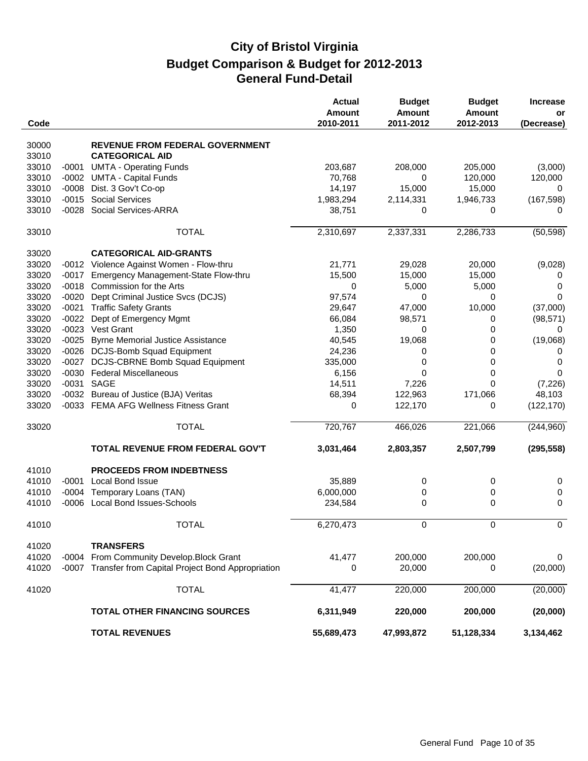|       |         |                                                        | <b>Actual</b><br><b>Amount</b> | <b>Budget</b><br><b>Amount</b> | <b>Budget</b><br><b>Amount</b> | <b>Increase</b><br>or |
|-------|---------|--------------------------------------------------------|--------------------------------|--------------------------------|--------------------------------|-----------------------|
| Code  |         |                                                        | 2010-2011                      | 2011-2012                      | 2012-2013                      | (Decrease)            |
| 30000 |         | REVENUE FROM FEDERAL GOVERNMENT                        |                                |                                |                                |                       |
| 33010 |         | <b>CATEGORICAL AID</b>                                 |                                |                                |                                |                       |
| 33010 | $-0001$ | <b>UMTA - Operating Funds</b>                          | 203,687                        | 208,000                        | 205,000                        | (3,000)               |
| 33010 |         | -0002 UMTA - Capital Funds                             | 70,768                         | 0                              | 120,000                        | 120,000               |
| 33010 | $-0008$ | Dist. 3 Gov't Co-op                                    | 14,197                         | 15,000                         | 15,000                         | 0                     |
| 33010 | $-0015$ | <b>Social Services</b>                                 | 1,983,294                      | 2,114,331                      | 1,946,733                      | (167, 598)            |
| 33010 |         | -0028 Social Services-ARRA                             | 38,751                         | 0                              | 0                              | 0                     |
| 33010 |         | <b>TOTAL</b>                                           | 2,310,697                      | 2,337,331                      | 2,286,733                      | (50, 598)             |
| 33020 |         | <b>CATEGORICAL AID-GRANTS</b>                          |                                |                                |                                |                       |
| 33020 |         | -0012 Violence Against Women - Flow-thru               | 21,771                         | 29,028                         | 20,000                         | (9,028)               |
| 33020 | $-0017$ | Emergency Management-State Flow-thru                   | 15,500                         | 15,000                         | 15,000                         | 0                     |
| 33020 |         | -0018 Commission for the Arts                          | 0                              | 5,000                          | 5,000                          | 0                     |
| 33020 | $-0020$ | Dept Criminal Justice Svcs (DCJS)                      | 97,574                         | 0                              | 0                              | $\Omega$              |
| 33020 | $-0021$ | <b>Traffic Safety Grants</b>                           | 29,647                         | 47,000                         | 10,000                         | (37,000)              |
| 33020 | $-0022$ | Dept of Emergency Mgmt                                 | 66,084                         | 98,571                         | 0                              | (98, 571)             |
| 33020 |         | -0023 Vest Grant                                       | 1,350                          | 0                              | 0                              | 0                     |
| 33020 |         | -0025 Byrne Memorial Justice Assistance                | 40,545                         | 19,068                         | 0                              | (19,068)              |
| 33020 |         | -0026 DCJS-Bomb Squad Equipment                        | 24,236                         | 0                              | 0                              | 0                     |
| 33020 | $-0027$ | <b>DCJS-CBRNE Bomb Squad Equipment</b>                 | 335,000                        | 0                              | 0                              | 0                     |
| 33020 |         | -0030 Federal Miscellaneous                            | 6,156                          | 0                              | 0                              | 0                     |
| 33020 |         | -0031 SAGE                                             | 14,511                         | 7,226                          | 0                              | (7, 226)              |
| 33020 |         | -0032 Bureau of Justice (BJA) Veritas                  | 68,394                         | 122,963                        | 171,066                        | 48,103                |
| 33020 |         | -0033 FEMA AFG Wellness Fitness Grant                  | 0                              | 122,170                        | 0                              | (122, 170)            |
| 33020 |         | <b>TOTAL</b>                                           | 720,767                        | 466,026                        | 221,066                        | (244,960)             |
|       |         | TOTAL REVENUE FROM FEDERAL GOV'T                       | 3,031,464                      | 2,803,357                      | 2,507,799                      | (295, 558)            |
| 41010 |         | <b>PROCEEDS FROM INDEBTNESS</b>                        |                                |                                |                                |                       |
| 41010 | $-0001$ | Local Bond Issue                                       | 35,889                         | 0                              | 0                              | 0                     |
| 41010 |         | -0004 Temporary Loans (TAN)                            | 6,000,000                      | 0                              | 0                              | 0                     |
| 41010 |         | -0006 Local Bond Issues-Schools                        | 234,584                        | 0                              | 0                              | 0                     |
| 41010 |         | <b>TOTAL</b>                                           | 6,270,473                      | 0                              | $\Omega$                       | $\Omega$              |
| 41020 |         | <b>TRANSFERS</b>                                       |                                |                                |                                |                       |
| 41020 | $-0004$ | From Community Develop.Block Grant                     | 41,477                         | 200,000                        | 200,000                        | 0                     |
| 41020 |         | -0007 Transfer from Capital Project Bond Appropriation | 0                              | 20,000                         | 0                              | (20,000)              |
| 41020 |         | <b>TOTAL</b>                                           | 41,477                         | 220,000                        | 200,000                        | (20,000)              |
|       |         | <b>TOTAL OTHER FINANCING SOURCES</b>                   | 6,311,949                      | 220,000                        | 200,000                        | (20,000)              |
|       |         | <b>TOTAL REVENUES</b>                                  | 55,689,473                     | 47,993,872                     | 51,128,334                     | 3,134,462             |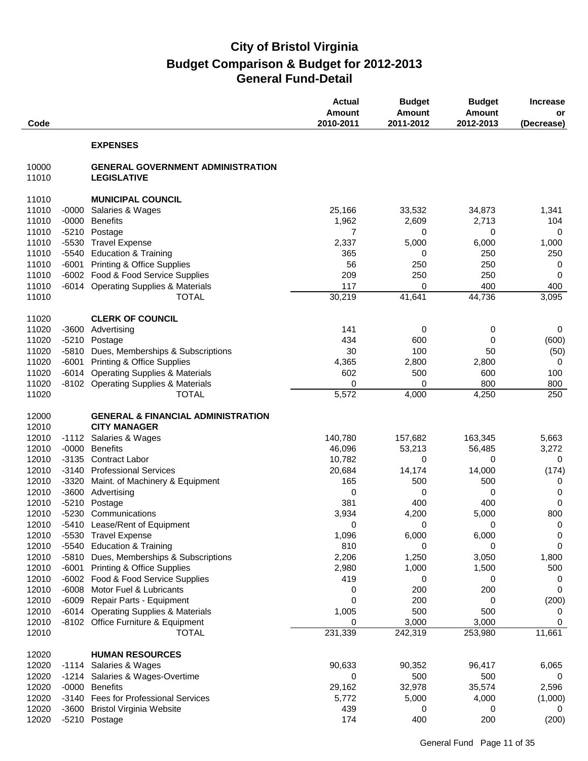| Code           |                    |                                                                | <b>Actual</b><br><b>Amount</b><br>2010-2011 | <b>Budget</b><br><b>Amount</b><br>2011-2012 | <b>Budget</b><br><b>Amount</b><br>2012-2013 | <b>Increase</b><br>or<br>(Decrease) |
|----------------|--------------------|----------------------------------------------------------------|---------------------------------------------|---------------------------------------------|---------------------------------------------|-------------------------------------|
|                |                    | <b>EXPENSES</b>                                                |                                             |                                             |                                             |                                     |
| 10000<br>11010 |                    | <b>GENERAL GOVERNMENT ADMINISTRATION</b><br><b>LEGISLATIVE</b> |                                             |                                             |                                             |                                     |
| 11010          |                    | <b>MUNICIPAL COUNCIL</b>                                       |                                             |                                             |                                             |                                     |
| 11010          | $-0000$            | Salaries & Wages                                               | 25,166                                      | 33,532                                      | 34,873                                      | 1,341                               |
| 11010          | $-0000$            | <b>Benefits</b>                                                | 1,962                                       | 2,609                                       | 2,713                                       | 104                                 |
| 11010          | $-5210$            | Postage                                                        | 7                                           | 0                                           | 0                                           | 0                                   |
| 11010          | $-5530$            | <b>Travel Expense</b>                                          | 2,337                                       | 5,000                                       | 6,000                                       | 1,000                               |
| 11010          | $-5540$            | <b>Education &amp; Training</b>                                | 365                                         | 0                                           | 250                                         | 250                                 |
| 11010          | $-6001$            | <b>Printing &amp; Office Supplies</b>                          | 56                                          | 250                                         | 250                                         | 0                                   |
| 11010          |                    | -6002 Food & Food Service Supplies                             | 209                                         | 250                                         | 250                                         | 0                                   |
| 11010          |                    | -6014 Operating Supplies & Materials                           | 117                                         | 0                                           | 400                                         | 400                                 |
| 11010          |                    | <b>TOTAL</b>                                                   | 30,219                                      | 41,641                                      | 44,736                                      | 3,095                               |
| 11020          |                    | <b>CLERK OF COUNCIL</b>                                        |                                             |                                             |                                             |                                     |
| 11020          | $-3600$            | Advertising                                                    | 141                                         | 0                                           | 0                                           | 0                                   |
| 11020          | $-5210$            | Postage                                                        | 434                                         | 600                                         | 0                                           | (600)                               |
| 11020          | $-5810$            | Dues, Memberships & Subscriptions                              | 30                                          | 100                                         | 50                                          | (50)                                |
| 11020          | $-6001$            | <b>Printing &amp; Office Supplies</b>                          | 4,365                                       | 2,800                                       | 2,800                                       | 0                                   |
| 11020          | $-6014$            | <b>Operating Supplies &amp; Materials</b>                      | 602                                         | 500                                         | 600                                         | 100                                 |
| 11020          |                    | -8102 Operating Supplies & Materials                           | 0                                           | 0                                           | 800                                         | 800                                 |
| 11020          |                    | <b>TOTAL</b>                                                   | 5,572                                       | 4,000                                       | 4,250                                       | 250                                 |
| 12000          |                    | <b>GENERAL &amp; FINANCIAL ADMINISTRATION</b>                  |                                             |                                             |                                             |                                     |
| 12010          |                    | <b>CITY MANAGER</b>                                            |                                             |                                             |                                             |                                     |
| 12010          | $-1112$            | Salaries & Wages<br><b>Benefits</b>                            | 140,780                                     | 157,682                                     | 163,345                                     | 5,663                               |
| 12010<br>12010 | $-0000$<br>$-3135$ | <b>Contract Labor</b>                                          | 46,096<br>10,782                            | 53,213<br>0                                 | 56,485<br>0                                 | 3,272<br>0                          |
| 12010          | $-3140$            | <b>Professional Services</b>                                   | 20,684                                      | 14,174                                      | 14,000                                      | (174)                               |
| 12010          | $-3320$            | Maint. of Machinery & Equipment                                | 165                                         | 500                                         | 500                                         | 0                                   |
| 12010          | $-3600$            | Advertising                                                    | 0                                           | 0                                           | 0                                           | 0                                   |
| 12010          | $-5210$            | Postage                                                        | 381                                         | 400                                         | 400                                         | $\mathbf 0$                         |
| 12010          |                    | -5230 Communications                                           | 3,934                                       | 4,200                                       | 5,000                                       | 800                                 |
| 12010          |                    | -5410 Lease/Rent of Equipment                                  | 0                                           | 0                                           | 0                                           | 0                                   |
| 12010          |                    | -5530 Travel Expense                                           | 1,096                                       | 6,000                                       | 6,000                                       | 0                                   |
| 12010          |                    | -5540 Education & Training                                     | 810                                         | 0                                           | 0                                           | 0                                   |
| 12010          | -5810              | Dues, Memberships & Subscriptions                              | 2,206                                       | 1,250                                       | 3,050                                       | 1,800                               |
| 12010          | -6001              | <b>Printing &amp; Office Supplies</b>                          | 2,980                                       | 1,000                                       | 1,500                                       | 500                                 |
| 12010          | $-6002$            | Food & Food Service Supplies                                   | 419                                         | 0                                           | 0                                           | 0                                   |
| 12010          | $-6008$            | Motor Fuel & Lubricants                                        | 0                                           | 200                                         | 200                                         | $\mathbf 0$                         |
| 12010          | $-6009$            | Repair Parts - Equipment                                       | 0                                           | 200                                         | 0                                           | (200)                               |
| 12010          |                    | -6014 Operating Supplies & Materials                           | 1,005                                       | 500                                         | 500                                         | 0                                   |
| 12010          |                    | -8102 Office Furniture & Equipment                             | 0                                           | 3,000                                       | 3,000                                       | 0                                   |
| 12010          |                    | <b>TOTAL</b>                                                   | 231,339                                     | 242,319                                     | 253,980                                     | 11,661                              |
| 12020          |                    | <b>HUMAN RESOURCES</b>                                         |                                             |                                             |                                             |                                     |
| 12020          | -1114              | Salaries & Wages                                               | 90,633                                      | 90,352                                      | 96,417                                      | 6,065                               |
| 12020          | $-1214$            | Salaries & Wages-Overtime                                      | 0                                           | 500                                         | 500                                         | 0                                   |
| 12020          | $-0000$            | <b>Benefits</b>                                                | 29,162                                      | 32,978                                      | 35,574                                      | 2,596                               |
| 12020          | $-3140$            | <b>Fees for Professional Services</b>                          | 5,772                                       | 5,000                                       | 4,000                                       | (1,000)                             |
| 12020          | -3600              | <b>Bristol Virginia Website</b>                                | 439                                         | 0                                           | 0                                           | 0                                   |
| 12020          |                    | -5210 Postage                                                  | 174                                         | 400                                         | 200                                         | (200)                               |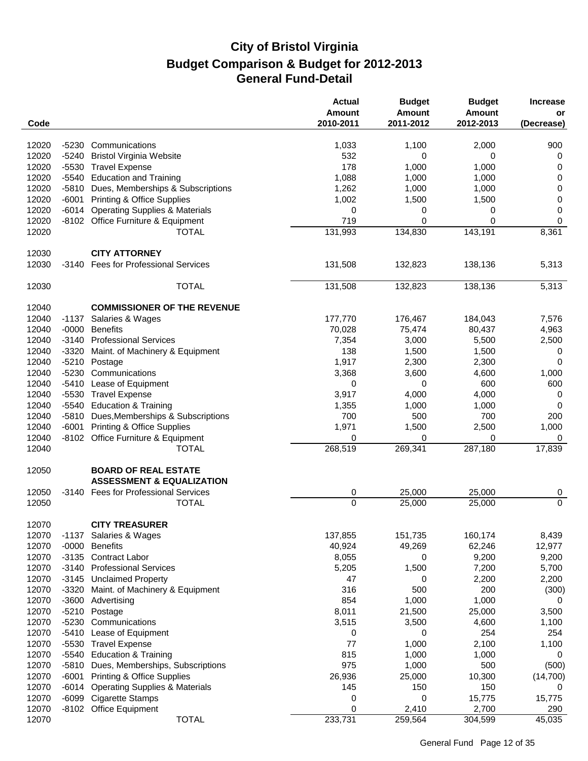| Code           |         |                                                                     | <b>Actual</b><br>Amount<br>2010-2011 | <b>Budget</b><br><b>Amount</b><br>2011-2012 | <b>Budget</b><br><b>Amount</b><br>2012-2013 | <b>Increase</b><br>or<br>(Decrease) |
|----------------|---------|---------------------------------------------------------------------|--------------------------------------|---------------------------------------------|---------------------------------------------|-------------------------------------|
| 12020          | $-5230$ | Communications                                                      | 1,033                                | 1,100                                       | 2,000                                       | 900                                 |
| 12020          | $-5240$ | <b>Bristol Virginia Website</b>                                     | 532                                  | 0                                           | 0                                           | $\boldsymbol{0}$                    |
| 12020          |         | -5530 Travel Expense                                                | 178                                  | 1,000                                       | 1,000                                       | 0                                   |
| 12020          | $-5540$ | <b>Education and Training</b>                                       | 1,088                                | 1,000                                       | 1,000                                       | $\mathbf 0$                         |
| 12020          | $-5810$ | Dues, Memberships & Subscriptions                                   | 1,262                                | 1,000                                       | 1,000                                       | $\pmb{0}$                           |
| 12020          | $-6001$ | <b>Printing &amp; Office Supplies</b>                               | 1,002                                | 1,500                                       | 1,500                                       | $\pmb{0}$                           |
| 12020          |         |                                                                     |                                      |                                             |                                             |                                     |
|                | $-6014$ | <b>Operating Supplies &amp; Materials</b>                           | 0                                    | 0                                           | 0                                           | $\pmb{0}$                           |
| 12020<br>12020 |         | -8102 Office Furniture & Equipment                                  | 719                                  | 0                                           | 0                                           | $\mathbf 0$<br>8,361                |
|                |         | <b>TOTAL</b>                                                        | 131,993                              | 134,830                                     | 143,191                                     |                                     |
| 12030          |         | <b>CITY ATTORNEY</b>                                                |                                      |                                             |                                             |                                     |
| 12030          | -3140   | <b>Fees for Professional Services</b>                               | 131,508                              | 132,823                                     | 138,136                                     | 5,313                               |
| 12030          |         | <b>TOTAL</b>                                                        | 131,508                              | 132,823                                     | 138,136                                     | 5,313                               |
| 12040          |         | <b>COMMISSIONER OF THE REVENUE</b>                                  |                                      |                                             |                                             |                                     |
| 12040          | -1137   | Salaries & Wages                                                    | 177,770                              | 176,467                                     | 184,043                                     | 7,576                               |
| 12040          | $-0000$ | <b>Benefits</b>                                                     | 70,028                               | 75,474                                      | 80,437                                      | 4,963                               |
| 12040          | $-3140$ | <b>Professional Services</b>                                        | 7,354                                | 3,000                                       | 5,500                                       | 2,500                               |
| 12040          | $-3320$ | Maint. of Machinery & Equipment                                     | 138                                  | 1,500                                       | 1,500                                       | 0                                   |
| 12040          | $-5210$ | Postage                                                             | 1,917                                | 2,300                                       | 2,300                                       | 0                                   |
| 12040          | $-5230$ | Communications                                                      | 3,368                                | 3,600                                       | 4,600                                       | 1,000                               |
| 12040          | -5410   | Lease of Equipment                                                  | 0                                    | 0                                           | 600                                         | 600                                 |
| 12040          | $-5530$ | <b>Travel Expense</b>                                               | 3,917                                | 4,000                                       | 4,000                                       | 0                                   |
| 12040          | $-5540$ | <b>Education &amp; Training</b>                                     | 1,355                                | 1,000                                       | 1,000                                       | 0                                   |
| 12040          | $-5810$ | Dues, Memberships & Subscriptions                                   | 700                                  | 500                                         | 700                                         | 200                                 |
| 12040          | $-6001$ | <b>Printing &amp; Office Supplies</b>                               | 1,971                                | 1,500                                       | 2,500                                       | 1,000                               |
| 12040          |         | -8102 Office Furniture & Equipment                                  | 0                                    | 0                                           | 0                                           | 0                                   |
| 12040          |         | <b>TOTAL</b>                                                        | 268,519                              | 269,341                                     | 287,180                                     | 17,839                              |
| 12050          |         | <b>BOARD OF REAL ESTATE</b><br><b>ASSESSMENT &amp; EQUALIZATION</b> |                                      |                                             |                                             |                                     |
| 12050          |         | -3140 Fees for Professional Services                                | 0                                    | 25,000                                      | 25,000                                      | 0                                   |
| 12050          |         | <b>TOTAL</b>                                                        | $\mathbf 0$                          | 25,000                                      | 25,000                                      | $\mathbf 0$                         |
|                |         |                                                                     |                                      |                                             |                                             |                                     |
| 12070          |         | <b>CITY TREASURER</b>                                               |                                      |                                             |                                             |                                     |
| 12070          |         | -1137 Salaries & Wages                                              | 137,855                              | 151,735                                     | 160,174                                     | 8,439                               |
| 12070          | $-0000$ | <b>Benefits</b>                                                     | 40,924                               | 49,269                                      | 62,246                                      | 12,977                              |
| 12070          |         | -3135 Contract Labor                                                | 8,055                                | 0                                           | 9,200                                       | 9,200                               |
| 12070          | $-3140$ | <b>Professional Services</b>                                        | 5,205                                | 1,500                                       | 7,200                                       | 5,700                               |
| 12070          | -3145   | <b>Unclaimed Property</b>                                           | 47                                   | 0                                           | 2,200                                       | 2,200                               |
| 12070          | $-3320$ | Maint. of Machinery & Equipment                                     | 316                                  | 500                                         | 200                                         | (300)                               |
| 12070          | $-3600$ | Advertising                                                         | 854                                  | 1,000                                       | 1,000                                       | 0                                   |
| 12070          | $-5210$ | Postage                                                             | 8,011                                | 21,500                                      | 25,000                                      | 3,500                               |
| 12070          |         | -5230 Communications                                                | 3,515                                | 3,500                                       | 4,600                                       | 1,100                               |
| 12070          | -5410   | Lease of Equipment                                                  | 0                                    | 0                                           | 254                                         | 254                                 |
| 12070          | -5530   | <b>Travel Expense</b>                                               | 77                                   | 1,000                                       | 2,100                                       | 1,100                               |
| 12070          | $-5540$ | <b>Education &amp; Training</b>                                     | 815                                  | 1,000                                       | 1,000                                       | 0                                   |
| 12070          | $-5810$ | Dues, Memberships, Subscriptions                                    | 975                                  | 1,000                                       | 500                                         | (500)                               |
| 12070          | $-6001$ | <b>Printing &amp; Office Supplies</b>                               | 26,936                               | 25,000                                      | 10,300                                      | (14, 700)                           |
| 12070          | $-6014$ | <b>Operating Supplies &amp; Materials</b>                           | 145                                  | 150                                         | 150                                         | 0                                   |
| 12070          |         | -6099 Cigarette Stamps                                              | 0                                    | 0                                           | 15,775                                      | 15,775                              |
| 12070          |         | -8102 Office Equipment                                              | 0                                    | 2,410                                       | 2,700                                       | 290                                 |
| 12070          |         | <b>TOTAL</b>                                                        | 233,731                              | 259,564                                     | 304,599                                     | 45,035                              |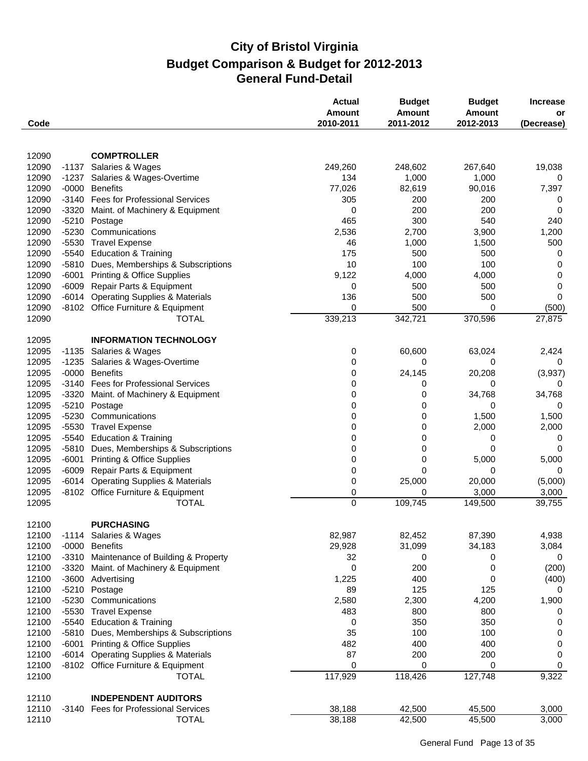| Code           |         |                                                                             | <b>Actual</b><br><b>Amount</b><br>2010-2011 | <b>Budget</b><br><b>Amount</b><br>2011-2012 | <b>Budget</b><br>Amount<br>2012-2013 | <b>Increase</b><br>or<br>(Decrease) |
|----------------|---------|-----------------------------------------------------------------------------|---------------------------------------------|---------------------------------------------|--------------------------------------|-------------------------------------|
|                |         |                                                                             |                                             |                                             |                                      |                                     |
| 12090          |         | <b>COMPTROLLER</b>                                                          |                                             |                                             |                                      |                                     |
| 12090          |         | -1137 Salaries & Wages                                                      | 249,260                                     | 248,602                                     | 267,640                              | 19,038                              |
| 12090          | -1237   | Salaries & Wages-Overtime                                                   | 134                                         | 1,000                                       | 1,000                                | 0                                   |
| 12090          |         | -0000 Benefits                                                              | 77,026                                      | 82,619                                      | 90,016                               | 7,397                               |
| 12090          |         | -3140 Fees for Professional Services                                        | 305                                         | 200                                         | 200                                  | 0                                   |
| 12090          | -3320   | Maint. of Machinery & Equipment                                             | 0                                           | 200                                         | 200                                  | 0                                   |
| 12090          | $-5210$ | Postage                                                                     | 465                                         | 300                                         | 540                                  | 240                                 |
| 12090          | $-5230$ | Communications                                                              | 2,536                                       | 2,700                                       | 3,900                                | 1,200                               |
| 12090          |         | -5530 Travel Expense                                                        | 46                                          | 1,000                                       | 1,500                                | 500                                 |
| 12090          |         | -5540 Education & Training                                                  | 175                                         | 500                                         | 500                                  | 0                                   |
| 12090          | -5810   | Dues, Memberships & Subscriptions                                           | 10                                          | 100                                         | 100                                  | 0                                   |
| 12090          | $-6001$ | <b>Printing &amp; Office Supplies</b>                                       | 9,122                                       | 4,000                                       | 4,000                                | 0                                   |
| 12090          | $-6009$ | Repair Parts & Equipment                                                    | 0                                           | 500                                         | 500                                  | $\mathbf 0$                         |
| 12090          | $-6014$ | <b>Operating Supplies &amp; Materials</b>                                   | 136                                         | 500                                         | 500                                  | 0                                   |
| 12090          | -8102   | Office Furniture & Equipment                                                | 0                                           | 500                                         | 0                                    | (500)                               |
| 12090          |         | <b>TOTAL</b>                                                                | 339,213                                     | 342,721                                     | 370,596                              | 27,875                              |
| 12095          |         | <b>INFORMATION TECHNOLOGY</b>                                               |                                             |                                             |                                      |                                     |
| 12095          | $-1135$ | Salaries & Wages                                                            | 0                                           | 60,600                                      | 63,024                               | 2,424                               |
| 12095          | $-1235$ | Salaries & Wages-Overtime                                                   | 0                                           | 0                                           | 0                                    | 0                                   |
| 12095          | $-0000$ | <b>Benefits</b>                                                             | 0                                           | 24,145                                      | 20,208                               | (3,937)                             |
| 12095          |         | -3140 Fees for Professional Services                                        | 0                                           | 0                                           | 0                                    | 0                                   |
| 12095          | -3320   | Maint. of Machinery & Equipment                                             | 0                                           | 0                                           | 34,768                               | 34,768                              |
| 12095          | $-5210$ | Postage                                                                     | 0                                           | 0                                           | 0                                    | 0                                   |
| 12095          | $-5230$ | Communications                                                              | 0                                           | 0                                           | 1,500                                | 1,500                               |
| 12095          |         | -5530 Travel Expense                                                        | 0                                           | 0                                           | 2,000                                | 2,000                               |
| 12095          |         | -5540 Education & Training                                                  | 0                                           | 0                                           | 0                                    | 0                                   |
| 12095          | $-5810$ | Dues, Memberships & Subscriptions                                           | 0                                           | 0                                           | 0                                    | 0                                   |
| 12095          | $-6001$ | <b>Printing &amp; Office Supplies</b>                                       | 0                                           | 0                                           | 5,000                                | 5,000                               |
| 12095          | $-6009$ | Repair Parts & Equipment<br><b>Operating Supplies &amp; Materials</b>       | 0                                           | 0                                           | 0                                    | 0                                   |
| 12095<br>12095 | $-6014$ |                                                                             | 0                                           | 25,000<br>0                                 | 20,000<br>3,000                      | (5,000)                             |
| 12095          |         | -8102 Office Furniture & Equipment<br><b>TOTAL</b>                          | 0<br>$\overline{0}$                         | 109,745                                     | 149,500                              | 3,000<br>39,755                     |
|                |         |                                                                             |                                             |                                             |                                      |                                     |
| 12100          |         | <b>PURCHASING</b>                                                           |                                             |                                             |                                      |                                     |
| 12100          |         | -1114 Salaries & Wages                                                      | 82,987                                      | 82,452                                      | 87,390                               | 4,938                               |
| 12100          |         | -0000 Benefits                                                              | 29,928                                      | 31,099                                      | 34,183                               | 3,084                               |
| 12100          | -3310   | Maintenance of Building & Property                                          | 32                                          | 0                                           | 0                                    | 0                                   |
| 12100          | -3320   | Maint. of Machinery & Equipment                                             | 0                                           | 200                                         | 0                                    | (200)                               |
| 12100          |         | -3600 Advertising                                                           | 1,225                                       | 400                                         | 0                                    | (400)                               |
| 12100          |         | -5210 Postage                                                               | 89                                          | 125                                         | 125                                  | 0                                   |
| 12100          | -5230   | Communications                                                              | 2,580                                       | 2,300                                       | 4,200                                | 1,900                               |
| 12100          |         | -5530 Travel Expense                                                        | 483                                         | 800                                         | 800                                  | 0                                   |
| 12100          |         | -5540 Education & Training                                                  | 0                                           | 350                                         | 350                                  | $\boldsymbol{0}$                    |
| 12100          |         | -5810 Dues, Memberships & Subscriptions<br>-6001 Printing & Office Supplies | 35                                          | 100                                         | 100                                  | $\boldsymbol{0}$                    |
| 12100          |         |                                                                             | 482                                         | 400                                         | 400                                  | 0                                   |
| 12100          | -6014   | <b>Operating Supplies &amp; Materials</b>                                   | 87                                          | 200                                         | 200                                  | 0                                   |
| 12100<br>12100 |         | -8102 Office Furniture & Equipment<br><b>TOTAL</b>                          | 0<br>117,929                                | 0<br>118,426                                | 0<br>127,748                         | 0<br>9,322                          |
|                |         |                                                                             |                                             |                                             |                                      |                                     |
| 12110          |         | <b>INDEPENDENT AUDITORS</b>                                                 |                                             |                                             |                                      |                                     |
| 12110          |         | -3140 Fees for Professional Services                                        | 38,188                                      | 42,500                                      | 45,500                               | 3,000                               |
| 12110          |         | <b>TOTAL</b>                                                                | 38,188                                      | 42,500                                      | 45,500                               | 3,000                               |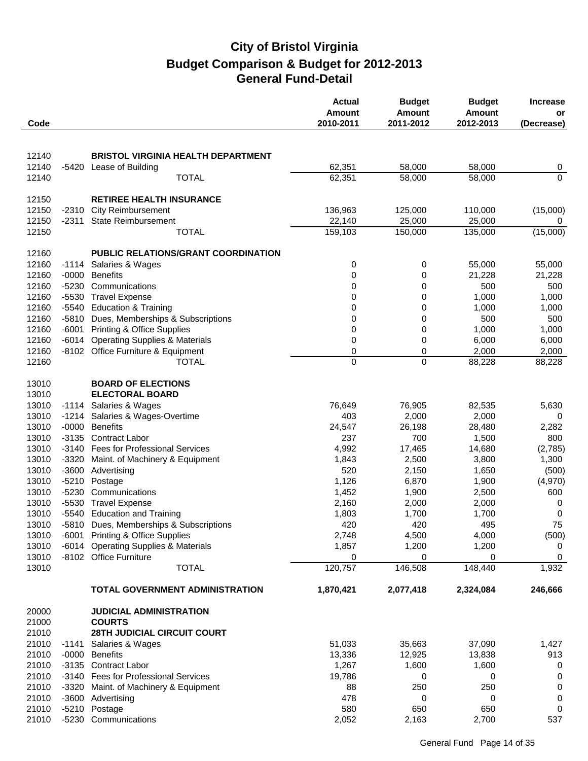| Code  |         |                                           | <b>Actual</b><br>Amount<br>2010-2011 | <b>Budget</b><br><b>Amount</b><br>2011-2012 | <b>Budget</b><br>Amount<br>2012-2013 | <b>Increase</b><br>or<br>(Decrease) |
|-------|---------|-------------------------------------------|--------------------------------------|---------------------------------------------|--------------------------------------|-------------------------------------|
|       |         |                                           |                                      |                                             |                                      |                                     |
| 12140 |         | <b>BRISTOL VIRGINIA HEALTH DEPARTMENT</b> |                                      |                                             |                                      |                                     |
| 12140 | -5420   | Lease of Building                         | 62,351                               | 58,000                                      | 58,000                               | $\overline{0}$                      |
| 12140 |         | <b>TOTAL</b>                              | 62,351                               | 58,000                                      | 58,000                               | $\overline{0}$                      |
| 12150 |         | <b>RETIREE HEALTH INSURANCE</b>           |                                      |                                             |                                      |                                     |
| 12150 | $-2310$ | <b>City Reimbursement</b>                 | 136,963                              | 125,000                                     | 110,000                              | (15,000)                            |
| 12150 | -2311   | <b>State Reimbursement</b>                | 22,140                               | 25,000                                      | 25,000                               | 0                                   |
| 12150 |         | <b>TOTAL</b>                              | 159,103                              | 150,000                                     | 135,000                              | (15,000)                            |
|       |         |                                           |                                      |                                             |                                      |                                     |
| 12160 |         | PUBLIC RELATIONS/GRANT COORDINATION       |                                      |                                             |                                      |                                     |
| 12160 |         | -1114 Salaries & Wages                    | 0                                    | 0                                           | 55,000                               | 55,000                              |
| 12160 | $-0000$ | <b>Benefits</b>                           | 0                                    | 0                                           | 21,228                               | 21,228                              |
| 12160 | $-5230$ | Communications                            | 0                                    | 0                                           | 500                                  | 500                                 |
| 12160 | $-5530$ | <b>Travel Expense</b>                     | 0                                    | 0                                           | 1,000                                | 1,000                               |
| 12160 | $-5540$ | <b>Education &amp; Training</b>           | 0                                    | 0                                           | 1,000                                | 1,000                               |
| 12160 | -5810   | Dues, Memberships & Subscriptions         | 0                                    | 0                                           | 500                                  | 500                                 |
| 12160 | $-6001$ | <b>Printing &amp; Office Supplies</b>     | 0                                    | 0                                           | 1,000                                | 1,000                               |
| 12160 | -6014   | <b>Operating Supplies &amp; Materials</b> | 0                                    | 0                                           | 6,000                                | 6,000                               |
| 12160 |         | -8102 Office Furniture & Equipment        | 0                                    | $\boldsymbol{0}$                            | 2,000                                | 2,000                               |
| 12160 |         | <b>TOTAL</b>                              | 0                                    | $\mathbf 0$                                 | 88,228                               | 88,228                              |
| 13010 |         | <b>BOARD OF ELECTIONS</b>                 |                                      |                                             |                                      |                                     |
| 13010 |         | <b>ELECTORAL BOARD</b>                    |                                      |                                             |                                      |                                     |
| 13010 |         | -1114 Salaries & Wages                    | 76,649                               | 76,905                                      | 82,535                               | 5,630                               |
| 13010 | $-1214$ | Salaries & Wages-Overtime                 | 403                                  | 2,000                                       | 2,000                                | 0                                   |
| 13010 | $-0000$ | <b>Benefits</b>                           | 24,547                               | 26,198                                      | 28,480                               | 2,282                               |
| 13010 | $-3135$ | <b>Contract Labor</b>                     | 237                                  | 700                                         | 1,500                                | 800                                 |
| 13010 |         | -3140 Fees for Professional Services      | 4,992                                | 17,465                                      | 14,680                               | (2,785)                             |
| 13010 | $-3320$ | Maint. of Machinery & Equipment           | 1,843                                | 2,500                                       | 3,800                                | 1,300                               |
| 13010 | $-3600$ | Advertising                               | 520                                  | 2,150                                       | 1,650                                | (500)                               |
| 13010 | $-5210$ | Postage                                   | 1,126                                | 6,870                                       | 1,900                                | (4,970)                             |
| 13010 | -5230   | Communications                            | 1,452                                | 1,900                                       | 2,500                                | 600                                 |
| 13010 | -5530   | <b>Travel Expense</b>                     | 2,160                                | 2,000                                       | 2,000                                | 0                                   |
| 13010 |         | -5540 Education and Training              | 1,803                                | 1,700                                       | 1,700                                | 0                                   |
| 13010 |         | -5810 Dues, Memberships & Subscriptions   | 420                                  | 420                                         | 495                                  | 75                                  |
| 13010 |         | -6001 Printing & Office Supplies          | 2,748                                | 4,500                                       | 4,000                                | (500)                               |
| 13010 |         | -6014 Operating Supplies & Materials      | 1,857                                | 1,200                                       | 1,200                                |                                     |
| 13010 |         | -8102 Office Furniture                    | 0                                    | 0                                           | 0                                    | 0                                   |
| 13010 |         | <b>TOTAL</b>                              | 120,757                              | 146,508                                     | 148,440                              | 1,932                               |
|       |         | TOTAL GOVERNMENT ADMINISTRATION           | 1,870,421                            | 2,077,418                                   | 2,324,084                            | 246,666                             |
| 20000 |         | <b>JUDICIAL ADMINISTRATION</b>            |                                      |                                             |                                      |                                     |
| 21000 |         | <b>COURTS</b>                             |                                      |                                             |                                      |                                     |
| 21010 |         | <b>28TH JUDICIAL CIRCUIT COURT</b>        |                                      |                                             |                                      |                                     |
| 21010 | -1141   | Salaries & Wages                          | 51,033                               | 35,663                                      | 37,090                               | 1,427                               |
| 21010 | -0000   | <b>Benefits</b>                           | 13,336                               | 12,925                                      | 13,838                               | 913                                 |
| 21010 |         | -3135 Contract Labor                      | 1,267                                | 1,600                                       | 1,600                                | 0                                   |
| 21010 |         | -3140 Fees for Professional Services      | 19,786                               | 0                                           | 0                                    | 0                                   |
| 21010 |         | -3320 Maint. of Machinery & Equipment     | 88                                   | 250                                         | 250                                  | 0                                   |
| 21010 |         | -3600 Advertising                         | 478                                  | 0                                           | 0                                    | 0                                   |
| 21010 |         | -5210 Postage                             | 580                                  | 650                                         | 650                                  | 0                                   |
| 21010 |         | -5230 Communications                      | 2,052                                | 2,163                                       | 2,700                                | 537                                 |
|       |         |                                           |                                      |                                             |                                      |                                     |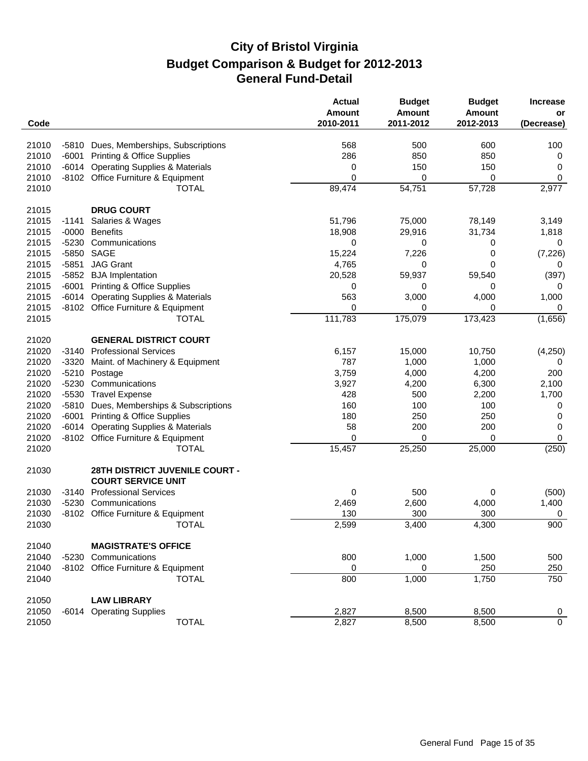| Code  |         |                                                             | <b>Actual</b><br><b>Amount</b><br>2010-2011 | <b>Budget</b><br><b>Amount</b><br>2011-2012 | <b>Budget</b><br><b>Amount</b><br>2012-2013 | <b>Increase</b><br>or<br>(Decrease) |
|-------|---------|-------------------------------------------------------------|---------------------------------------------|---------------------------------------------|---------------------------------------------|-------------------------------------|
|       |         |                                                             |                                             |                                             |                                             |                                     |
| 21010 | -5810   | Dues, Memberships, Subscriptions                            | 568                                         | 500                                         | 600                                         | 100                                 |
| 21010 | $-6001$ | <b>Printing &amp; Office Supplies</b>                       | 286                                         | 850                                         | 850                                         | 0                                   |
| 21010 | $-6014$ | <b>Operating Supplies &amp; Materials</b>                   | 0                                           | 150                                         | 150                                         | 0                                   |
| 21010 |         | -8102 Office Furniture & Equipment                          | 0                                           | 0                                           | 0                                           | 0                                   |
| 21010 |         | <b>TOTAL</b>                                                | 89,474                                      | 54,751                                      | 57,728                                      | 2,977                               |
| 21015 |         | <b>DRUG COURT</b>                                           |                                             |                                             |                                             |                                     |
| 21015 | $-1141$ | Salaries & Wages                                            | 51,796                                      | 75,000                                      | 78,149                                      | 3,149                               |
| 21015 | $-0000$ | <b>Benefits</b>                                             | 18,908                                      | 29,916                                      | 31,734                                      | 1,818                               |
| 21015 | $-5230$ | Communications                                              | 0                                           | 0                                           | 0                                           | 0                                   |
| 21015 |         | -5850 SAGE                                                  | 15,224                                      | 7,226                                       | 0                                           | (7, 226)                            |
| 21015 | $-5851$ | <b>JAG Grant</b>                                            | 4,765                                       | 0                                           | 0                                           | 0                                   |
| 21015 | $-5852$ | <b>BJA</b> Implentation                                     | 20,528                                      | 59,937                                      | 59,540                                      | (397)                               |
| 21015 | $-6001$ | <b>Printing &amp; Office Supplies</b>                       | 0                                           | 0                                           | 0                                           | 0                                   |
| 21015 | $-6014$ | <b>Operating Supplies &amp; Materials</b>                   | 563                                         | 3,000                                       | 4,000                                       | 1,000                               |
| 21015 |         | -8102 Office Furniture & Equipment                          | 0                                           | 0                                           | 0                                           | 0                                   |
| 21015 |         | <b>TOTAL</b>                                                | 111,783                                     | 175,079                                     | 173,423                                     | (1,656)                             |
| 21020 |         | <b>GENERAL DISTRICT COURT</b>                               |                                             |                                             |                                             |                                     |
| 21020 | -3140   | <b>Professional Services</b>                                | 6,157                                       | 15,000                                      | 10,750                                      | (4,250)                             |
| 21020 | $-3320$ | Maint. of Machinery & Equipment                             | 787                                         | 1,000                                       | 1,000                                       | 0                                   |
| 21020 | $-5210$ | Postage                                                     | 3,759                                       | 4,000                                       | 4,200                                       | 200                                 |
| 21020 | $-5230$ | Communications                                              | 3,927                                       | 4,200                                       | 6,300                                       | 2,100                               |
| 21020 |         | -5530 Travel Expense                                        | 428                                         | 500                                         | 2,200                                       | 1,700                               |
| 21020 | $-5810$ | Dues, Memberships & Subscriptions                           | 160                                         | 100                                         | 100                                         | 0                                   |
| 21020 | $-6001$ | <b>Printing &amp; Office Supplies</b>                       | 180                                         | 250                                         | 250                                         | 0                                   |
| 21020 | $-6014$ | <b>Operating Supplies &amp; Materials</b>                   | 58                                          | 200                                         | 200                                         | 0                                   |
| 21020 |         | -8102 Office Furniture & Equipment                          | $\Omega$                                    | 0                                           | 0                                           | 0                                   |
| 21020 |         | <b>TOTAL</b>                                                | 15,457                                      | 25,250                                      | 25,000                                      | (250)                               |
| 21030 |         | 28TH DISTRICT JUVENILE COURT -<br><b>COURT SERVICE UNIT</b> |                                             |                                             |                                             |                                     |
| 21030 | $-3140$ | <b>Professional Services</b>                                | 0                                           | 500                                         | 0                                           | (500)                               |
| 21030 | -5230   | Communications                                              | 2,469                                       | 2,600                                       | 4,000                                       | 1,400                               |
| 21030 |         | -8102 Office Furniture & Equipment                          | 130                                         | 300                                         | 300                                         | 0                                   |
| 21030 |         | <b>TOTAL</b>                                                | 2,599                                       | 3,400                                       | 4,300                                       | 900                                 |
| 21040 |         | <b>MAGISTRATE'S OFFICE</b>                                  |                                             |                                             |                                             |                                     |
| 21040 | $-5230$ | Communications                                              | 800                                         | 1,000                                       | 1,500                                       | 500                                 |
| 21040 |         | -8102 Office Furniture & Equipment                          | 0                                           | 0                                           | 250                                         | 250                                 |
| 21040 |         | <b>TOTAL</b>                                                | 800                                         | 1,000                                       | 1,750                                       | 750                                 |
| 21050 |         | <b>LAW LIBRARY</b>                                          |                                             |                                             |                                             |                                     |
| 21050 |         | -6014 Operating Supplies                                    | 2,827                                       | 8,500                                       | 8,500                                       | $\overline{0}$                      |
| 21050 |         | <b>TOTAL</b>                                                | 2,827                                       | 8,500                                       | 8,500                                       | $\overline{0}$                      |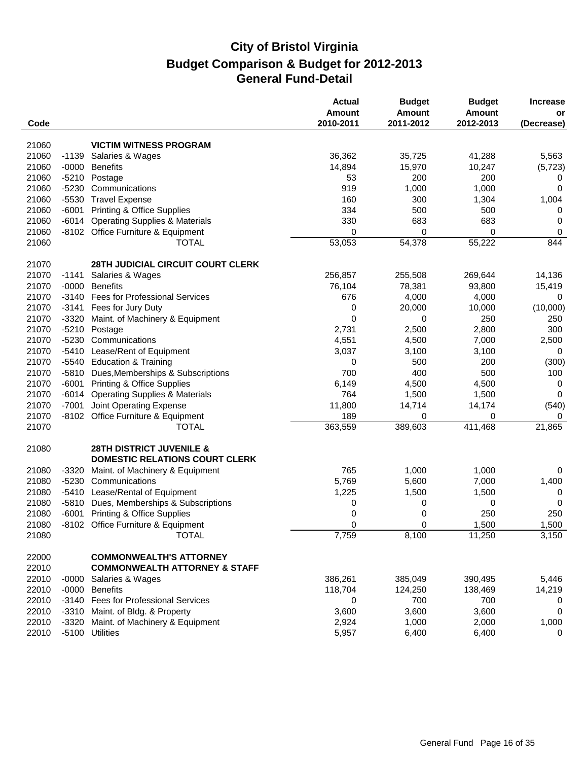|                |                    |                                                          | <b>Actual</b><br>Amount | <b>Budget</b><br><b>Amount</b> | <b>Budget</b><br><b>Amount</b> | <b>Increase</b><br>or |
|----------------|--------------------|----------------------------------------------------------|-------------------------|--------------------------------|--------------------------------|-----------------------|
| Code           |                    |                                                          | 2010-2011               | 2011-2012                      | 2012-2013                      | (Decrease)            |
| 21060          |                    | <b>VICTIM WITNESS PROGRAM</b>                            |                         |                                |                                |                       |
| 21060          | $-1139$            | Salaries & Wages                                         | 36,362                  | 35,725                         | 41,288                         | 5,563                 |
| 21060          | $-0000$            | <b>Benefits</b>                                          | 14,894                  | 15,970                         | 10,247                         | (5, 723)              |
| 21060          | $-5210$            | Postage                                                  | 53                      | 200                            | 200                            | 0                     |
| 21060          |                    | -5230 Communications                                     | 919                     | 1,000                          | 1,000                          | 0                     |
| 21060          |                    | -5530 Travel Expense                                     | 160                     | 300                            | 1,304                          | 1,004                 |
| 21060          | $-6001$            | <b>Printing &amp; Office Supplies</b>                    | 334                     | 500                            | 500                            | 0                     |
| 21060          | $-6014$            | <b>Operating Supplies &amp; Materials</b>                | 330                     | 683                            | 683                            | 0                     |
| 21060          |                    | -8102 Office Furniture & Equipment                       | 0                       | 0                              | 0                              | 0                     |
| 21060          |                    | <b>TOTAL</b>                                             | 53,053                  | 54,378                         | 55,222                         | 844                   |
| 21070          |                    | 28TH JUDICIAL CIRCUIT COURT CLERK                        |                         |                                |                                |                       |
| 21070          | $-1141$            |                                                          | 256,857                 | 255,508                        |                                | 14,136                |
|                |                    | Salaries & Wages                                         |                         |                                | 269,644                        |                       |
| 21070<br>21070 | $-0000$<br>$-3140$ | <b>Benefits</b><br><b>Fees for Professional Services</b> | 76,104                  | 78,381                         | 93,800                         | 15,419                |
|                |                    | Fees for Jury Duty                                       | 676                     | 4,000                          | 4,000                          | 0                     |
| 21070<br>21070 | $-3141$            |                                                          | 0<br>0                  | 20,000                         | 10,000<br>250                  | (10,000)              |
| 21070          | $-3320$<br>$-5210$ | Maint. of Machinery & Equipment<br>Postage               |                         | 0<br>2,500                     | 2,800                          | 250<br>300            |
| 21070          |                    | -5230 Communications                                     | 2,731<br>4,551          | 4,500                          | 7,000                          |                       |
| 21070          | -5410              | Lease/Rent of Equipment                                  | 3,037                   | 3,100                          | 3,100                          | 2,500<br>0            |
| 21070          |                    | -5540 Education & Training                               | 0                       | 500                            | 200                            |                       |
| 21070          | -5810              | Dues, Memberships & Subscriptions                        | 700                     | 400                            | 500                            | (300)<br>100          |
| 21070          | $-6001$            | <b>Printing &amp; Office Supplies</b>                    | 6,149                   | 4,500                          | 4,500                          | 0                     |
| 21070          | $-6014$            | <b>Operating Supplies &amp; Materials</b>                | 764                     | 1,500                          | 1,500                          | 0                     |
|                |                    |                                                          |                         |                                |                                |                       |
| 21070          | $-7001$            | Joint Operating Expense                                  | 11,800                  | 14,714                         | 14,174<br>0                    | (540)                 |
| 21070          |                    | -8102 Office Furniture & Equipment                       | 189                     | 0                              |                                | 0                     |
| 21070          |                    | <b>TOTAL</b>                                             | 363,559                 | 389,603                        | 411,468                        | 21,865                |
| 21080          |                    | <b>28TH DISTRICT JUVENILE &amp;</b>                      |                         |                                |                                |                       |
|                |                    | <b>DOMESTIC RELATIONS COURT CLERK</b>                    |                         |                                |                                |                       |
| 21080          | $-3320$            | Maint. of Machinery & Equipment                          | 765                     | 1,000                          | 1,000                          | 0                     |
| 21080          | $-5230$            | Communications                                           | 5,769                   | 5,600                          | 7,000                          | 1,400                 |
| 21080          | -5410              | Lease/Rental of Equipment                                | 1,225                   | 1,500                          | 1,500                          | 0                     |
| 21080          | -5810              | Dues, Memberships & Subscriptions                        | 0                       | 0                              | 0                              | 0                     |
| 21080          | -6001              | <b>Printing &amp; Office Supplies</b>                    | 0                       | 0                              | 250                            | 250                   |
| 21080          |                    | -8102 Office Furniture & Equipment                       | 0                       | $\Omega$                       | 1,500                          | 1,500                 |
| 21080          |                    | <b>TOTAL</b>                                             | 7,759                   | 8,100                          | 11,250                         | 3,150                 |
| 22000          |                    | <b>COMMONWEALTH'S ATTORNEY</b>                           |                         |                                |                                |                       |
| 22010          |                    | <b>COMMONWEALTH ATTORNEY &amp; STAFF</b>                 |                         |                                |                                |                       |
| 22010          | $-0000$            | Salaries & Wages                                         | 386,261                 | 385,049                        | 390,495                        | 5,446                 |
| 22010          |                    | -0000 Benefits                                           | 118,704                 | 124,250                        | 138,469                        | 14,219                |
| 22010          |                    | -3140 Fees for Professional Services                     | 0                       | 700                            | 700                            | 0                     |
| 22010          |                    | -3310 Maint. of Bldg. & Property                         | 3,600                   | 3,600                          | 3,600                          | 0                     |
| 22010          | $-3320$            | Maint. of Machinery & Equipment                          | 2,924                   | 1,000                          | 2,000                          | 1,000                 |
| 22010          |                    | -5100 Utilities                                          | 5,957                   | 6,400                          | 6,400                          | 0                     |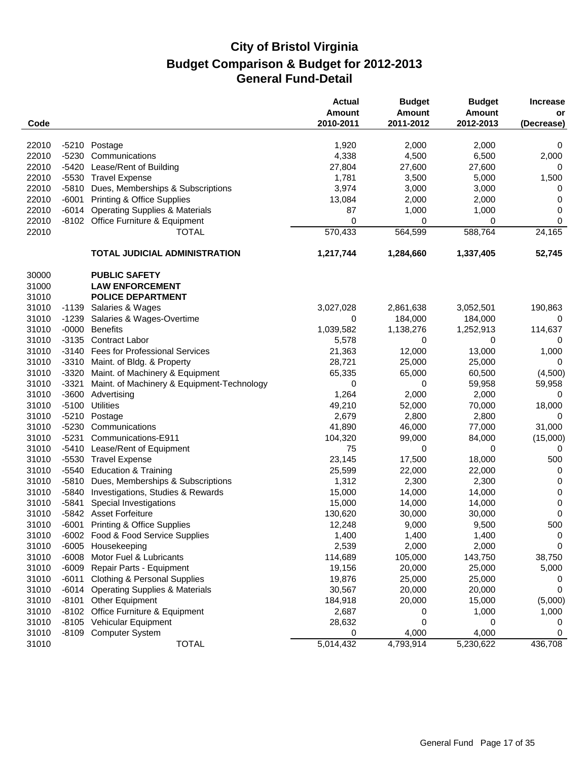| Code  |         |                                            | <b>Actual</b><br>Amount<br>2010-2011 | <b>Budget</b><br><b>Amount</b><br>2011-2012 | <b>Budget</b><br>Amount<br>2012-2013 | <b>Increase</b><br>or |
|-------|---------|--------------------------------------------|--------------------------------------|---------------------------------------------|--------------------------------------|-----------------------|
|       |         |                                            |                                      |                                             |                                      | (Decrease)            |
| 22010 |         | -5210 Postage                              | 1,920                                | 2,000                                       | 2,000                                | 0                     |
| 22010 |         | -5230 Communications                       | 4,338                                | 4,500                                       | 6,500                                | 2,000                 |
| 22010 | $-5420$ | Lease/Rent of Building                     | 27,804                               | 27,600                                      | 27,600                               | 0                     |
| 22010 |         | -5530 Travel Expense                       | 1,781                                | 3,500                                       | 5,000                                | 1,500                 |
| 22010 |         | -5810 Dues, Memberships & Subscriptions    | 3,974                                | 3,000                                       | 3,000                                | 0                     |
| 22010 | $-6001$ | <b>Printing &amp; Office Supplies</b>      | 13,084                               | 2,000                                       | 2,000                                | 0                     |
| 22010 | $-6014$ | <b>Operating Supplies &amp; Materials</b>  | 87                                   | 1,000                                       | 1,000                                | 0                     |
| 22010 |         | -8102 Office Furniture & Equipment         | 0                                    | 0                                           | 0                                    | 0                     |
| 22010 |         | <b>TOTAL</b>                               | 570,433                              | 564,599                                     | 588,764                              | 24,165                |
|       |         | <b>TOTAL JUDICIAL ADMINISTRATION</b>       | 1,217,744                            | 1,284,660                                   | 1,337,405                            | 52,745                |
| 30000 |         | <b>PUBLIC SAFETY</b>                       |                                      |                                             |                                      |                       |
| 31000 |         | <b>LAW ENFORCEMENT</b>                     |                                      |                                             |                                      |                       |
| 31010 |         | <b>POLICE DEPARTMENT</b>                   |                                      |                                             |                                      |                       |
| 31010 | $-1139$ | Salaries & Wages                           | 3,027,028                            | 2,861,638                                   | 3,052,501                            | 190,863               |
| 31010 | $-1239$ | Salaries & Wages-Overtime                  | 0                                    | 184,000                                     | 184,000                              | 0                     |
| 31010 | $-0000$ | <b>Benefits</b>                            | 1,039,582                            | 1,138,276                                   | 1,252,913                            | 114,637               |
| 31010 | $-3135$ | <b>Contract Labor</b>                      | 5,578                                | 0                                           | 0                                    | 0                     |
| 31010 | $-3140$ | <b>Fees for Professional Services</b>      | 21,363                               | 12,000                                      | 13,000                               | 1,000                 |
| 31010 |         | -3310 Maint. of Bldg. & Property           | 28,721                               | 25,000                                      | 25,000                               | 0                     |
| 31010 | $-3320$ | Maint. of Machinery & Equipment            | 65,335                               | 65,000                                      | 60,500                               | (4,500)               |
| 31010 | $-3321$ | Maint. of Machinery & Equipment-Technology | 0                                    | 0                                           | 59,958                               | 59,958                |
| 31010 | $-3600$ | Advertising                                | 1,264                                | 2,000                                       | 2,000                                | 0                     |
| 31010 | $-5100$ | <b>Utilities</b>                           | 49,210                               | 52,000                                      | 70,000                               | 18,000                |
| 31010 | $-5210$ | Postage                                    | 2,679                                | 2,800                                       | 2,800                                | 0                     |
| 31010 | $-5230$ | Communications                             | 41,890                               | 46,000                                      | 77,000                               | 31,000                |
| 31010 | $-5231$ | Communications-E911                        | 104,320                              | 99,000                                      | 84,000                               | (15,000)              |
| 31010 |         | -5410 Lease/Rent of Equipment              | 75                                   | 0                                           | 0                                    | 0                     |
| 31010 |         | -5530 Travel Expense                       | 23,145                               | 17,500                                      | 18,000                               | 500                   |
| 31010 | $-5540$ | <b>Education &amp; Training</b>            | 25,599                               | 22,000                                      | 22,000                               | 0                     |
| 31010 | $-5810$ | Dues, Memberships & Subscriptions          | 1,312                                | 2,300                                       | 2,300                                | 0                     |
| 31010 | $-5840$ | Investigations, Studies & Rewards          | 15,000                               | 14,000                                      | 14,000                               | 0                     |
| 31010 | $-5841$ | Special Investigations                     | 15,000                               | 14,000                                      | 14,000                               | 0                     |
| 31010 |         | -5842 Asset Forfeiture                     | 130,620                              | 30,000                                      | 30,000                               | 0                     |
| 31010 |         | -6001 Printing & Office Supplies           | 12,248                               | 9,000                                       | 9,500                                | 500                   |
| 31010 |         | -6002 Food & Food Service Supplies         | 1,400                                | 1,400                                       | 1,400                                | 0                     |
| 31010 |         | -6005 Housekeeping                         | 2,539                                | 2,000                                       | 2,000                                | 0                     |
| 31010 | $-6008$ | Motor Fuel & Lubricants                    | 114,689                              | 105,000                                     | 143,750                              | 38,750                |
| 31010 | $-6009$ | Repair Parts - Equipment                   | 19,156                               | 20,000                                      | 25,000                               | 5,000                 |
| 31010 | $-6011$ | <b>Clothing &amp; Personal Supplies</b>    | 19,876                               | 25,000                                      | 25,000                               | 0                     |
| 31010 | $-6014$ | <b>Operating Supplies &amp; Materials</b>  | 30,567                               | 20,000                                      | 20,000                               | 0                     |
| 31010 | -8101   | <b>Other Equipment</b>                     | 184,918                              | 20,000                                      | 15,000                               | (5,000)               |
| 31010 |         | -8102 Office Furniture & Equipment         | 2,687                                | 0                                           | 1,000                                | 1,000                 |
| 31010 |         | -8105 Vehicular Equipment                  | 28,632                               | 0                                           | 0                                    | 0                     |
| 31010 |         | -8109 Computer System                      | 0                                    | 4,000                                       | 4,000                                | 0                     |
| 31010 |         | <b>TOTAL</b>                               | 5,014,432                            | 4,793,914                                   | 5,230,622                            | 436,708               |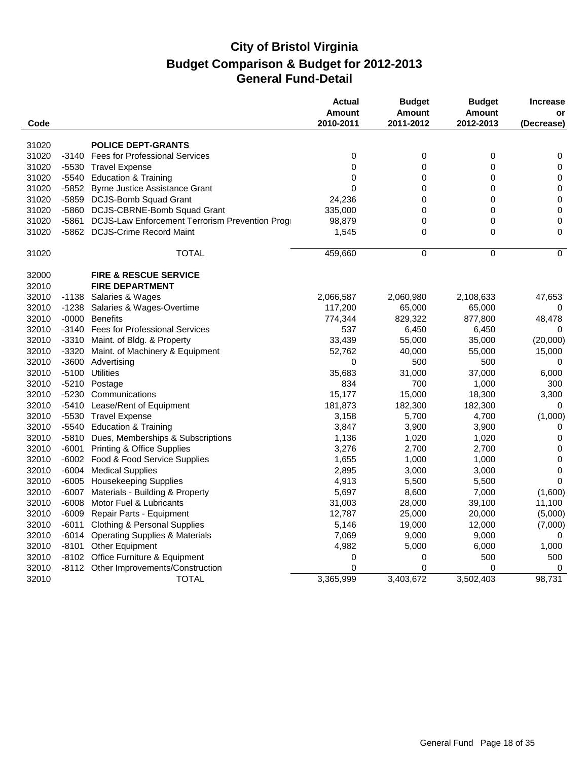|       |         |                                                | <b>Actual</b><br><b>Amount</b> | <b>Budget</b><br><b>Amount</b> | <b>Budget</b><br><b>Amount</b> | <b>Increase</b><br>or |
|-------|---------|------------------------------------------------|--------------------------------|--------------------------------|--------------------------------|-----------------------|
| Code  |         |                                                | 2010-2011                      | 2011-2012                      | 2012-2013                      | (Decrease)            |
| 31020 |         | <b>POLICE DEPT-GRANTS</b>                      |                                |                                |                                |                       |
| 31020 |         | -3140 Fees for Professional Services           | $\mathbf 0$                    | $\pmb{0}$                      | $\pmb{0}$                      | 0                     |
| 31020 | -5530   | <b>Travel Expense</b>                          | 0                              | 0                              | 0                              | $\mathbf 0$           |
| 31020 | -5540   | <b>Education &amp; Training</b>                | $\mathbf 0$                    | $\mathbf 0$                    | $\mathbf 0$                    | $\pmb{0}$             |
| 31020 | -5852   | <b>Byrne Justice Assistance Grant</b>          | $\mathbf 0$                    | 0                              | $\mathbf 0$                    | $\pmb{0}$             |
| 31020 | -5859   | DCJS-Bomb Squad Grant                          | 24,236                         | 0                              | $\mathbf 0$                    | $\pmb{0}$             |
| 31020 | -5860   | DCJS-CBRNE-Bomb Squad Grant                    | 335,000                        | 0                              | $\mathbf 0$                    | $\pmb{0}$             |
| 31020 | -5861   | DCJS-Law Enforcement Terrorism Prevention Prog | 98,879                         | 0                              | 0                              | $\mathbf 0$           |
| 31020 | -5862   | <b>DCJS-Crime Record Maint</b>                 | 1,545                          | 0                              | $\mathbf 0$                    | $\mathbf 0$           |
| 31020 |         | <b>TOTAL</b>                                   | 459,660                        | 0                              | $\mathbf 0$                    | $\mathbf 0$           |
| 32000 |         | <b>FIRE &amp; RESCUE SERVICE</b>               |                                |                                |                                |                       |
| 32010 |         | <b>FIRE DEPARTMENT</b>                         |                                |                                |                                |                       |
| 32010 | -1138   | Salaries & Wages                               | 2,066,587                      | 2,060,980                      | 2,108,633                      | 47,653                |
| 32010 | -1238   | Salaries & Wages-Overtime                      | 117,200                        | 65,000                         | 65,000                         | 0                     |
| 32010 | $-0000$ | <b>Benefits</b>                                | 774,344                        | 829,322                        | 877,800                        | 48,478                |
| 32010 | -3140   | <b>Fees for Professional Services</b>          | 537                            | 6,450                          | 6,450                          | 0                     |
| 32010 |         | -3310 Maint. of Bldg. & Property               | 33,439                         | 55,000                         | 35,000                         | (20,000)              |
| 32010 | -3320   | Maint. of Machinery & Equipment                | 52,762                         | 40,000                         | 55,000                         | 15,000                |
| 32010 |         | -3600 Advertising                              | $\mathbf 0$                    | 500                            | 500                            | 0                     |
| 32010 |         | -5100 Utilities                                | 35,683                         | 31,000                         | 37,000                         | 6,000                 |
| 32010 |         | -5210 Postage                                  | 834                            | 700                            | 1,000                          | 300                   |
| 32010 | -5230   | Communications                                 | 15,177                         | 15,000                         | 18,300                         | 3,300                 |
| 32010 |         | -5410 Lease/Rent of Equipment                  | 181,873                        | 182,300                        | 182,300                        | 0                     |
| 32010 |         | -5530 Travel Expense                           | 3,158                          | 5,700                          | 4,700                          | (1,000)               |
| 32010 | $-5540$ | <b>Education &amp; Training</b>                | 3,847                          | 3,900                          | 3,900                          | 0                     |
| 32010 | -5810   | Dues, Memberships & Subscriptions              | 1,136                          | 1,020                          | 1,020                          | $\mathbf 0$           |
| 32010 | -6001   | <b>Printing &amp; Office Supplies</b>          | 3,276                          | 2,700                          | 2,700                          | $\pmb{0}$             |
| 32010 |         | -6002 Food & Food Service Supplies             | 1,655                          | 1,000                          | 1,000                          | $\mathbf 0$           |
| 32010 | $-6004$ | <b>Medical Supplies</b>                        | 2,895                          | 3,000                          | 3,000                          | $\mathbf 0$           |
| 32010 |         | -6005 Housekeeping Supplies                    | 4,913                          | 5,500                          | 5,500                          | $\mathbf 0$           |
| 32010 | -6007   | Materials - Building & Property                | 5,697                          | 8,600                          | 7,000                          | (1,600)               |
| 32010 | -6008   | Motor Fuel & Lubricants                        | 31,003                         | 28,000                         | 39,100                         | 11,100                |
| 32010 | -6009   | Repair Parts - Equipment                       | 12,787                         | 25,000                         | 20,000                         | (5,000)               |
| 32010 | -6011   | <b>Clothing &amp; Personal Supplies</b>        | 5,146                          | 19,000                         | 12,000                         | (7,000)               |
| 32010 | -6014   | <b>Operating Supplies &amp; Materials</b>      | 7,069                          | 9,000                          | 9,000                          | 0                     |
| 32010 | -8101   | <b>Other Equipment</b>                         | 4,982                          | 5,000                          | 6,000                          | 1,000                 |
| 32010 |         | -8102 Office Furniture & Equipment             | 0                              | 0                              | 500                            | 500                   |
| 32010 |         | -8112 Other Improvements/Construction          | $\Omega$                       | 0                              | $\Omega$                       | 0                     |
| 32010 |         | <b>TOTAL</b>                                   | 3,365,999                      | 3,403,672                      | 3,502,403                      | 98,731                |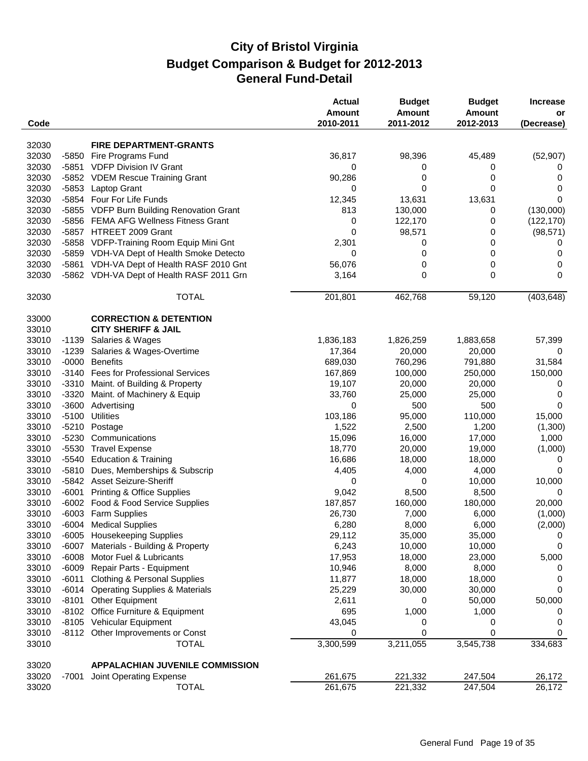| Code  |         |                                           | <b>Actual</b><br>Amount<br>2010-2011 | <b>Budget</b><br><b>Amount</b><br>2011-2012 | <b>Budget</b><br><b>Amount</b><br>2012-2013 | <b>Increase</b><br>or<br>(Decrease) |
|-------|---------|-------------------------------------------|--------------------------------------|---------------------------------------------|---------------------------------------------|-------------------------------------|
| 32030 |         | <b>FIRE DEPARTMENT-GRANTS</b>             |                                      |                                             |                                             |                                     |
| 32030 | $-5850$ | Fire Programs Fund                        | 36,817                               | 98,396                                      | 45,489                                      | (52, 907)                           |
| 32030 | -5851   | <b>VDFP Division IV Grant</b>             | 0                                    | 0                                           | 0                                           | 0                                   |
| 32030 |         | -5852 VDEM Rescue Training Grant          | 90,286                               | 0                                           | 0                                           | 0                                   |
| 32030 |         | -5853 Laptop Grant                        | 0                                    | 0                                           | 0                                           | 0                                   |
| 32030 |         | -5854 Four For Life Funds                 | 12,345                               | 13,631                                      | 13,631                                      | $\Omega$                            |
| 32030 |         | -5855 VDFP Burn Building Renovation Grant | 813                                  | 130,000                                     | 0                                           | (130,000)                           |
| 32030 |         | -5856 FEMA AFG Wellness Fitness Grant     | 0                                    | 122,170                                     | 0                                           | (122, 170)                          |
| 32030 |         | -5857 HTREET 2009 Grant                   | 0                                    | 98,571                                      | 0                                           | (98, 571)                           |
| 32030 |         | -5858 VDFP-Training Room Equip Mini Gnt   | 2,301                                | 0                                           | 0                                           | 0                                   |
| 32030 |         | -5859 VDH-VA Dept of Health Smoke Detecto | 0                                    | 0                                           | 0                                           | 0                                   |
| 32030 |         | -5861 VDH-VA Dept of Health RASF 2010 Gnt | 56,076                               | 0                                           | 0                                           | 0                                   |
| 32030 |         | -5862 VDH-VA Dept of Health RASF 2011 Grn | 3,164                                | 0                                           | 0                                           | 0                                   |
|       |         |                                           |                                      |                                             |                                             |                                     |
| 32030 |         | <b>TOTAL</b>                              | 201,801                              | 462,768                                     | 59,120                                      | (403, 648)                          |
| 33000 |         | <b>CORRECTION &amp; DETENTION</b>         |                                      |                                             |                                             |                                     |
| 33010 |         | <b>CITY SHERIFF &amp; JAIL</b>            |                                      |                                             |                                             |                                     |
| 33010 |         | -1139 Salaries & Wages                    | 1,836,183                            | 1,826,259                                   | 1,883,658                                   | 57,399                              |
| 33010 | $-1239$ | Salaries & Wages-Overtime                 | 17,364                               | 20,000                                      | 20,000                                      | 0                                   |
| 33010 | $-0000$ | <b>Benefits</b>                           | 689,030                              | 760,296                                     | 791,880                                     | 31,584                              |
| 33010 | $-3140$ | <b>Fees for Professional Services</b>     | 167,869                              | 100,000                                     | 250,000                                     | 150,000                             |
| 33010 | $-3310$ | Maint. of Building & Property             | 19,107                               | 20,000                                      | 20,000                                      | 0                                   |
| 33010 | $-3320$ | Maint. of Machinery & Equip               | 33,760                               | 25,000                                      | 25,000                                      | 0                                   |
| 33010 | $-3600$ | Advertising                               | 0                                    | 500                                         | 500                                         | 0                                   |
| 33010 | $-5100$ | <b>Utilities</b>                          | 103,186                              | 95,000                                      | 110,000                                     | 15,000                              |
| 33010 | $-5210$ | Postage                                   | 1,522                                | 2,500                                       | 1,200                                       | (1,300)                             |
| 33010 | $-5230$ | Communications                            | 15,096                               | 16,000                                      | 17,000                                      | 1,000                               |
| 33010 | $-5530$ | <b>Travel Expense</b>                     | 18,770                               | 20,000                                      | 19,000                                      | (1,000)                             |
| 33010 | -5540   | <b>Education &amp; Training</b>           | 16,686                               | 18,000                                      | 18,000                                      | 0                                   |
| 33010 | $-5810$ | Dues, Memberships & Subscrip              | 4,405                                | 4,000                                       | 4,000                                       | 0                                   |
| 33010 |         | -5842 Asset Seizure-Sheriff               | 0                                    | 0                                           | 10,000                                      | 10,000                              |
| 33010 | $-6001$ | <b>Printing &amp; Office Supplies</b>     | 9,042                                | 8,500                                       | 8,500                                       | 0                                   |
| 33010 |         | -6002 Food & Food Service Supplies        | 187,857                              | 160,000                                     | 180,000                                     | 20,000                              |
| 33010 |         | -6003 Farm Supplies                       | 26,730                               | 7,000                                       | 6,000                                       | (1,000)                             |
| 33010 |         | -6004 Medical Supplies                    | 6,280                                | 8,000                                       | 6,000                                       | (2,000)                             |
| 33010 |         | -6005 Housekeeping Supplies               | 29,112                               | 35,000                                      | 35,000                                      | 0                                   |
| 33010 | -6007   | Materials - Building & Property           | 6,243                                | 10,000                                      | 10,000                                      | 0                                   |
| 33010 | $-6008$ | Motor Fuel & Lubricants                   | 17,953                               | 18,000                                      | 23,000                                      | 5,000                               |
| 33010 | $-6009$ | Repair Parts - Equipment                  | 10,946                               | 8,000                                       | 8,000                                       | 0                                   |
| 33010 | $-6011$ | <b>Clothing &amp; Personal Supplies</b>   | 11,877                               | 18,000                                      | 18,000                                      | 0                                   |
| 33010 |         | -6014 Operating Supplies & Materials      | 25,229                               | 30,000                                      | 30,000                                      | 0                                   |
| 33010 | $-8101$ | Other Equipment                           | 2,611                                | 0                                           | 50,000                                      | 50,000                              |
| 33010 |         | -8102 Office Furniture & Equipment        | 695                                  | 1,000                                       | 1,000                                       | 0                                   |
| 33010 |         | -8105 Vehicular Equipment                 | 43,045                               | 0                                           | 0                                           | 0                                   |
| 33010 |         | -8112 Other Improvements or Const         | 0                                    | 0                                           | 0                                           | 0                                   |
| 33010 |         | <b>TOTAL</b>                              | 3,300,599                            | 3,211,055                                   | 3,545,738                                   | 334,683                             |
| 33020 |         | <b>APPALACHIAN JUVENILE COMMISSION</b>    |                                      |                                             |                                             |                                     |
| 33020 | -7001   | Joint Operating Expense                   | 261,675                              | 221,332                                     | 247,504                                     | 26,172                              |
| 33020 |         | <b>TOTAL</b>                              | 261,675                              | 221,332                                     | 247,504                                     | 26,172                              |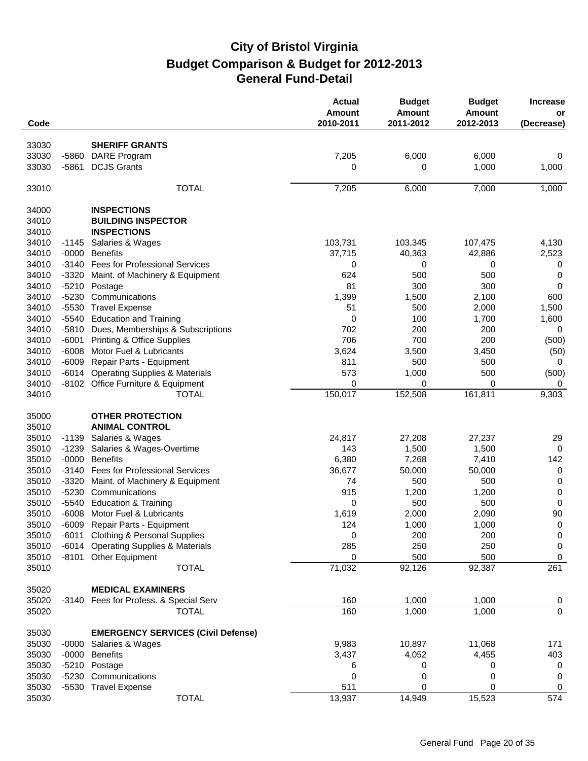| Code  |         |                                           | <b>Actual</b><br>Amount<br>2010-2011 | <b>Budget</b><br><b>Amount</b><br>2011-2012 | <b>Budget</b><br><b>Amount</b><br>2012-2013 | <b>Increase</b><br>or<br>(Decrease) |
|-------|---------|-------------------------------------------|--------------------------------------|---------------------------------------------|---------------------------------------------|-------------------------------------|
| 33030 |         | <b>SHERIFF GRANTS</b>                     |                                      |                                             |                                             |                                     |
| 33030 | $-5860$ | <b>DARE Program</b>                       | 7,205                                | 6,000                                       | 6,000                                       | 0                                   |
| 33030 | $-5861$ | <b>DCJS Grants</b>                        | 0                                    | 0                                           | 1,000                                       | 1,000                               |
| 33010 |         | <b>TOTAL</b>                              | 7,205                                | 6,000                                       | 7,000                                       | 1,000                               |
| 34000 |         | <b>INSPECTIONS</b>                        |                                      |                                             |                                             |                                     |
| 34010 |         | <b>BUILDING INSPECTOR</b>                 |                                      |                                             |                                             |                                     |
| 34010 |         | <b>INSPECTIONS</b>                        |                                      |                                             |                                             |                                     |
| 34010 | $-1145$ | Salaries & Wages                          | 103,731                              | 103,345                                     | 107,475                                     | 4,130                               |
| 34010 | $-0000$ | <b>Benefits</b>                           | 37,715                               | 40,363                                      | 42,886                                      | 2,523                               |
| 34010 | $-3140$ | <b>Fees for Professional Services</b>     | 0                                    | 0                                           | 0                                           | 0                                   |
| 34010 | $-3320$ | Maint. of Machinery & Equipment           | 624                                  | 500                                         | 500                                         | 0                                   |
| 34010 | $-5210$ | Postage                                   | 81                                   | 300                                         | 300                                         | $\Omega$                            |
| 34010 | $-5230$ | Communications                            | 1,399                                | 1,500                                       | 2,100                                       | 600                                 |
| 34010 | $-5530$ | <b>Travel Expense</b>                     | 51                                   | 500                                         | 2,000                                       | 1,500                               |
| 34010 | $-5540$ | <b>Education and Training</b>             | 0                                    | 100                                         | 1,700                                       | 1,600                               |
| 34010 | $-5810$ | Dues, Memberships & Subscriptions         | 702                                  | 200                                         | 200                                         | 0                                   |
| 34010 | $-6001$ | <b>Printing &amp; Office Supplies</b>     | 706                                  | 700                                         | 200                                         | (500)                               |
| 34010 | $-6008$ | Motor Fuel & Lubricants                   | 3,624                                | 3,500                                       | 3,450                                       | (50)                                |
| 34010 | $-6009$ | Repair Parts - Equipment                  | 811                                  | 500                                         | 500                                         | 0                                   |
| 34010 | $-6014$ | <b>Operating Supplies &amp; Materials</b> | 573                                  | 1,000                                       | 500                                         | (500)                               |
| 34010 |         | -8102 Office Furniture & Equipment        | 0                                    | 0                                           | 0                                           | 0                                   |
| 34010 |         | <b>TOTAL</b>                              | 150,017                              | 152,508                                     | 161,811                                     | 9,303                               |
| 35000 |         | <b>OTHER PROTECTION</b>                   |                                      |                                             |                                             |                                     |
| 35010 |         | <b>ANIMAL CONTROL</b>                     |                                      |                                             |                                             |                                     |
| 35010 | $-1139$ | Salaries & Wages                          | 24,817                               | 27,208                                      | 27,237                                      | 29                                  |
| 35010 | $-1239$ | Salaries & Wages-Overtime                 | 143                                  | 1,500                                       | 1,500                                       | 0                                   |
| 35010 | $-0000$ | <b>Benefits</b>                           | 6,380                                | 7,268                                       | 7,410                                       | 142                                 |
| 35010 | $-3140$ | <b>Fees for Professional Services</b>     | 36,677                               | 50,000                                      | 50,000                                      | 0                                   |
| 35010 | $-3320$ | Maint. of Machinery & Equipment           | 74                                   | 500                                         | 500                                         | $\mathbf 0$                         |
| 35010 | $-5230$ | Communications                            | 915                                  | 1,200                                       | 1,200                                       | $\boldsymbol{0}$                    |
| 35010 | $-5540$ | <b>Education &amp; Training</b>           | 0                                    | 500                                         | 500                                         | $\mathsf 0$                         |
| 35010 | -6008   | Motor Fuel & Lubricants                   | 1,619                                | 2,000                                       | 2,090                                       | 90                                  |
| 35010 |         | -6009 Repair Parts - Equipment            | 124                                  | 1,000                                       | 1,000                                       | $\boldsymbol{0}$                    |
| 35010 |         | -6011 Clothing & Personal Supplies        | 0                                    | 200                                         | 200                                         | $\boldsymbol{0}$                    |
| 35010 |         | -6014 Operating Supplies & Materials      | 285                                  | 250                                         | 250                                         | 0                                   |
| 35010 |         | -8101 Other Equipment                     | 0                                    | 500                                         | 500                                         | 0                                   |
| 35010 |         | <b>TOTAL</b>                              | 71,032                               | 92,126                                      | 92,387                                      | 261                                 |
| 35020 |         | <b>MEDICAL EXAMINERS</b>                  |                                      |                                             |                                             |                                     |
| 35020 |         | -3140 Fees for Profess. & Special Serv    | 160                                  | 1,000                                       | 1,000                                       | $\mathbf 0$                         |
| 35020 |         | <b>TOTAL</b>                              | 160                                  | 1,000                                       | 1,000                                       | $\mathbf 0$                         |
| 35030 |         | <b>EMERGENCY SERVICES (Civil Defense)</b> |                                      |                                             |                                             |                                     |
| 35030 | -0000   | Salaries & Wages                          | 9,983                                | 10,897                                      | 11,068                                      | 171                                 |
| 35030 | $-0000$ | <b>Benefits</b>                           | 3,437                                | 4,052                                       | 4,455                                       | 403                                 |
| 35030 |         | -5210 Postage                             | 6                                    | 0                                           | 0                                           | 0                                   |
| 35030 |         | -5230 Communications                      | 0                                    | 0                                           | 0                                           | 0                                   |
| 35030 |         | -5530 Travel Expense                      | 511                                  | 0                                           | 0                                           | 0                                   |
| 35030 |         | <b>TOTAL</b>                              | 13,937                               | 14,949                                      | 15,523                                      | 574                                 |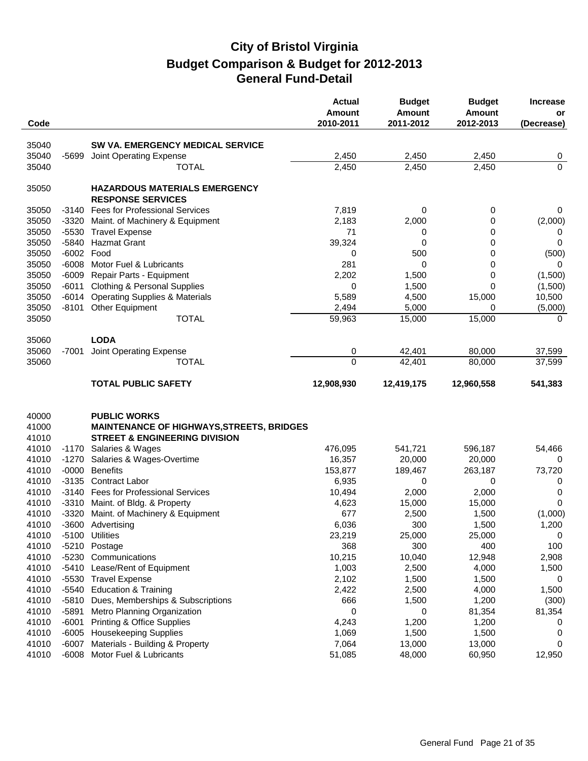|       |         |                                                                  | <b>Actual</b><br>Amount | <b>Budget</b><br><b>Amount</b> | <b>Budget</b><br><b>Amount</b> | <b>Increase</b><br>or |
|-------|---------|------------------------------------------------------------------|-------------------------|--------------------------------|--------------------------------|-----------------------|
| Code  |         |                                                                  | 2010-2011               | 2011-2012                      | 2012-2013                      | (Decrease)            |
| 35040 |         | SW VA. EMERGENCY MEDICAL SERVICE                                 |                         |                                |                                |                       |
| 35040 | $-5699$ | Joint Operating Expense                                          | 2,450                   | 2,450                          | 2,450                          | 0                     |
| 35040 |         | <b>TOTAL</b>                                                     | 2,450                   | 2,450                          | 2,450                          | $\overline{0}$        |
|       |         |                                                                  |                         |                                |                                |                       |
| 35050 |         | <b>HAZARDOUS MATERIALS EMERGENCY</b><br><b>RESPONSE SERVICES</b> |                         |                                |                                |                       |
| 35050 | -3140   | <b>Fees for Professional Services</b>                            | 7,819                   | 0                              | 0                              | 0                     |
| 35050 | $-3320$ | Maint. of Machinery & Equipment                                  | 2,183                   | 2,000                          | 0                              | (2,000)               |
| 35050 | $-5530$ | <b>Travel Expense</b>                                            | 71                      | 0                              | 0                              | 0                     |
| 35050 | -5840   | <b>Hazmat Grant</b>                                              | 39,324                  | 0                              | 0                              | 0                     |
| 35050 | $-6002$ | Food                                                             | 0                       | 500                            | 0                              | (500)                 |
| 35050 | $-6008$ | Motor Fuel & Lubricants                                          | 281                     | 0                              | 0                              | $\Omega$              |
| 35050 | $-6009$ | Repair Parts - Equipment                                         | 2,202                   | 1,500                          | 0                              | (1,500)               |
| 35050 | $-6011$ | <b>Clothing &amp; Personal Supplies</b>                          | 0                       | 1,500                          | 0                              | (1,500)               |
| 35050 | $-6014$ | <b>Operating Supplies &amp; Materials</b>                        | 5,589                   | 4,500                          | 15,000                         | 10,500                |
| 35050 | $-8101$ | <b>Other Equipment</b>                                           | 2,494                   | 5,000                          | 0                              | (5,000)               |
| 35050 |         | <b>TOTAL</b>                                                     | 59,963                  | 15,000                         | 15,000                         | $\Omega$              |
|       |         |                                                                  |                         |                                |                                |                       |
| 35060 |         | <b>LODA</b>                                                      |                         |                                |                                |                       |
| 35060 | -7001   | Joint Operating Expense                                          | 0                       | 42,401                         | 80,000                         | 37,599                |
| 35060 |         | <b>TOTAL</b>                                                     | 0                       | 42,401                         | 80,000                         | 37,599                |
|       |         | <b>TOTAL PUBLIC SAFETY</b>                                       | 12,908,930              | 12,419,175                     | 12,960,558                     | 541,383               |
| 40000 |         | <b>PUBLIC WORKS</b>                                              |                         |                                |                                |                       |
| 41000 |         |                                                                  |                         |                                |                                |                       |
|       |         | <b>MAINTENANCE OF HIGHWAYS, STREETS, BRIDGES</b>                 |                         |                                |                                |                       |
| 41010 |         | <b>STREET &amp; ENGINEERING DIVISION</b>                         |                         |                                |                                |                       |
| 41010 | $-1170$ | Salaries & Wages                                                 | 476,095                 | 541,721                        | 596,187                        | 54,466                |
| 41010 | $-1270$ | Salaries & Wages-Overtime                                        | 16,357                  | 20,000                         | 20,000                         | 0                     |
| 41010 | $-0000$ | <b>Benefits</b>                                                  | 153,877                 | 189,467                        | 263,187                        | 73,720                |
| 41010 | $-3135$ | <b>Contract Labor</b>                                            | 6,935                   | 0                              | 0                              | 0                     |
| 41010 | $-3140$ | <b>Fees for Professional Services</b>                            | 10,494                  | 2,000                          | 2,000                          | 0                     |
| 41010 |         | -3310 Maint. of Bldg. & Property                                 | 4,623                   | 15,000                         | 15,000                         | 0                     |
| 41010 | -3320   | Maint. of Machinery & Equipment                                  | 677                     | 2,500                          | 1,500                          | (1,000)               |
| 41010 |         | -3600 Advertising                                                | 6,036                   | 300                            | 1,500                          | 1,200                 |
| 41010 |         | -5100 Utilities                                                  | 23,219                  | 25,000                         | 25,000                         | 0                     |
| 41010 |         | -5210 Postage                                                    | 368                     | 300                            | 400                            | 100                   |
| 41010 |         | -5230 Communications                                             | 10,215                  | 10,040                         | 12,948                         | 2,908                 |
| 41010 | $-5410$ | Lease/Rent of Equipment                                          | 1,003                   | 2,500                          | 4,000                          | 1,500                 |
| 41010 |         | -5530 Travel Expense                                             | 2,102                   | 1,500                          | 1,500                          | 0                     |
| 41010 | -5540   | <b>Education &amp; Training</b>                                  | 2,422                   | 2,500                          | 4,000                          | 1,500                 |
| 41010 | -5810   | Dues, Memberships & Subscriptions                                | 666                     | 1,500                          | 1,200                          | (300)                 |
| 41010 | -5891   | Metro Planning Organization                                      | 0                       | 0                              | 81,354                         | 81,354                |
| 41010 | $-6001$ | <b>Printing &amp; Office Supplies</b>                            | 4,243                   | 1,200                          | 1,200                          | 0                     |
| 41010 | -6005   | <b>Housekeeping Supplies</b>                                     | 1,069                   | 1,500                          | 1,500                          | 0                     |
| 41010 | -6007   | Materials - Building & Property                                  | 7,064                   | 13,000                         | 13,000                         | 0                     |
| 41010 |         | -6008 Motor Fuel & Lubricants                                    | 51,085                  | 48,000                         | 60,950                         | 12,950                |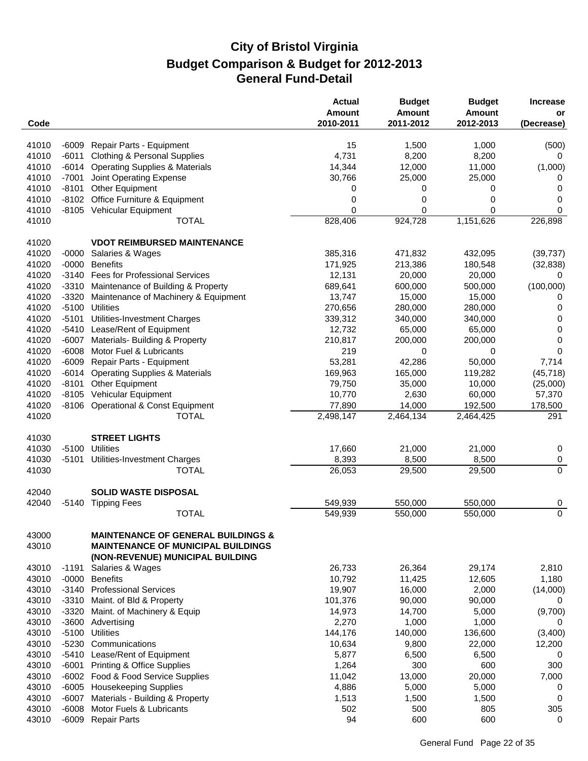| Code           |         |                                                                                                                                | <b>Actual</b><br>Amount<br>2010-2011 | <b>Budget</b><br><b>Amount</b><br>2011-2012 | <b>Budget</b><br><b>Amount</b><br>2012-2013 | <b>Increase</b><br>or<br>(Decrease) |
|----------------|---------|--------------------------------------------------------------------------------------------------------------------------------|--------------------------------------|---------------------------------------------|---------------------------------------------|-------------------------------------|
|                |         |                                                                                                                                |                                      |                                             |                                             |                                     |
| 41010          | $-6009$ | Repair Parts - Equipment                                                                                                       | 15                                   | 1,500                                       | 1,000                                       | (500)                               |
| 41010          | $-6011$ | <b>Clothing &amp; Personal Supplies</b>                                                                                        | 4,731                                | 8,200                                       | 8,200                                       | 0                                   |
| 41010          | $-6014$ | <b>Operating Supplies &amp; Materials</b>                                                                                      | 14,344                               | 12,000                                      | 11,000                                      | (1,000)                             |
| 41010          | $-7001$ | Joint Operating Expense                                                                                                        | 30,766                               | 25,000                                      | 25,000                                      | 0                                   |
| 41010          | $-8101$ | <b>Other Equipment</b>                                                                                                         | 0                                    | 0                                           | 0                                           | 0                                   |
| 41010          | $-8102$ | Office Furniture & Equipment                                                                                                   | 0                                    | 0                                           | 0                                           | 0                                   |
| 41010          |         | -8105 Vehicular Equipment                                                                                                      | $\Omega$                             | 0                                           | 0                                           | 0                                   |
| 41010          |         | <b>TOTAL</b>                                                                                                                   | 828,406                              | 924,728                                     | 1,151,626                                   | 226,898                             |
| 41020          |         | <b>VDOT REIMBURSED MAINTENANCE</b>                                                                                             |                                      |                                             |                                             |                                     |
| 41020          | $-0000$ | Salaries & Wages                                                                                                               | 385,316                              | 471,832                                     | 432,095                                     | (39, 737)                           |
| 41020          | $-0000$ | <b>Benefits</b>                                                                                                                | 171,925                              | 213,386                                     | 180,548                                     | (32, 838)                           |
| 41020          | $-3140$ | <b>Fees for Professional Services</b>                                                                                          | 12,131                               | 20,000                                      | 20,000                                      | 0                                   |
| 41020          | $-3310$ | Maintenance of Building & Property                                                                                             | 689,641                              | 600,000                                     | 500,000                                     | (100,000)                           |
| 41020          | $-3320$ | Maintenance of Machinery & Equipment                                                                                           | 13,747                               | 15,000                                      | 15,000                                      | 0                                   |
| 41020          | $-5100$ | <b>Utilities</b>                                                                                                               | 270,656                              | 280,000                                     | 280,000                                     | 0                                   |
| 41020          | $-5101$ | Utilities-Investment Charges                                                                                                   | 339,312                              | 340,000                                     | 340,000                                     | 0                                   |
| 41020          | $-5410$ | Lease/Rent of Equipment                                                                                                        | 12,732                               | 65,000                                      | 65,000                                      | 0                                   |
| 41020          | $-6007$ | Materials- Building & Property                                                                                                 | 210,817                              | 200,000                                     | 200,000                                     | 0                                   |
| 41020          | $-6008$ | Motor Fuel & Lubricants                                                                                                        | 219                                  | 0                                           | 0                                           | 0                                   |
| 41020          | $-6009$ | Repair Parts - Equipment                                                                                                       | 53,281                               | 42,286                                      | 50,000                                      | 7,714                               |
| 41020          | $-6014$ | <b>Operating Supplies &amp; Materials</b>                                                                                      | 169,963                              | 165,000                                     | 119,282                                     | (45, 718)                           |
| 41020          | $-8101$ | Other Equipment                                                                                                                | 79,750                               | 35,000                                      | 10,000                                      | (25,000)                            |
| 41020          | $-8105$ | Vehicular Equipment                                                                                                            | 10,770                               | 2,630                                       | 60,000                                      | 57,370                              |
| 41020          | -8106   | <b>Operational &amp; Const Equipment</b>                                                                                       | 77,890                               | 14,000                                      | 192,500                                     | 178,500                             |
| 41020          |         | <b>TOTAL</b>                                                                                                                   | 2,498,147                            | 2,464,134                                   | 2,464,425                                   | 291                                 |
|                |         |                                                                                                                                |                                      |                                             |                                             |                                     |
| 41030          |         | <b>STREET LIGHTS</b>                                                                                                           |                                      |                                             |                                             |                                     |
| 41030          | $-5100$ | Utilities                                                                                                                      | 17,660                               | 21,000                                      | 21,000                                      | 0                                   |
| 41030          | -5101   | Utilities-Investment Charges                                                                                                   | 8,393                                | 8,500                                       | 8,500                                       | 0                                   |
| 41030          |         | <b>TOTAL</b>                                                                                                                   | 26,053                               | 29,500                                      | 29,500                                      | $\overline{0}$                      |
| 42040          |         | <b>SOLID WASTE DISPOSAL</b>                                                                                                    |                                      |                                             |                                             |                                     |
| 42040          | $-5140$ | <b>Tipping Fees</b>                                                                                                            | 549,939                              | 550,000                                     | 550,000                                     | 0                                   |
|                |         | <b>TOTAL</b>                                                                                                                   | 549,939                              | 550,000                                     | 550,000                                     | $\overline{0}$                      |
| 43000<br>43010 |         | <b>MAINTENANCE OF GENERAL BUILDINGS &amp;</b><br><b>MAINTENANCE OF MUNICIPAL BUILDINGS</b><br>(NON-REVENUE) MUNICIPAL BUILDING |                                      |                                             |                                             |                                     |
| 43010          | $-1191$ | Salaries & Wages                                                                                                               | 26,733                               | 26,364                                      | 29,174                                      | 2,810                               |
| 43010          | $-0000$ | <b>Benefits</b>                                                                                                                | 10,792                               | 11,425                                      | 12,605                                      | 1,180                               |
| 43010          | $-3140$ | <b>Professional Services</b>                                                                                                   | 19,907                               | 16,000                                      | 2,000                                       | (14,000)                            |
| 43010          | $-3310$ | Maint. of Bld & Property                                                                                                       | 101,376                              | 90,000                                      | 90,000                                      | 0                                   |
| 43010          | $-3320$ | Maint. of Machinery & Equip                                                                                                    | 14,973                               | 14,700                                      | 5,000                                       | (9,700)                             |
| 43010          |         | -3600 Advertising                                                                                                              | 2,270                                | 1,000                                       | 1,000                                       | 0                                   |
| 43010          | $-5100$ | <b>Utilities</b>                                                                                                               | 144,176                              | 140,000                                     | 136,600                                     | (3,400)                             |
| 43010          | $-5230$ | Communications                                                                                                                 | 10,634                               | 9,800                                       | 22,000                                      | 12,200                              |
| 43010          | $-5410$ | Lease/Rent of Equipment                                                                                                        | 5,877                                | 6,500                                       | 6,500                                       | 0                                   |
| 43010          | $-6001$ | <b>Printing &amp; Office Supplies</b>                                                                                          | 1,264                                | 300                                         | 600                                         | 300                                 |
| 43010          |         | -6002 Food & Food Service Supplies                                                                                             | 11,042                               | 13,000                                      | 20,000                                      | 7,000                               |
| 43010          | $-6005$ | <b>Housekeeping Supplies</b>                                                                                                   | 4,886                                | 5,000                                       | 5,000                                       | 0                                   |
| 43010          | $-6007$ | Materials - Building & Property                                                                                                | 1,513                                | 1,500                                       | 1,500                                       | 0                                   |
| 43010          | $-6008$ | Motor Fuels & Lubricants                                                                                                       | 502                                  | 500                                         | 805                                         | 305                                 |
| 43010          | $-6009$ | <b>Repair Parts</b>                                                                                                            | 94                                   | 600                                         | 600                                         | 0                                   |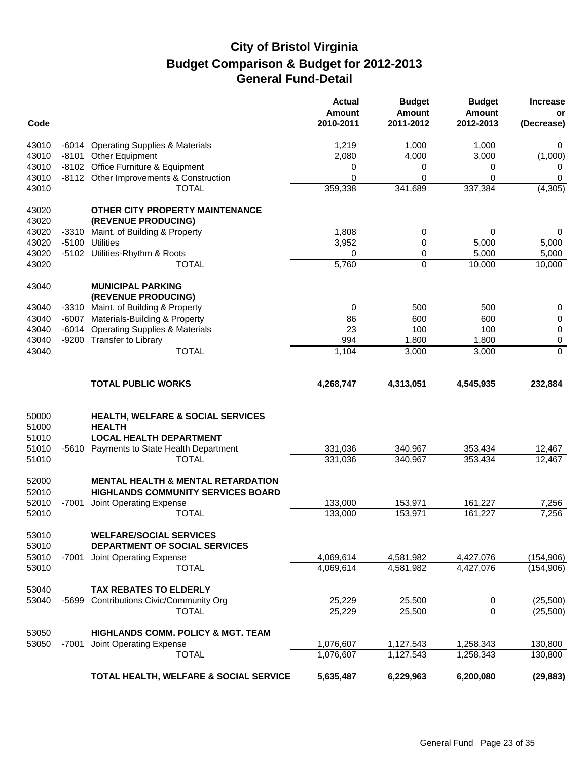| Code                    |         |                                                                                      | <b>Actual</b><br><b>Amount</b><br>2010-2011 | <b>Budget</b><br><b>Amount</b><br>2011-2012 | <b>Budget</b><br><b>Amount</b><br>2012-2013 | <b>Increase</b><br>or<br>(Decrease) |
|-------------------------|---------|--------------------------------------------------------------------------------------|---------------------------------------------|---------------------------------------------|---------------------------------------------|-------------------------------------|
|                         |         |                                                                                      |                                             |                                             |                                             |                                     |
| 43010                   | $-6014$ | <b>Operating Supplies &amp; Materials</b>                                            | 1,219                                       | 1,000                                       | 1,000                                       | 0                                   |
| 43010                   |         | -8101 Other Equipment                                                                | 2,080                                       | 4,000                                       | 3,000                                       | (1,000)                             |
| 43010                   | -8102   | Office Furniture & Equipment                                                         | 0<br>0                                      | 0                                           | 0                                           | 0                                   |
| 43010<br>43010          |         | -8112 Other Improvements & Construction<br><b>TOTAL</b>                              | 359,338                                     | 0<br>341,689                                | 0<br>337,384                                | 0<br>(4, 305)                       |
| 43020                   |         | OTHER CITY PROPERTY MAINTENANCE                                                      |                                             |                                             |                                             |                                     |
| 43020                   |         | (REVENUE PRODUCING)                                                                  |                                             |                                             |                                             |                                     |
| 43020                   | $-3310$ | Maint. of Building & Property                                                        | 1,808                                       | 0                                           | 0                                           | 0                                   |
| 43020                   | $-5100$ | Utilities                                                                            | 3,952                                       | 0                                           | 5,000                                       | 5,000                               |
| 43020                   |         | -5102 Utilities-Rhythm & Roots                                                       | 0                                           | 0                                           | 5,000                                       | 5,000                               |
| 43020                   |         | <b>TOTAL</b>                                                                         | 5,760                                       | 0                                           | 10,000                                      | 10,000                              |
| 43040                   |         | <b>MUNICIPAL PARKING</b><br>(REVENUE PRODUCING)                                      |                                             |                                             |                                             |                                     |
| 43040                   | $-3310$ | Maint. of Building & Property                                                        | 0                                           | 500                                         | 500                                         |                                     |
| 43040                   | $-6007$ | Materials-Building & Property                                                        | 86                                          | 600                                         | 600                                         | 0<br>0                              |
| 43040                   | $-6014$ | <b>Operating Supplies &amp; Materials</b>                                            | 23                                          | 100                                         | 100                                         | 0                                   |
| 43040                   |         | -9200 Transfer to Library                                                            | 994                                         | 1,800                                       | 1,800                                       | 0                                   |
| 43040                   |         | <b>TOTAL</b>                                                                         | 1,104                                       | 3,000                                       | 3,000                                       | 0                                   |
|                         |         | <b>TOTAL PUBLIC WORKS</b>                                                            | 4,268,747                                   | 4,313,051                                   | 4,545,935                                   | 232,884                             |
| 50000<br>51000<br>51010 |         | HEALTH, WELFARE & SOCIAL SERVICES<br><b>HEALTH</b><br><b>LOCAL HEALTH DEPARTMENT</b> |                                             |                                             |                                             |                                     |
| 51010                   | -5610   | Payments to State Health Department                                                  | 331,036                                     | 340,967                                     | 353,434                                     | 12,467                              |
| 51010                   |         | <b>TOTAL</b>                                                                         | 331,036                                     | 340,967                                     | 353,434                                     | 12,467                              |
| 52000<br>52010          |         | <b>MENTAL HEALTH &amp; MENTAL RETARDATION</b><br>HIGHLANDS COMMUNITY SERVICES BOARD  |                                             |                                             |                                             |                                     |
| 52010                   | -7001   | Joint Operating Expense                                                              | 133,000                                     | 153,971                                     | 161,227                                     | 7,256                               |
| 52010                   |         | <b>TOTAL</b>                                                                         | 133,000                                     | 153,971                                     | 161,227                                     | 7,256                               |
| 53010<br>53010          |         | <b>WELFARE/SOCIAL SERVICES</b><br>DEPARTMENT OF SOCIAL SERVICES                      |                                             |                                             |                                             |                                     |
| 53010                   | $-7001$ | Joint Operating Expense                                                              | 4,069,614                                   | 4,581,982                                   | 4,427,076                                   | (154,906)                           |
| 53010                   |         | <b>TOTAL</b>                                                                         | 4,069,614                                   | 4,581,982                                   | 4,427,076                                   | (154, 906)                          |
| 53040                   |         | <b>TAX REBATES TO ELDERLY</b>                                                        |                                             |                                             |                                             |                                     |
| 53040                   | $-5699$ | <b>Contributions Civic/Community Org</b>                                             | 25,229                                      | 25,500                                      | 0                                           | (25,500)                            |
|                         |         | <b>TOTAL</b>                                                                         | 25,229                                      | 25,500                                      | $\overline{0}$                              | (25,500)                            |
| 53050                   |         | <b>HIGHLANDS COMM. POLICY &amp; MGT. TEAM</b>                                        |                                             |                                             |                                             |                                     |
| 53050                   | $-7001$ | Joint Operating Expense                                                              | 1,076,607                                   | 1,127,543                                   | 1,258,343                                   | 130,800                             |
|                         |         | <b>TOTAL</b>                                                                         | 1,076,607                                   | 1,127,543                                   | 1,258,343                                   | 130,800                             |
|                         |         | TOTAL HEALTH, WELFARE & SOCIAL SERVICE                                               | 5,635,487                                   | 6,229,963                                   | 6,200,080                                   | (29, 883)                           |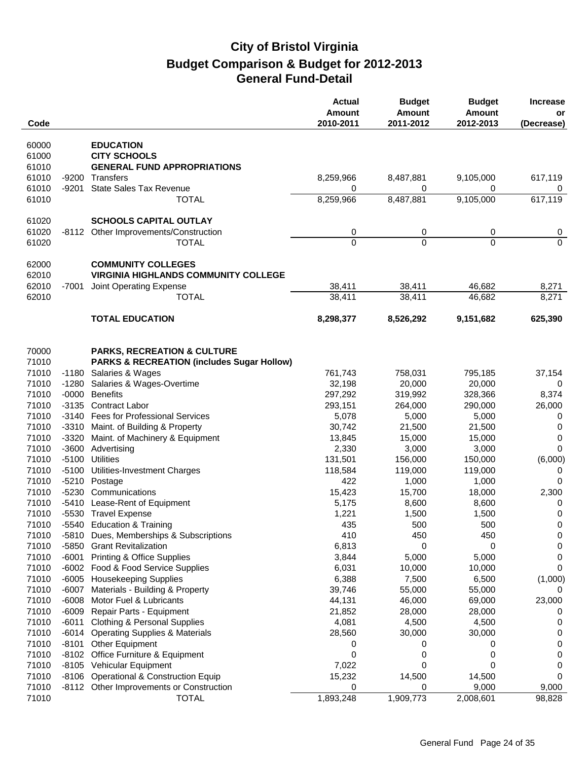| Code           |                  |                                                                        | <b>Actual</b><br>Amount<br>2010-2011 | <b>Budget</b><br><b>Amount</b><br>2011-2012 | <b>Budget</b><br><b>Amount</b><br>2012-2013 | <b>Increase</b><br>or<br>(Decrease) |
|----------------|------------------|------------------------------------------------------------------------|--------------------------------------|---------------------------------------------|---------------------------------------------|-------------------------------------|
| 60000          |                  | <b>EDUCATION</b>                                                       |                                      |                                             |                                             |                                     |
| 61000          |                  | <b>CITY SCHOOLS</b>                                                    |                                      |                                             |                                             |                                     |
| 61010          |                  | <b>GENERAL FUND APPROPRIATIONS</b>                                     |                                      |                                             |                                             |                                     |
| 61010          | -9200            | Transfers                                                              | 8,259,966                            | 8,487,881                                   | 9,105,000                                   | 617,119                             |
| 61010          | $-9201$          | <b>State Sales Tax Revenue</b>                                         | 0                                    | 0                                           | 0                                           | 0                                   |
| 61010          |                  | <b>TOTAL</b>                                                           | 8,259,966                            | 8,487,881                                   | 9,105,000                                   | 617,119                             |
| 61020          |                  | <b>SCHOOLS CAPITAL OUTLAY</b>                                          |                                      |                                             |                                             |                                     |
| 61020          | -8112            | Other Improvements/Construction                                        | 0                                    | 0                                           | 0                                           | 0                                   |
| 61020          |                  | <b>TOTAL</b>                                                           | $\overline{0}$                       | $\Omega$                                    | $\Omega$                                    | $\Omega$                            |
| 62000          |                  | <b>COMMUNITY COLLEGES</b>                                              |                                      |                                             |                                             |                                     |
| 62010          |                  | <b>VIRGINIA HIGHLANDS COMMUNITY COLLEGE</b>                            |                                      |                                             |                                             |                                     |
| 62010          | $-7001$          | Joint Operating Expense                                                | 38,411                               | 38,411                                      | 46,682                                      | 8,271                               |
| 62010          |                  | <b>TOTAL</b>                                                           | 38,411                               | 38,411                                      | 46,682                                      | 8,271                               |
|                |                  | <b>TOTAL EDUCATION</b>                                                 | 8,298,377                            | 8,526,292                                   | 9,151,682                                   | 625,390                             |
|                |                  |                                                                        |                                      |                                             |                                             |                                     |
| 70000          |                  | <b>PARKS, RECREATION &amp; CULTURE</b>                                 |                                      |                                             |                                             |                                     |
| 71010          |                  | <b>PARKS &amp; RECREATION (includes Sugar Hollow)</b>                  |                                      |                                             |                                             |                                     |
| 71010          | -1180            | Salaries & Wages                                                       | 761,743                              | 758,031                                     | 795,185                                     | 37,154                              |
| 71010          | -1280            | Salaries & Wages-Overtime                                              | 32,198                               | 20,000                                      | 20,000                                      | 0                                   |
| 71010          |                  | -0000 Benefits                                                         | 297,292                              | 319,992                                     | 328,366                                     | 8,374                               |
| 71010          | $-3135$          | <b>Contract Labor</b>                                                  | 293,151                              | 264,000                                     | 290,000                                     | 26,000                              |
| 71010<br>71010 |                  | -3140 Fees for Professional Services                                   | 5,078<br>30,742                      | 5,000                                       | 5,000                                       | 0                                   |
| 71010          | $-3320$          | -3310 Maint. of Building & Property<br>Maint. of Machinery & Equipment | 13,845                               | 21,500<br>15,000                            | 21,500<br>15,000                            | 0<br>0                              |
| 71010          |                  | -3600 Advertising                                                      | 2,330                                | 3,000                                       | 3,000                                       | $\mathbf 0$                         |
| 71010          | $-5100$          | <b>Utilities</b>                                                       | 131,501                              | 156,000                                     | 150,000                                     | (6,000)                             |
| 71010          | $-5100$          | Utilities-Investment Charges                                           | 118,584                              | 119,000                                     | 119,000                                     | 0                                   |
| 71010          |                  | -5210 Postage                                                          | 422                                  | 1,000                                       | 1,000                                       | 0                                   |
| 71010          | -5230            | Communications                                                         | 15,423                               | 15,700                                      | 18,000                                      | 2,300                               |
| 71010          |                  | -5410 Lease-Rent of Equipment                                          | 5,175                                | 8,600                                       | 8,600                                       | 0                                   |
| 71010          |                  | -5530 Travel Expense                                                   | 1,221                                | 1,500                                       | 1,500                                       | 0                                   |
| 71010          |                  | -5540 Education & Training                                             | 435                                  | 500                                         | 500                                         | 0                                   |
| 71010          |                  | -5810 Dues, Memberships & Subscriptions                                | 410                                  | 450                                         | 450                                         | 0                                   |
| 71010          | -5850            | <b>Grant Revitalization</b>                                            | 6,813                                | 0                                           | 0                                           | 0                                   |
| 71010          | -6001            | <b>Printing &amp; Office Supplies</b>                                  | 3,844                                | 5,000                                       | 5,000                                       | 0                                   |
| 71010          |                  | -6002 Food & Food Service Supplies                                     | 6,031                                | 10,000                                      | 10,000                                      | 0                                   |
| 71010          |                  | -6005 Housekeeping Supplies                                            | 6,388                                | 7,500                                       | 6,500                                       | (1,000)                             |
| 71010<br>71010 | -6007<br>$-6008$ | Materials - Building & Property<br>Motor Fuel & Lubricants             | 39,746<br>44,131                     | 55,000<br>46,000                            | 55,000                                      | 0                                   |
| 71010          | $-6009$          | Repair Parts - Equipment                                               | 21,852                               | 28,000                                      | 69,000<br>28,000                            | 23,000<br>0                         |
| 71010          | $-6011$          | <b>Clothing &amp; Personal Supplies</b>                                | 4,081                                | 4,500                                       | 4,500                                       | 0                                   |
| 71010          | -6014            | <b>Operating Supplies &amp; Materials</b>                              | 28,560                               | 30,000                                      | 30,000                                      | 0                                   |
| 71010          | -8101            | <b>Other Equipment</b>                                                 | 0                                    | 0                                           | 0                                           | 0                                   |
| 71010          |                  | -8102 Office Furniture & Equipment                                     | 0                                    | 0                                           | 0                                           | 0                                   |
| 71010          |                  | -8105 Vehicular Equipment                                              | 7,022                                | 0                                           | 0                                           | 0                                   |
| 71010          | -8106            | <b>Operational &amp; Construction Equip</b>                            | 15,232                               | 14,500                                      | 14,500                                      | 0                                   |
| 71010          |                  | -8112 Other Improvements or Construction                               | 0                                    | 0                                           | 9,000                                       | 9,000                               |
| 71010          |                  | <b>TOTAL</b>                                                           | 1,893,248                            | 1,909,773                                   | 2,008,601                                   | 98,828                              |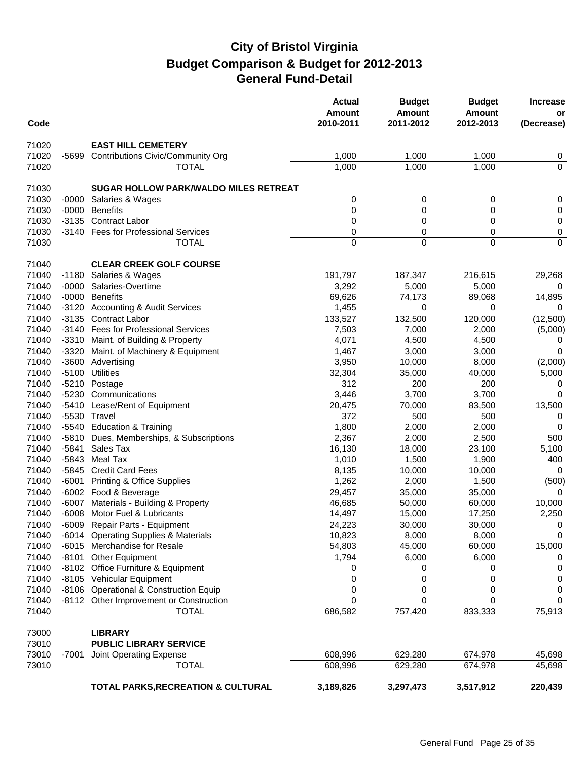| Code  |         |                                              | <b>Actual</b><br><b>Amount</b><br>2010-2011 | <b>Budget</b><br><b>Amount</b><br>2011-2012 | <b>Budget</b><br><b>Amount</b><br>2012-2013 | <b>Increase</b><br>or<br>(Decrease) |
|-------|---------|----------------------------------------------|---------------------------------------------|---------------------------------------------|---------------------------------------------|-------------------------------------|
|       |         |                                              |                                             |                                             |                                             |                                     |
| 71020 |         | <b>EAST HILL CEMETERY</b>                    |                                             |                                             |                                             |                                     |
| 71020 | -5699   | <b>Contributions Civic/Community Org</b>     | 1,000                                       | 1,000                                       | 1,000                                       | 0<br>$\overline{0}$                 |
| 71020 |         | <b>TOTAL</b>                                 | 1,000                                       | 1,000                                       | 1,000                                       |                                     |
| 71030 |         | <b>SUGAR HOLLOW PARK/WALDO MILES RETREAT</b> |                                             |                                             |                                             |                                     |
| 71030 | $-0000$ | Salaries & Wages                             | 0                                           | 0                                           | 0                                           | 0                                   |
| 71030 | $-0000$ | <b>Benefits</b>                              | 0                                           | 0                                           | 0                                           | 0                                   |
| 71030 | $-3135$ | <b>Contract Labor</b>                        | 0                                           | 0                                           | 0                                           | 0                                   |
| 71030 | $-3140$ | <b>Fees for Professional Services</b>        | 0                                           | 0                                           | 0                                           | 0                                   |
| 71030 |         | <b>TOTAL</b>                                 | 0                                           | 0                                           | $\Omega$                                    | $\mathbf 0$                         |
| 71040 |         | <b>CLEAR CREEK GOLF COURSE</b>               |                                             |                                             |                                             |                                     |
| 71040 | $-1180$ | Salaries & Wages                             | 191,797                                     | 187,347                                     | 216,615                                     | 29,268                              |
| 71040 | $-0000$ | Salaries-Overtime                            | 3,292                                       | 5,000                                       | 5,000                                       | 0                                   |
| 71040 | $-0000$ | <b>Benefits</b>                              | 69,626                                      | 74,173                                      | 89,068                                      | 14,895                              |
| 71040 |         | -3120 Accounting & Audit Services            | 1,455                                       | 0                                           | 0                                           | $\Omega$                            |
| 71040 |         | -3135 Contract Labor                         | 133,527                                     | 132,500                                     | 120,000                                     | (12,500)                            |
| 71040 |         | -3140 Fees for Professional Services         | 7,503                                       | 7,000                                       | 2,000                                       | (5,000)                             |
| 71040 |         | -3310 Maint. of Building & Property          | 4,071                                       | 4,500                                       | 4,500                                       | 0                                   |
| 71040 | -3320   | Maint. of Machinery & Equipment              | 1,467                                       | 3,000                                       | 3,000                                       | 0                                   |
| 71040 |         | -3600 Advertising                            | 3,950                                       | 10,000                                      | 8,000                                       | (2,000)                             |
| 71040 | $-5100$ | <b>Utilities</b>                             | 32,304                                      | 35,000                                      | 40,000                                      | 5,000                               |
| 71040 | -5210   | Postage                                      | 312                                         | 200                                         | 200                                         | 0                                   |
| 71040 | -5230   | Communications                               | 3,446                                       | 3,700                                       | 3,700                                       | 0                                   |
| 71040 | $-5410$ | Lease/Rent of Equipment                      | 20,475                                      | 70,000                                      | 83,500                                      | 13,500                              |
| 71040 |         | -5530 Travel                                 | 372                                         | 500                                         | 500                                         | 0                                   |
| 71040 | -5540   | <b>Education &amp; Training</b>              | 1,800                                       | 2,000                                       | 2,000                                       | 0                                   |
| 71040 | $-5810$ | Dues, Memberships, & Subscriptions           | 2,367                                       | 2,000                                       | 2,500                                       | 500                                 |
| 71040 | $-5841$ | Sales Tax                                    | 16,130                                      | 18,000                                      | 23,100                                      | 5,100                               |
| 71040 | $-5843$ | Meal Tax                                     | 1,010                                       | 1,500                                       | 1,900                                       | 400                                 |
| 71040 | -5845   | <b>Credit Card Fees</b>                      | 8,135                                       | 10,000                                      | 10,000                                      | 0                                   |
| 71040 | $-6001$ | <b>Printing &amp; Office Supplies</b>        | 1,262                                       | 2,000                                       | 1,500                                       | (500)                               |
| 71040 |         | -6002 Food & Beverage                        | 29,457                                      | 35,000                                      | 35,000                                      | 0                                   |
| 71040 | $-6007$ | Materials - Building & Property              | 46,685                                      | 50,000                                      | 60,000                                      | 10,000                              |
| 71040 | $-6008$ | Motor Fuel & Lubricants                      | 14,497                                      | 15,000                                      | 17,250                                      | 2,250                               |
| 71040 |         | -6009 Repair Parts - Equipment               | 24,223                                      | 30,000                                      | 30,000                                      | $\Omega$                            |
| 71040 |         | -6014 Operating Supplies & Materials         | 10,823                                      | 8,000                                       | 8,000                                       | 0                                   |
| 71040 |         | -6015 Merchandise for Resale                 | 54,803                                      | 45,000                                      | 60,000                                      | 15,000                              |
| 71040 |         | -8101 Other Equipment                        | 1,794                                       | 6,000                                       | 6,000                                       | 0                                   |
| 71040 |         | -8102 Office Furniture & Equipment           | 0                                           | 0                                           | 0                                           | 0                                   |
| 71040 |         | -8105 Vehicular Equipment                    | 0                                           | 0                                           | 0                                           | 0                                   |
| 71040 |         | -8106 Operational & Construction Equip       | 0                                           | 0                                           | 0                                           | 0                                   |
| 71040 |         | -8112 Other Improvement or Construction      | 0                                           | 0                                           | 0                                           | 0                                   |
| 71040 |         | <b>TOTAL</b>                                 | 686,582                                     | 757,420                                     | 833,333                                     | 75,913                              |
| 73000 |         | <b>LIBRARY</b>                               |                                             |                                             |                                             |                                     |
| 73010 |         | <b>PUBLIC LIBRARY SERVICE</b>                |                                             |                                             |                                             |                                     |
| 73010 | -7001   | Joint Operating Expense                      | 608,996                                     | 629,280                                     | 674,978                                     | 45,698                              |
| 73010 |         | <b>TOTAL</b>                                 | 608,996                                     | 629,280                                     | 674,978                                     | 45,698                              |
|       |         | TOTAL PARKS, RECREATION & CULTURAL           | 3,189,826                                   | 3,297,473                                   | 3,517,912                                   | 220,439                             |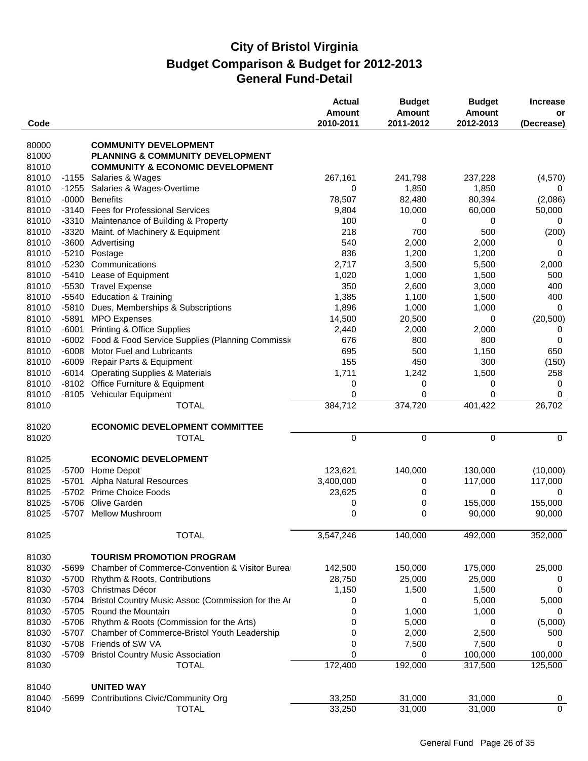| Code           |                    |                                                                                | <b>Actual</b><br>Amount<br>2010-2011 | <b>Budget</b><br><b>Amount</b><br>2011-2012 | <b>Budget</b><br><b>Amount</b><br>2012-2013 | <b>Increase</b><br>or<br>(Decrease) |
|----------------|--------------------|--------------------------------------------------------------------------------|--------------------------------------|---------------------------------------------|---------------------------------------------|-------------------------------------|
|                |                    | <b>COMMUNITY DEVELOPMENT</b>                                                   |                                      |                                             |                                             |                                     |
| 80000<br>81000 |                    | <b>PLANNING &amp; COMMUNITY DEVELOPMENT</b>                                    |                                      |                                             |                                             |                                     |
| 81010          |                    | <b>COMMUNITY &amp; ECONOMIC DEVELOPMENT</b>                                    |                                      |                                             |                                             |                                     |
| 81010          | $-1155$            | Salaries & Wages                                                               | 267,161                              | 241,798                                     | 237,228                                     | (4, 570)                            |
| 81010          | $-1255$            | Salaries & Wages-Overtime                                                      | 0                                    | 1,850                                       | 1,850                                       | 0                                   |
| 81010          | $-0000$            | <b>Benefits</b>                                                                | 78,507                               | 82,480                                      | 80,394                                      | (2,086)                             |
| 81010          | $-3140$            | <b>Fees for Professional Services</b>                                          | 9,804                                | 10,000                                      | 60,000                                      | 50,000                              |
| 81010          | $-3310$            | Maintenance of Building & Property                                             | 100                                  | 0                                           | 0                                           | 0                                   |
| 81010          | $-3320$            | Maint. of Machinery & Equipment                                                | 218                                  | 700                                         | 500                                         | (200)                               |
| 81010          | $-3600$            | Advertising                                                                    | 540                                  | 2,000                                       | 2,000                                       | 0                                   |
| 81010          |                    | -5210 Postage                                                                  | 836                                  | 1,200                                       | 1,200                                       | $\mathbf 0$                         |
| 81010          | $-5230$            | Communications                                                                 | 2,717                                | 3,500                                       | 5,500                                       | 2,000                               |
| 81010          | -5410              | Lease of Equipment                                                             | 1,020                                | 1,000                                       | 1,500                                       | 500                                 |
| 81010          | $-5530$            | <b>Travel Expense</b>                                                          | 350                                  | 2,600                                       | 3,000                                       | 400                                 |
| 81010          | $-5540$            | <b>Education &amp; Training</b>                                                | 1,385                                | 1,100                                       | 1,500                                       | 400                                 |
| 81010          | $-5810$            | Dues, Memberships & Subscriptions                                              | 1,896                                | 1,000                                       | 1,000                                       | $\mathbf 0$                         |
| 81010          | $-5891$            | <b>MPO Expenses</b>                                                            | 14,500                               | 20,500                                      | 0                                           | (20, 500)                           |
| 81010          | $-6001$            | <b>Printing &amp; Office Supplies</b>                                          | 2,440                                | 2,000                                       | 2,000                                       | 0                                   |
| 81010          | $-6002$            | Food & Food Service Supplies (Planning Commission                              | 676                                  | 800                                         | 800                                         | 0                                   |
| 81010          | $-6008$            | Motor Fuel and Lubricants                                                      | 695                                  | 500                                         | 1,150                                       | 650                                 |
| 81010          | $-6009$            | Repair Parts & Equipment                                                       | 155                                  | 450                                         | 300                                         | (150)                               |
| 81010          | $-6014$            | <b>Operating Supplies &amp; Materials</b>                                      | 1,711                                | 1,242                                       | 1,500                                       | 258                                 |
| 81010          | $-8102$            | Office Furniture & Equipment                                                   | 0                                    | 0                                           | 0                                           | 0                                   |
| 81010          |                    | -8105 Vehicular Equipment                                                      | 0                                    | 0                                           | $\Omega$                                    | $\mathbf 0$                         |
| 81010          |                    | <b>TOTAL</b>                                                                   | 384,712                              | 374,720                                     | 401,422                                     | 26,702                              |
| 81020          |                    | <b>ECONOMIC DEVELOPMENT COMMITTEE</b>                                          |                                      |                                             |                                             |                                     |
| 81020          |                    | <b>TOTAL</b>                                                                   | 0                                    | 0                                           | $\pmb{0}$                                   | $\mathbf 0$                         |
| 81025          |                    | <b>ECONOMIC DEVELOPMENT</b>                                                    |                                      |                                             |                                             |                                     |
| 81025          | $-5700$            | Home Depot                                                                     | 123,621                              | 140,000                                     | 130,000                                     | (10,000)                            |
| 81025          | $-5701$            | Alpha Natural Resources                                                        | 3,400,000                            | 0                                           | 117,000                                     | 117,000                             |
| 81025          | $-5702$            | <b>Prime Choice Foods</b>                                                      | 23,625                               | 0                                           | 0                                           | $\Omega$                            |
| 81025          | $-5706$            | Olive Garden                                                                   | 0                                    | 0                                           | 155,000                                     | 155,000                             |
| 81025          | $-5707$            | <b>Mellow Mushroom</b>                                                         | 0                                    | 0                                           | 90,000                                      | 90,000                              |
| 81025          |                    | <b>TOTAL</b>                                                                   | 3,547,246                            | 140,000                                     | 492,000                                     | 352,000                             |
|                |                    |                                                                                |                                      |                                             |                                             |                                     |
| 81030          |                    | <b>TOURISM PROMOTION PROGRAM</b>                                               |                                      |                                             |                                             |                                     |
| 81030          | $-5699$            | Chamber of Commerce-Convention & Visitor Burea                                 | 142,500                              | 150,000                                     | 175,000                                     | 25,000                              |
| 81030          | $-5700$            | Rhythm & Roots, Contributions                                                  | 28,750                               | 25,000                                      | 25,000                                      | 0                                   |
| 81030<br>81030 | $-5703$<br>$-5704$ | Christmas Décor                                                                | 1,150                                | 1,500                                       | 1,500                                       | 0                                   |
| 81030          |                    | Bristol Country Music Assoc (Commission for the Ar<br>-5705 Round the Mountain | 0<br>0                               | 0<br>1,000                                  | 5,000<br>1,000                              | 5,000<br>0                          |
| 81030          |                    | -5706 Rhythm & Roots (Commission for the Arts)                                 | 0                                    | 5,000                                       | 0                                           |                                     |
| 81030          | -5707              | Chamber of Commerce-Bristol Youth Leadership                                   | 0                                    | 2,000                                       | 2,500                                       | (5,000)<br>500                      |
| 81030          | $-5708$            | Friends of SW VA                                                               | 0                                    | 7,500                                       | 7,500                                       | 0                                   |
| 81030          | $-5709$            | <b>Bristol Country Music Association</b>                                       | 0                                    | 0                                           | 100,000                                     | 100,000                             |
| 81030          |                    | <b>TOTAL</b>                                                                   | 172,400                              | 192,000                                     | 317,500                                     | 125,500                             |
|                |                    |                                                                                |                                      |                                             |                                             |                                     |
| 81040          |                    | <b>UNITED WAY</b>                                                              |                                      |                                             |                                             |                                     |
| 81040          | -5699              | <b>Contributions Civic/Community Org</b>                                       | 33,250                               | 31,000                                      | 31,000                                      | $\overline{0}$                      |
| 81040          |                    | <b>TOTAL</b>                                                                   | 33,250                               | 31,000                                      | 31,000                                      | $\mathbf 0$                         |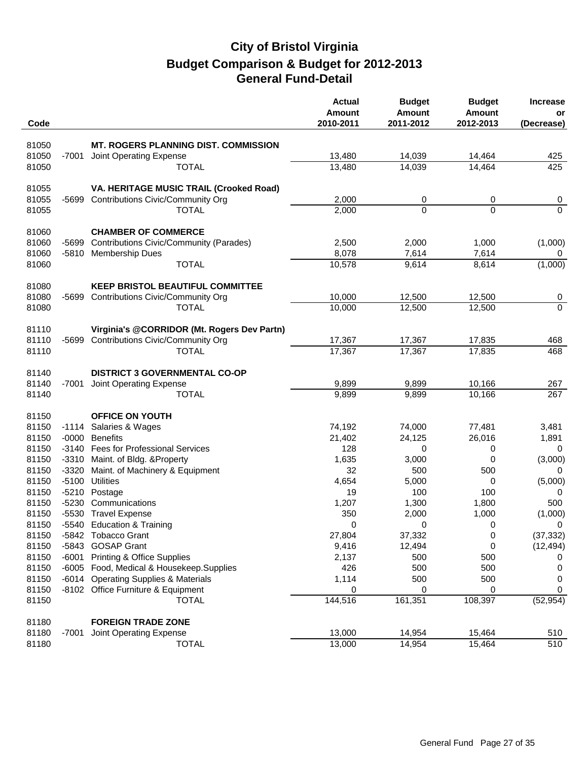|                |                  |                                                         | <b>Actual</b><br><b>Amount</b> | <b>Budget</b><br><b>Amount</b> | <b>Budget</b><br><b>Amount</b> | <b>Increase</b><br>or |
|----------------|------------------|---------------------------------------------------------|--------------------------------|--------------------------------|--------------------------------|-----------------------|
| Code           |                  |                                                         | 2010-2011                      | 2011-2012                      | 2012-2013                      | (Decrease)            |
| 81050          |                  | <b>MT. ROGERS PLANNING DIST. COMMISSION</b>             |                                |                                |                                |                       |
| 81050          | -7001            | Joint Operating Expense                                 | 13,480                         | 14,039                         | 14,464                         | 425                   |
| 81050          |                  | <b>TOTAL</b>                                            | 13,480                         | 14,039                         | 14,464                         | 425                   |
|                |                  |                                                         |                                |                                |                                |                       |
| 81055          |                  | VA. HERITAGE MUSIC TRAIL (Crooked Road)                 |                                |                                |                                |                       |
| 81055          | $-5699$          | <b>Contributions Civic/Community Org</b>                | 2,000                          | 0                              | 0                              | 0                     |
| 81055          |                  | <b>TOTAL</b>                                            | 2,000                          | $\Omega$                       | $\Omega$                       | $\Omega$              |
|                |                  |                                                         |                                |                                |                                |                       |
| 81060          |                  | <b>CHAMBER OF COMMERCE</b>                              |                                |                                |                                |                       |
| 81060          | -5699            | <b>Contributions Civic/Community (Parades)</b>          | 2,500                          | 2,000                          | 1,000                          | (1,000)               |
| 81060          | -5810            | Membership Dues                                         | 8,078                          | 7,614                          | 7,614                          | 0                     |
| 81060          |                  | <b>TOTAL</b>                                            | 10,578                         | 9,614                          | 8,614                          | (1,000)               |
|                |                  |                                                         |                                |                                |                                |                       |
| 81080          |                  | <b>KEEP BRISTOL BEAUTIFUL COMMITTEE</b>                 |                                |                                |                                |                       |
| 81080          | -5699            | <b>Contributions Civic/Community Org</b>                | 10,000                         | 12,500                         | 12,500                         | $\overline{0}$        |
| 81080          |                  | <b>TOTAL</b>                                            | 10,000                         | 12,500                         | 12,500                         | $\overline{0}$        |
|                |                  |                                                         |                                |                                |                                |                       |
| 81110          |                  | Virginia's @CORRIDOR (Mt. Rogers Dev Partn)             |                                |                                |                                |                       |
| 81110          | -5699            | <b>Contributions Civic/Community Org</b>                | 17,367                         | 17,367                         | 17,835                         | 468                   |
| 81110          |                  | <b>TOTAL</b>                                            | 17,367                         | 17,367                         | 17,835                         | 468                   |
|                |                  |                                                         |                                |                                |                                |                       |
| 81140          |                  | <b>DISTRICT 3 GOVERNMENTAL CO-OP</b>                    |                                |                                |                                |                       |
| 81140          | -7001            | Joint Operating Expense                                 | 9,899                          | 9,899                          | 10,166                         | 267                   |
| 81140          |                  | <b>TOTAL</b>                                            | 9,899                          | 9,899                          | 10,166                         | 267                   |
|                |                  |                                                         |                                |                                |                                |                       |
| 81150          |                  | <b>OFFICE ON YOUTH</b>                                  |                                |                                |                                |                       |
| 81150          |                  | -1114 Salaries & Wages                                  | 74,192                         | 74,000                         | 77,481                         | 3,481                 |
| 81150          | $-0000$          | <b>Benefits</b><br>-3140 Fees for Professional Services | 21,402                         | 24,125                         | 26,016                         | 1,891                 |
| 81150          |                  |                                                         | 128                            | 0                              | 0<br>0                         | 0                     |
| 81150<br>81150 | -3310<br>$-3320$ | Maint. of Bldg. & Property                              | 1,635<br>32                    | 3,000<br>500                   | 500                            | (3,000)<br>$\Omega$   |
| 81150          | $-5100$          | Maint. of Machinery & Equipment<br><b>Utilities</b>     | 4,654                          | 5,000                          | 0                              | (5,000)               |
| 81150          | $-5210$          | Postage                                                 | 19                             | 100                            | 100                            | 0                     |
| 81150          |                  | -5230 Communications                                    | 1,207                          | 1,300                          | 1,800                          | 500                   |
| 81150          |                  | -5530 Travel Expense                                    | 350                            | 2,000                          | 1,000                          | (1,000)               |
| 81150          |                  | -5540 Education & Training                              | 0                              | 0                              | 0                              | 0                     |
| 81150          |                  | -5842 Tobacco Grant                                     | 27,804                         | 37,332                         | $\mathbf 0$                    | (37, 332)             |
| 81150          |                  | -5843 GOSAP Grant                                       | 9,416                          | 12,494                         | 0                              | (12, 494)             |
| 81150          | $-6001$          | <b>Printing &amp; Office Supplies</b>                   | 2,137                          | 500                            | 500                            | 0                     |
| 81150          | $-6005$          | Food, Medical & Housekeep.Supplies                      | 426                            | 500                            | 500                            | 0                     |
| 81150          |                  | -6014 Operating Supplies & Materials                    | 1,114                          | 500                            | 500                            | 0                     |
| 81150          |                  | -8102 Office Furniture & Equipment                      | 0                              | 0                              | 0                              | $\boldsymbol{0}$      |
| 81150          |                  | <b>TOTAL</b>                                            | 144,516                        | 161,351                        | 108,397                        | (52, 954)             |
|                |                  |                                                         |                                |                                |                                |                       |
| 81180          |                  | <b>FOREIGN TRADE ZONE</b>                               |                                |                                |                                |                       |
| 81180          | -7001            | Joint Operating Expense                                 | 13,000                         | 14,954                         | 15,464                         | 510                   |
| 81180          |                  | <b>TOTAL</b>                                            | 13,000                         | 14,954                         | 15,464                         | 510                   |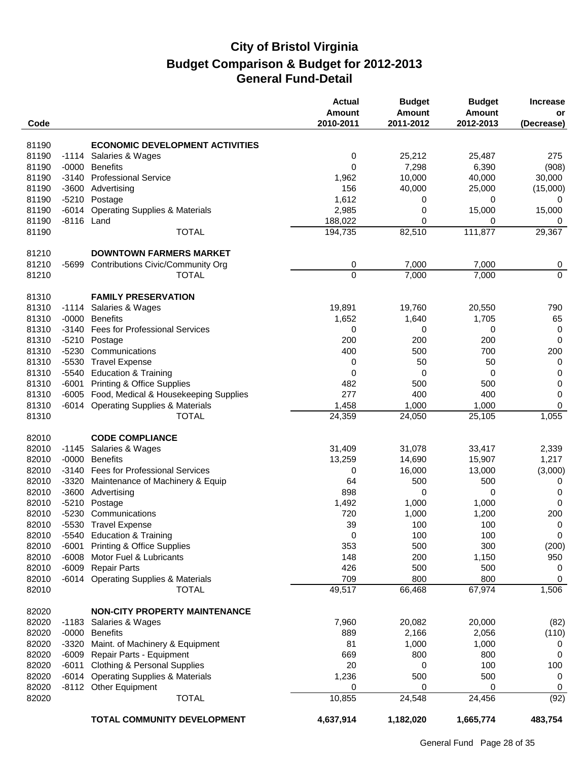| Code           |         |                                           | <b>Actual</b><br>Amount<br>2010-2011 | <b>Budget</b><br><b>Amount</b><br>2011-2012 | <b>Budget</b><br><b>Amount</b><br>2012-2013 | <b>Increase</b><br>or<br>(Decrease) |
|----------------|---------|-------------------------------------------|--------------------------------------|---------------------------------------------|---------------------------------------------|-------------------------------------|
| 81190          |         | <b>ECONOMIC DEVELOPMENT ACTIVITIES</b>    |                                      |                                             |                                             |                                     |
| 81190          |         | -1114 Salaries & Wages                    | 0                                    | 25,212                                      | 25,487                                      | 275                                 |
| 81190          | $-0000$ | <b>Benefits</b>                           | 0                                    | 7,298                                       | 6,390                                       | (908)                               |
| 81190          | $-3140$ | <b>Professional Service</b>               | 1,962                                | 10,000                                      | 40,000                                      |                                     |
| 81190          |         | -3600 Advertising                         | 156                                  | 40,000                                      |                                             | 30,000                              |
|                |         |                                           |                                      |                                             | 25,000                                      | (15,000)                            |
| 81190          |         | -5210 Postage                             | 1,612                                | 0                                           | 0                                           | 0                                   |
| 81190          | $-6014$ | <b>Operating Supplies &amp; Materials</b> | 2,985                                | 0                                           | 15,000                                      | 15,000                              |
| 81190<br>81190 |         | -8116 Land<br><b>TOTAL</b>                | 188,022<br>194,735                   | 0<br>82,510                                 | 0<br>111,877                                | 0<br>29,367                         |
|                |         |                                           |                                      |                                             |                                             |                                     |
| 81210          |         | <b>DOWNTOWN FARMERS MARKET</b>            |                                      |                                             |                                             |                                     |
| 81210          | -5699   | <b>Contributions Civic/Community Org</b>  | 0                                    | 7,000                                       | 7,000                                       | 0                                   |
| 81210          |         | <b>TOTAL</b>                              | $\mathbf 0$                          | 7,000                                       | 7,000                                       | $\overline{0}$                      |
| 81310          |         | <b>FAMILY PRESERVATION</b>                |                                      |                                             |                                             |                                     |
| 81310          | $-1114$ | Salaries & Wages                          | 19,891                               | 19,760                                      | 20,550                                      | 790                                 |
| 81310          | $-0000$ | <b>Benefits</b>                           | 1,652                                | 1,640                                       | 1,705                                       | 65                                  |
| 81310          | $-3140$ | <b>Fees for Professional Services</b>     | 0                                    | 0                                           | 0                                           | 0                                   |
| 81310          | $-5210$ | Postage                                   | 200                                  | 200                                         | 200                                         | 0                                   |
| 81310          | $-5230$ | Communications                            | 400                                  | 500                                         | 700                                         | 200                                 |
| 81310          |         | -5530 Travel Expense                      | 0                                    | 50                                          | 50                                          | 0                                   |
| 81310          |         | -5540 Education & Training                | 0                                    | 0                                           | 0                                           | $\mathbf 0$                         |
| 81310          | $-6001$ | <b>Printing &amp; Office Supplies</b>     | 482                                  | 500                                         | 500                                         | $\mathsf 0$                         |
| 81310          | $-6005$ | Food, Medical & Housekeeping Supplies     | 277                                  | 400                                         | 400                                         | $\mathbf 0$                         |
| 81310          |         | -6014 Operating Supplies & Materials      | 1,458                                | 1,000                                       | 1,000                                       | 0                                   |
| 81310          |         | <b>TOTAL</b>                              | 24,359                               | 24,050                                      | 25,105                                      | 1,055                               |
| 82010          |         | <b>CODE COMPLIANCE</b>                    |                                      |                                             |                                             |                                     |
| 82010          | $-1145$ | Salaries & Wages                          | 31,409                               | 31,078                                      | 33,417                                      | 2,339                               |
| 82010          | $-0000$ | <b>Benefits</b>                           | 13,259                               | 14,690                                      | 15,907                                      | 1,217                               |
| 82010          | $-3140$ | <b>Fees for Professional Services</b>     | 0                                    | 16,000                                      | 13,000                                      | (3,000)                             |
| 82010          | $-3320$ | Maintenance of Machinery & Equip          | 64                                   | 500                                         | 500                                         | 0                                   |
| 82010          | $-3600$ | Advertising                               | 898                                  | 0                                           | 0                                           | $\mathbf 0$                         |
| 82010          | $-5210$ | Postage                                   | 1,492                                | 1,000                                       | 1,000                                       | 0                                   |
| 82010          |         | -5230 Communications                      | 720                                  | 1,000                                       | 1,200                                       | 200                                 |
| 82010          |         | -5530 Travel Expense                      | 39                                   | 100                                         | 100                                         | $\pmb{0}$                           |
| 82010          |         | -5540 Education & Training                | 0                                    | 100                                         | 100                                         | 0                                   |
| 82010          | -6001   | <b>Printing &amp; Office Supplies</b>     | 353                                  | 500                                         | 300                                         | (200)                               |
| 82010          | $-6008$ | Motor Fuel & Lubricants                   | 148                                  | 200                                         | 1,150                                       | 950                                 |
| 82010          | $-6009$ | <b>Repair Parts</b>                       | 426                                  | 500                                         | 500                                         | 0                                   |
| 82010          |         | -6014 Operating Supplies & Materials      | 709                                  | 800                                         | 800                                         | $\mathbf 0$                         |
| 82010          |         | <b>TOTAL</b>                              | 49,517                               | 66,468                                      | 67,974                                      | 1,506                               |
| 82020          |         | <b>NON-CITY PROPERTY MAINTENANCE</b>      |                                      |                                             |                                             |                                     |
| 82020          |         | -1183 Salaries & Wages                    | 7,960                                | 20,082                                      | 20,000                                      | (82)                                |
| 82020          |         | -0000 Benefits                            | 889                                  | 2,166                                       | 2,056                                       | (110)                               |
| 82020          | -3320   | Maint. of Machinery & Equipment           | 81                                   | 1,000                                       | 1,000                                       | 0                                   |
| 82020          | $-6009$ | Repair Parts - Equipment                  | 669                                  | 800                                         | 800                                         | 0                                   |
| 82020          | $-6011$ | <b>Clothing &amp; Personal Supplies</b>   | 20                                   | 0                                           | 100                                         | 100                                 |
| 82020          |         | -6014 Operating Supplies & Materials      | 1,236                                | 500                                         | 500                                         | 0                                   |
| 82020          |         | -8112 Other Equipment                     | 0                                    | 0                                           | 0                                           | 0                                   |
| 82020          |         | <b>TOTAL</b>                              | 10,855                               | 24,548                                      | 24,456                                      | (92)                                |
|                |         | TOTAL COMMUNITY DEVELOPMENT               | 4,637,914                            | 1,182,020                                   | 1,665,774                                   | 483,754                             |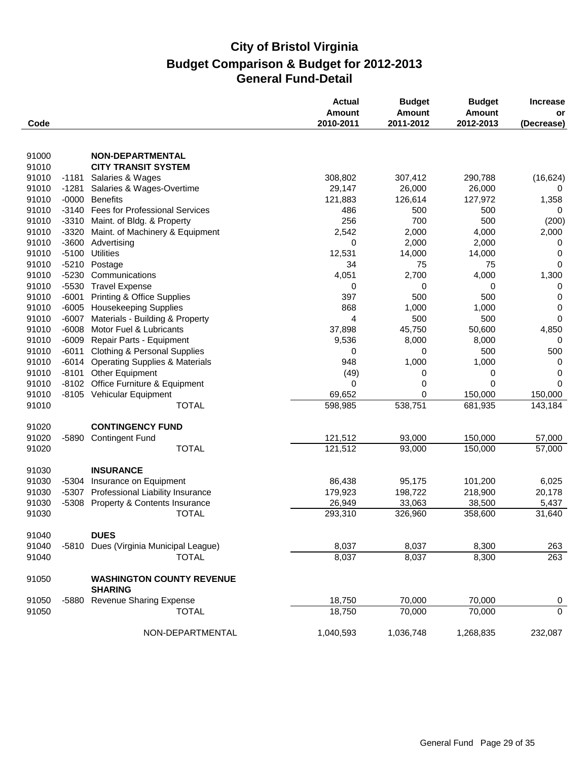|                |                    |                                                          | <b>Actual</b><br>Amount | <b>Budget</b><br><b>Amount</b> | <b>Budget</b><br><b>Amount</b> | <b>Increase</b><br>or |
|----------------|--------------------|----------------------------------------------------------|-------------------------|--------------------------------|--------------------------------|-----------------------|
| Code           |                    |                                                          | 2010-2011               | 2011-2012                      | 2012-2013                      | (Decrease)            |
|                |                    |                                                          |                         |                                |                                |                       |
| 91000          |                    | <b>NON-DEPARTMENTAL</b>                                  |                         |                                |                                |                       |
| 91010          |                    | <b>CITY TRANSIT SYSTEM</b>                               |                         |                                |                                |                       |
| 91010          | -1181              | Salaries & Wages                                         | 308,802                 | 307,412                        | 290,788                        | (16, 624)             |
| 91010          | $-1281$            | Salaries & Wages-Overtime                                | 29,147<br>121,883       | 26,000                         | 26,000                         | 0                     |
| 91010<br>91010 | $-0000$<br>$-3140$ | <b>Benefits</b><br><b>Fees for Professional Services</b> | 486                     | 126,614<br>500                 | 127,972<br>500                 | 1,358<br>0            |
| 91010          | $-3310$            | Maint. of Bldg. & Property                               | 256                     | 700                            | 500                            | (200)                 |
| 91010          | $-3320$            | Maint. of Machinery & Equipment                          | 2,542                   | 2,000                          | 4,000                          | 2,000                 |
| 91010          | $-3600$            | Advertising                                              | 0                       | 2,000                          | 2,000                          | 0                     |
| 91010          | $-5100$            | <b>Utilities</b>                                         | 12,531                  | 14,000                         | 14,000                         | 0                     |
| 91010          |                    | -5210 Postage                                            | 34                      | 75                             | 75                             | 0                     |
| 91010          | $-5230$            | Communications                                           | 4,051                   | 2,700                          | 4,000                          | 1,300                 |
| 91010          | $-5530$            | <b>Travel Expense</b>                                    | 0                       | 0                              | 0                              | 0                     |
| 91010          | $-6001$            | <b>Printing &amp; Office Supplies</b>                    | 397                     | 500                            | 500                            | 0                     |
| 91010          | $-6005$            | <b>Housekeeping Supplies</b>                             | 868                     | 1,000                          | 1,000                          | 0                     |
| 91010          | $-6007$            | Materials - Building & Property                          | 4                       | 500                            | 500                            | 0                     |
| 91010          | $-6008$            | Motor Fuel & Lubricants                                  | 37,898                  | 45,750                         | 50,600                         | 4,850                 |
| 91010          | $-6009$            | Repair Parts - Equipment                                 | 9,536                   | 8,000                          | 8,000                          | 0                     |
| 91010          | $-6011$            | <b>Clothing &amp; Personal Supplies</b>                  | 0                       | 0                              | 500                            | 500                   |
| 91010          | $-6014$            | <b>Operating Supplies &amp; Materials</b>                | 948                     | 1,000                          | 1,000                          | 0                     |
| 91010          | $-8101$            | <b>Other Equipment</b>                                   | (49)                    | 0                              | 0                              | 0                     |
| 91010          | $-8102$            | Office Furniture & Equipment                             | 0                       | 0                              | 0                              | 0                     |
| 91010          |                    | -8105 Vehicular Equipment                                | 69,652                  | 0                              | 150,000                        | 150,000               |
| 91010          |                    | <b>TOTAL</b>                                             | 598,985                 | 538,751                        | 681,935                        | 143,184               |
|                |                    |                                                          |                         |                                |                                |                       |
| 91020          |                    | <b>CONTINGENCY FUND</b>                                  |                         |                                |                                |                       |
| 91020          | -5890              | <b>Contingent Fund</b>                                   | 121,512                 | 93,000                         | 150,000                        | 57,000                |
| 91020          |                    | <b>TOTAL</b>                                             | 121,512                 | 93,000                         | 150,000                        | 57,000                |
| 91030          |                    | <b>INSURANCE</b>                                         |                         |                                |                                |                       |
| 91030          | $-5304$            | Insurance on Equipment                                   | 86,438                  | 95,175                         | 101,200                        | 6,025                 |
| 91030          | -5307              | Professional Liability Insurance                         | 179,923                 | 198,722                        | 218,900                        | 20,178                |
| 91030          | -5308              | Property & Contents Insurance                            | 26,949                  | 33,063                         | 38,500                         | 5,437                 |
| 91030          |                    | <b>TOTAL</b>                                             | 293,310                 | 326,960                        | 358,600                        | 31,640                |
| 91040          |                    | <b>DUES</b>                                              |                         |                                |                                |                       |
| 91040          | -5810              | Dues (Virginia Municipal League)                         | 8,037                   | 8,037                          | 8,300                          | 263                   |
| 91040          |                    | <b>TOTAL</b>                                             | 8,037                   | 8,037                          | 8,300                          | 263                   |
| 91050          |                    | <b>WASHINGTON COUNTY REVENUE</b><br><b>SHARING</b>       |                         |                                |                                |                       |
| 91050          | -5880              | <b>Revenue Sharing Expense</b>                           | 18,750                  | 70,000                         | 70,000                         | $\boldsymbol{0}$      |
| 91050          |                    | <b>TOTAL</b>                                             | 18,750                  | 70,000                         | 70,000                         | $\overline{0}$        |
|                |                    | NON-DEPARTMENTAL                                         | 1,040,593               | 1,036,748                      | 1,268,835                      | 232,087               |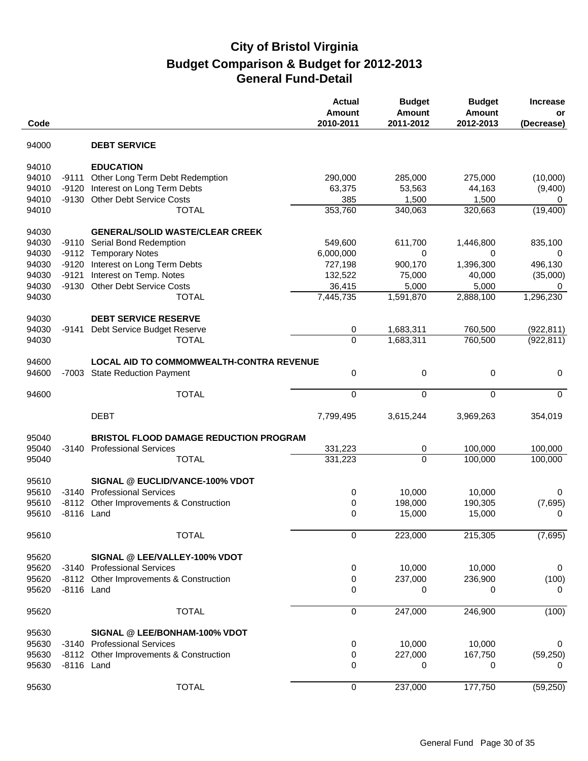| Code  |            |                                               | <b>Actual</b><br><b>Amount</b><br>2010-2011 | <b>Budget</b><br><b>Amount</b><br>2011-2012 | <b>Budget</b><br><b>Amount</b><br>2012-2013 | <b>Increase</b><br>or<br>(Decrease) |
|-------|------------|-----------------------------------------------|---------------------------------------------|---------------------------------------------|---------------------------------------------|-------------------------------------|
| 94000 |            | <b>DEBT SERVICE</b>                           |                                             |                                             |                                             |                                     |
| 94010 |            | <b>EDUCATION</b>                              |                                             |                                             |                                             |                                     |
| 94010 | $-9111$    | Other Long Term Debt Redemption               | 290,000                                     | 285,000                                     | 275,000                                     | (10,000)                            |
| 94010 | $-9120$    | Interest on Long Term Debts                   | 63,375                                      | 53,563                                      | 44,163                                      | (9,400)                             |
| 94010 | $-9130$    | Other Debt Service Costs                      | 385                                         | 1,500                                       | 1,500                                       | 0                                   |
| 94010 |            | <b>TOTAL</b>                                  | 353,760                                     | 340,063                                     | 320,663                                     | (19, 400)                           |
| 94030 |            | <b>GENERAL/SOLID WASTE/CLEAR CREEK</b>        |                                             |                                             |                                             |                                     |
| 94030 |            | -9110 Serial Bond Redemption                  | 549,600                                     | 611,700                                     | 1,446,800                                   | 835,100                             |
| 94030 | $-9112$    | <b>Temporary Notes</b>                        | 6,000,000                                   | 0                                           | 0                                           | 0                                   |
| 94030 | $-9120$    | Interest on Long Term Debts                   | 727,198                                     | 900,170                                     | 1,396,300                                   | 496,130                             |
| 94030 | $-9121$    | Interest on Temp. Notes                       | 132,522                                     | 75,000                                      | 40,000                                      | (35,000)                            |
| 94030 | $-9130$    | <b>Other Debt Service Costs</b>               | 36,415                                      | 5,000                                       | 5,000                                       | 0                                   |
| 94030 |            | <b>TOTAL</b>                                  | $\overline{7,}445,735$                      | 1,591,870                                   | 2,888,100                                   | 1,296,230                           |
| 94030 |            | <b>DEBT SERVICE RESERVE</b>                   |                                             |                                             |                                             |                                     |
| 94030 | -9141      | Debt Service Budget Reserve                   | 0                                           | 1,683,311                                   | 760,500                                     | (922, 811)                          |
| 94030 |            | <b>TOTAL</b>                                  | $\overline{0}$                              | 1,683,311                                   | 760,500                                     | (922, 811)                          |
|       |            |                                               |                                             |                                             |                                             |                                     |
| 94600 |            | LOCAL AID TO COMMOMWEALTH-CONTRA REVENUE      |                                             |                                             |                                             |                                     |
| 94600 | $-7003$    | <b>State Reduction Payment</b>                | 0                                           | 0                                           | 0                                           | 0                                   |
| 94600 |            | <b>TOTAL</b>                                  | 0                                           | 0                                           | 0                                           | $\mathbf 0$                         |
|       |            | <b>DEBT</b>                                   | 7,799,495                                   | 3,615,244                                   | 3,969,263                                   | 354,019                             |
| 95040 |            | <b>BRISTOL FLOOD DAMAGE REDUCTION PROGRAM</b> |                                             |                                             |                                             |                                     |
| 95040 | -3140      | <b>Professional Services</b>                  | 331,223                                     | 0                                           | 100,000                                     | 100,000                             |
| 95040 |            | <b>TOTAL</b>                                  | 331,223                                     | $\Omega$                                    | 100,000                                     | 100,000                             |
|       |            |                                               |                                             |                                             |                                             |                                     |
| 95610 |            | SIGNAL @ EUCLID/VANCE-100% VDOT               |                                             |                                             |                                             |                                     |
| 95610 | -3140      | <b>Professional Services</b>                  | 0                                           | 10,000                                      | 10,000                                      | 0                                   |
| 95610 | $-8112$    | Other Improvements & Construction             | 0                                           | 198,000                                     | 190,305                                     | (7,695)                             |
| 95610 | -8116 Land |                                               | 0                                           | 15,000                                      | 15,000                                      | 0                                   |
| 95610 |            | <b>TOTAL</b>                                  | 0                                           | 223,000                                     | 215,305                                     | (7,695)                             |
| 95620 |            | SIGNAL @ LEE/VALLEY-100% VDOT                 |                                             |                                             |                                             |                                     |
| 95620 |            | -3140 Professional Services                   | 0                                           | 10,000                                      | 10,000                                      | 0                                   |
| 95620 |            | -8112 Other Improvements & Construction       | 0                                           | 237,000                                     | 236,900                                     | (100)                               |
| 95620 | -8116 Land |                                               | 0                                           | 0                                           | 0                                           | 0                                   |
|       |            |                                               |                                             |                                             |                                             |                                     |
| 95620 |            | <b>TOTAL</b>                                  | 0                                           | 247,000                                     | 246,900                                     | (100)                               |
| 95630 |            | SIGNAL @ LEE/BONHAM-100% VDOT                 |                                             |                                             |                                             |                                     |
| 95630 |            | -3140 Professional Services                   | 0                                           | 10,000                                      | 10,000                                      | 0                                   |
| 95630 |            | -8112 Other Improvements & Construction       | 0                                           | 227,000                                     | 167,750                                     | (59, 250)                           |
| 95630 | -8116 Land |                                               | 0                                           | 0                                           | 0                                           | 0                                   |
| 95630 |            | <b>TOTAL</b>                                  | 0                                           | 237,000                                     | 177,750                                     | (59, 250)                           |
|       |            |                                               |                                             |                                             |                                             |                                     |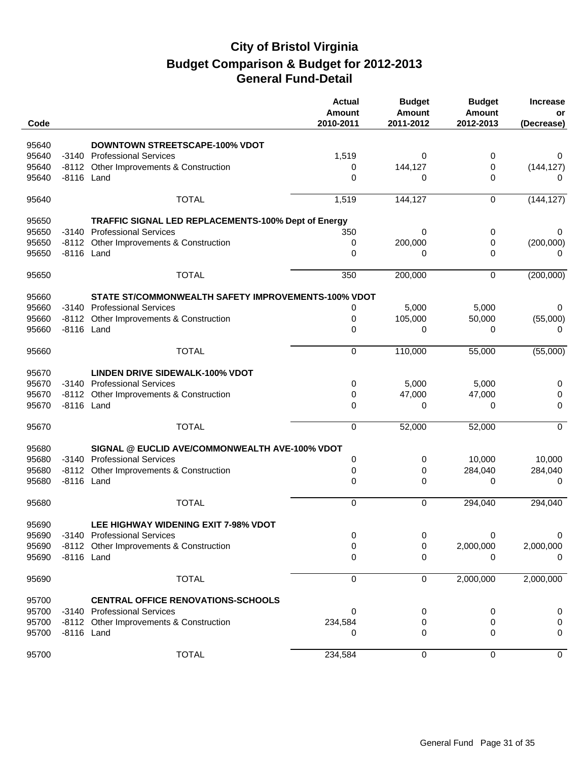| Code  |            |                                                     | <b>Actual</b><br>Amount<br>2010-2011 | <b>Budget</b><br><b>Amount</b><br>2011-2012 | <b>Budget</b><br><b>Amount</b><br>2012-2013 | <b>Increase</b><br>or<br>(Decrease) |
|-------|------------|-----------------------------------------------------|--------------------------------------|---------------------------------------------|---------------------------------------------|-------------------------------------|
| 95640 |            | <b>DOWNTOWN STREETSCAPE-100% VDOT</b>               |                                      |                                             |                                             |                                     |
| 95640 |            | -3140 Professional Services                         | 1,519                                | 0                                           | 0                                           | 0                                   |
| 95640 |            | -8112 Other Improvements & Construction             | 0                                    | 144,127                                     | 0                                           | (144, 127)                          |
| 95640 | -8116 Land |                                                     | $\Omega$                             | 0                                           | 0                                           | 0                                   |
| 95640 |            | <b>TOTAL</b>                                        | 1,519                                | 144,127                                     | 0                                           | (144, 127)                          |
| 95650 |            | TRAFFIC SIGNAL LED REPLACEMENTS-100% Dept of Energy |                                      |                                             |                                             |                                     |
| 95650 | $-3140$    | <b>Professional Services</b>                        | 350                                  | 0                                           | 0                                           | 0                                   |
| 95650 |            | -8112 Other Improvements & Construction             | 0                                    | 200,000                                     | 0                                           | (200,000)                           |
| 95650 | -8116 Land |                                                     | 0                                    | 0                                           | 0                                           | 0                                   |
| 95650 |            | <b>TOTAL</b>                                        | 350                                  | 200,000                                     | 0                                           | (200,000)                           |
| 95660 |            | STATE ST/COMMONWEALTH SAFETY IMPROVEMENTS-100% VDOT |                                      |                                             |                                             |                                     |
| 95660 |            | -3140 Professional Services                         | 0                                    | 5,000                                       | 5,000                                       | 0                                   |
| 95660 | -8112      | Other Improvements & Construction                   | 0                                    | 105,000                                     | 50,000                                      | (55,000)                            |
| 95660 | -8116 Land |                                                     | 0                                    | 0                                           | 0                                           | 0                                   |
| 95660 |            | <b>TOTAL</b>                                        | 0                                    | 110,000                                     | 55,000                                      | (55,000)                            |
| 95670 |            | <b>LINDEN DRIVE SIDEWALK-100% VDOT</b>              |                                      |                                             |                                             |                                     |
| 95670 |            | -3140 Professional Services                         | 0                                    | 5,000                                       | 5,000                                       | 0                                   |
| 95670 | $-8112$    | Other Improvements & Construction                   | 0                                    | 47,000                                      | 47,000                                      | 0                                   |
| 95670 | -8116 Land |                                                     | 0                                    | 0                                           | 0                                           | 0                                   |
| 95670 |            | <b>TOTAL</b>                                        | $\mathbf 0$                          | 52,000                                      | 52,000                                      | $\mathbf 0$                         |
| 95680 |            | SIGNAL @ EUCLID AVE/COMMONWEALTH AVE-100% VDOT      |                                      |                                             |                                             |                                     |
| 95680 | -3140      | <b>Professional Services</b>                        | 0                                    | 0                                           | 10,000                                      | 10,000                              |
| 95680 | $-8112$    | Other Improvements & Construction                   | 0                                    | 0                                           | 284,040                                     | 284,040                             |
| 95680 | -8116 Land |                                                     | 0                                    | 0                                           | 0                                           | 0                                   |
| 95680 |            | <b>TOTAL</b>                                        | $\Omega$                             | $\Omega$                                    | 294,040                                     | 294,040                             |
| 95690 |            | <b>LEE HIGHWAY WIDENING EXIT 7-98% VDOT</b>         |                                      |                                             |                                             |                                     |
| 95690 |            | -3140 Professional Services                         | 0                                    | 0                                           | 0                                           | 0                                   |
| 95690 |            | -8112 Other Improvements & Construction             | 0                                    | 0                                           | 2,000,000                                   | 2,000,000                           |
| 95690 | -8116 Land |                                                     | 0                                    | 0                                           | 0                                           | $\mathbf{0}$                        |
| 95690 |            | <b>TOTAL</b>                                        | 0                                    | 0                                           | 2,000,000                                   | 2,000,000                           |
| 95700 |            | <b>CENTRAL OFFICE RENOVATIONS-SCHOOLS</b>           |                                      |                                             |                                             |                                     |
| 95700 |            | -3140 Professional Services                         | 0                                    | 0                                           | 0                                           | 0                                   |
| 95700 |            | -8112 Other Improvements & Construction             | 234,584                              | 0                                           | 0                                           | 0                                   |
| 95700 | -8116 Land |                                                     | 0                                    | 0                                           | 0                                           | 0                                   |
| 95700 |            | <b>TOTAL</b>                                        | 234,584                              | 0                                           | 0                                           | 0                                   |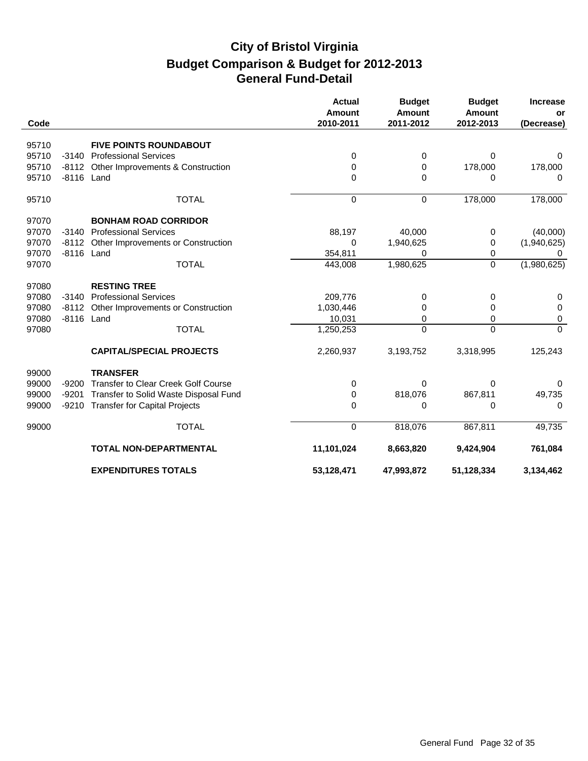|       |            |                                            | <b>Actual</b><br><b>Amount</b> | <b>Budget</b><br><b>Amount</b> | <b>Budget</b><br><b>Amount</b> | <b>Increase</b><br>or |
|-------|------------|--------------------------------------------|--------------------------------|--------------------------------|--------------------------------|-----------------------|
| Code  |            |                                            | 2010-2011                      | 2011-2012                      | 2012-2013                      | (Decrease)            |
| 95710 |            | <b>FIVE POINTS ROUNDABOUT</b>              |                                |                                |                                |                       |
| 95710 | $-3140$    | <b>Professional Services</b>               | 0                              | 0                              | $\Omega$                       | 0                     |
| 95710 | $-8112$    | Other Improvements & Construction          | 0                              | 0                              | 178,000                        | 178,000               |
| 95710 | -8116 Land |                                            | 0                              | $\Omega$                       | 0                              | $\Omega$              |
| 95710 |            | <b>TOTAL</b>                               | 0                              | $\mathbf 0$                    | 178,000                        | 178,000               |
| 97070 |            | <b>BONHAM ROAD CORRIDOR</b>                |                                |                                |                                |                       |
| 97070 | $-3140$    | <b>Professional Services</b>               | 88,197                         | 40,000                         | 0                              | (40,000)              |
| 97070 |            | -8112 Other Improvements or Construction   | 0                              | 1,940,625                      | 0                              | (1,940,625)           |
| 97070 | -8116 Land |                                            | 354,811                        | 0                              | 0                              |                       |
| 97070 |            | <b>TOTAL</b>                               | 443,008                        | 1,980,625                      | $\Omega$                       | (1,980,625)           |
| 97080 |            | <b>RESTING TREE</b>                        |                                |                                |                                |                       |
| 97080 | $-3140$    | <b>Professional Services</b>               | 209,776                        | 0                              | 0                              | 0                     |
| 97080 | $-8112$    | Other Improvements or Construction         | 1,030,446                      | 0                              | 0                              | 0                     |
| 97080 | -8116 Land |                                            | 10,031                         | 0                              | $\Omega$                       | 0                     |
| 97080 |            | <b>TOTAL</b>                               | 1,250,253                      | $\Omega$                       | $\Omega$                       | $\mathbf{0}$          |
|       |            | <b>CAPITAL/SPECIAL PROJECTS</b>            | 2,260,937                      | 3,193,752                      | 3,318,995                      | 125,243               |
| 99000 |            | <b>TRANSFER</b>                            |                                |                                |                                |                       |
| 99000 | $-9200$    | <b>Transfer to Clear Creek Golf Course</b> | 0                              | 0                              | 0                              | 0                     |
| 99000 | $-9201$    | Transfer to Solid Waste Disposal Fund      | 0                              | 818,076                        | 867,811                        | 49,735                |
| 99000 |            | -9210 Transfer for Capital Projects        | 0                              | 0                              | 0                              | $\Omega$              |
| 99000 |            | <b>TOTAL</b>                               | 0                              | 818,076                        | 867,811                        | 49,735                |
|       |            | <b>TOTAL NON-DEPARTMENTAL</b>              | 11,101,024                     | 8,663,820                      | 9,424,904                      | 761,084               |
|       |            | <b>EXPENDITURES TOTALS</b>                 | 53,128,471                     | 47,993,872                     | 51,128,334                     | 3,134,462             |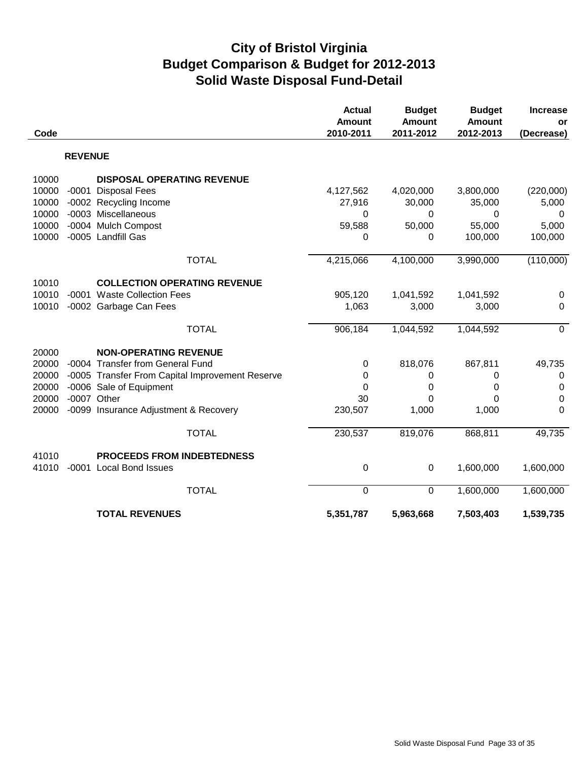# **City of Bristol Virginia Budget Comparison & Budget for 2012-2013 Solid Waste Disposal Fund-Detail**

| Code  |                |                                                 | <b>Actual</b><br><b>Amount</b><br>2010-2011 | <b>Budget</b><br><b>Amount</b><br>2011-2012 | <b>Budget</b><br><b>Amount</b><br>2012-2013 | <b>Increase</b><br>or |
|-------|----------------|-------------------------------------------------|---------------------------------------------|---------------------------------------------|---------------------------------------------|-----------------------|
|       |                |                                                 |                                             |                                             |                                             | (Decrease)            |
|       | <b>REVENUE</b> |                                                 |                                             |                                             |                                             |                       |
| 10000 |                | <b>DISPOSAL OPERATING REVENUE</b>               |                                             |                                             |                                             |                       |
| 10000 | $-0001$        | <b>Disposal Fees</b>                            | 4,127,562                                   | 4,020,000                                   | 3,800,000                                   | (220,000)             |
| 10000 |                | -0002 Recycling Income                          | 27,916                                      | 30,000                                      | 35,000                                      | 5,000                 |
| 10000 |                | -0003 Miscellaneous                             | 0                                           | $\Omega$                                    | 0                                           | 0                     |
| 10000 |                | -0004 Mulch Compost                             | 59,588                                      | 50,000                                      | 55,000                                      | 5,000                 |
| 10000 |                | -0005 Landfill Gas                              | 0                                           | 0                                           | 100,000                                     | 100,000               |
|       |                | <b>TOTAL</b>                                    | 4,215,066                                   | 4,100,000                                   | 3,990,000                                   | (110,000)             |
| 10010 |                | <b>COLLECTION OPERATING REVENUE</b>             |                                             |                                             |                                             |                       |
| 10010 |                | -0001 Waste Collection Fees                     | 905,120                                     | 1,041,592                                   | 1,041,592                                   | $\mathbf 0$           |
| 10010 |                | -0002 Garbage Can Fees                          | 1,063                                       | 3,000                                       | 3,000                                       | $\mathbf 0$           |
|       |                | <b>TOTAL</b>                                    | 906,184                                     | 1,044,592                                   | 1,044,592                                   | $\overline{0}$        |
| 20000 |                | <b>NON-OPERATING REVENUE</b>                    |                                             |                                             |                                             |                       |
| 20000 |                | -0004 Transfer from General Fund                | 0                                           | 818,076                                     | 867,811                                     | 49,735                |
| 20000 |                | -0005 Transfer From Capital Improvement Reserve | 0                                           | 0                                           | 0                                           | $\mathbf 0$           |
| 20000 |                | -0006 Sale of Equipment                         | 0                                           | 0                                           | 0                                           | 0                     |
| 20000 |                | -0007 Other                                     | 30                                          | 0                                           | 0                                           | $\boldsymbol{0}$      |
| 20000 |                | -0099 Insurance Adjustment & Recovery           | 230,507                                     | 1,000                                       | 1,000                                       | 0                     |
|       |                | <b>TOTAL</b>                                    | 230,537                                     | 819,076                                     | 868,811                                     | 49,735                |
| 41010 |                | <b>PROCEEDS FROM INDEBTEDNESS</b>               |                                             |                                             |                                             |                       |
| 41010 |                | -0001 Local Bond Issues                         | 0                                           | $\mathbf 0$                                 | 1,600,000                                   | 1,600,000             |
|       |                | <b>TOTAL</b>                                    | $\mathbf 0$                                 | $\mathbf 0$                                 | 1,600,000                                   | 1,600,000             |
|       |                | <b>TOTAL REVENUES</b>                           | 5,351,787                                   | 5,963,668                                   | 7,503,403                                   | 1,539,735             |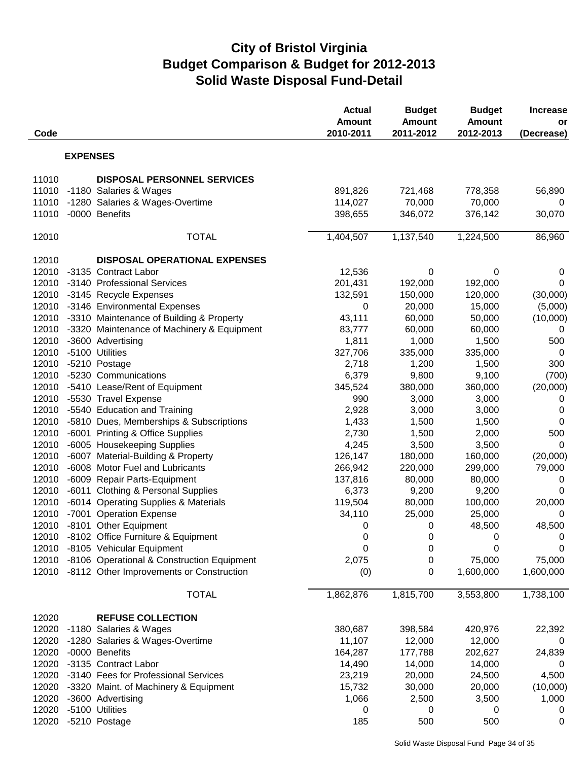# **City of Bristol Virginia Budget Comparison & Budget for 2012-2013 Solid Waste Disposal Fund-Detail**

| Code  |                 |                                                  | <b>Actual</b><br><b>Amount</b><br>2010-2011 | <b>Budget</b><br><b>Amount</b><br>2011-2012 | <b>Budget</b><br><b>Amount</b><br>2012-2013 | <b>Increase</b><br>or<br>(Decrease) |
|-------|-----------------|--------------------------------------------------|---------------------------------------------|---------------------------------------------|---------------------------------------------|-------------------------------------|
|       | <b>EXPENSES</b> |                                                  |                                             |                                             |                                             |                                     |
| 11010 |                 | <b>DISPOSAL PERSONNEL SERVICES</b>               |                                             |                                             |                                             |                                     |
| 11010 |                 | -1180 Salaries & Wages                           | 891,826                                     | 721,468                                     | 778,358                                     | 56,890                              |
| 11010 |                 | -1280 Salaries & Wages-Overtime                  | 114,027                                     | 70,000                                      | 70,000                                      | 0                                   |
| 11010 |                 | -0000 Benefits                                   | 398,655                                     | 346,072                                     | 376,142                                     | 30,070                              |
| 12010 |                 | <b>TOTAL</b>                                     | 1,404,507                                   | 1,137,540                                   | 1,224,500                                   | 86,960                              |
| 12010 |                 | <b>DISPOSAL OPERATIONAL EXPENSES</b>             |                                             |                                             |                                             |                                     |
| 12010 |                 | -3135 Contract Labor                             | 12,536                                      | 0                                           | 0                                           | 0                                   |
| 12010 |                 | -3140 Professional Services                      | 201,431                                     | 192,000                                     | 192,000                                     | $\mathbf 0$                         |
|       |                 | 12010 -3145 Recycle Expenses                     | 132,591                                     | 150,000                                     | 120,000                                     | (30,000)                            |
| 12010 |                 | -3146 Environmental Expenses                     | 0                                           | 20,000                                      | 15,000                                      | (5,000)                             |
| 12010 |                 | -3310 Maintenance of Building & Property         | 43,111                                      | 60,000                                      | 50,000                                      | (10,000)                            |
| 12010 |                 | -3320 Maintenance of Machinery & Equipment       | 83,777                                      | 60,000                                      | 60,000                                      | 0                                   |
| 12010 |                 | -3600 Advertising                                | 1,811                                       | 1,000                                       | 1,500                                       | 500                                 |
| 12010 |                 | -5100 Utilities                                  | 327,706                                     | 335,000                                     | 335,000                                     | $\mathbf 0$                         |
| 12010 |                 | -5210 Postage                                    | 2,718                                       | 1,200                                       | 1,500                                       | 300                                 |
| 12010 |                 | -5230 Communications                             | 6,379                                       | 9,800                                       | 9,100                                       | (700)                               |
| 12010 |                 | -5410 Lease/Rent of Equipment                    | 345,524                                     | 380,000                                     | 360,000                                     | (20,000)                            |
| 12010 |                 | -5530 Travel Expense                             | 990                                         | 3,000                                       | 3,000                                       | 0                                   |
| 12010 |                 | -5540 Education and Training                     | 2,928                                       | 3,000                                       | 3,000                                       | 0                                   |
| 12010 |                 | -5810 Dues, Memberships & Subscriptions          | 1,433                                       | 1,500                                       | 1,500                                       | $\mathbf 0$                         |
| 12010 |                 | -6001 Printing & Office Supplies                 | 2,730                                       | 1,500                                       | 2,000                                       | 500                                 |
| 12010 |                 | -6005 Housekeeping Supplies                      | 4,245                                       | 3,500                                       | 3,500                                       | $\Omega$                            |
| 12010 |                 | -6007 Material-Building & Property               | 126,147                                     | 180,000                                     | 160,000                                     | (20,000)                            |
| 12010 |                 | -6008 Motor Fuel and Lubricants                  | 266,942                                     | 220,000                                     | 299,000                                     | 79,000                              |
| 12010 |                 | -6009 Repair Parts-Equipment                     | 137,816                                     | 80,000                                      | 80,000                                      | 0                                   |
| 12010 |                 | -6011 Clothing & Personal Supplies               | 6,373                                       | 9,200                                       | 9,200                                       | 0                                   |
| 12010 |                 | -6014 Operating Supplies & Materials             | 119,504                                     | 80,000                                      | 100,000                                     | 20,000                              |
| 12010 |                 | -7001 Operation Expense                          | 34,110                                      | 25,000                                      | 25,000                                      | $\mathbf 0$                         |
| 12010 |                 | -8101 Other Equipment                            | 0                                           | 0                                           | 48,500                                      | 48,500                              |
|       |                 | 12010 -8102 Office Furniture & Equipment         | $\mathbf 0$                                 | 0                                           | $\overline{0}$                              | $\overline{0}$                      |
|       |                 | 12010 -8105 Vehicular Equipment                  | 0                                           | 0                                           | $\mathbf 0$                                 | 0                                   |
|       |                 | 12010 -8106 Operational & Construction Equipment | 2,075                                       | 0                                           | 75,000                                      | 75,000                              |
|       |                 | 12010 -8112 Other Improvements or Construction   | (0)                                         | 0                                           | 1,600,000                                   | 1,600,000                           |
|       |                 | <b>TOTAL</b>                                     | 1,862,876                                   | 1,815,700                                   | 3,553,800                                   | 1,738,100                           |
| 12020 |                 | <b>REFUSE COLLECTION</b>                         |                                             |                                             |                                             |                                     |
| 12020 |                 | -1180 Salaries & Wages                           | 380,687                                     | 398,584                                     | 420,976                                     | 22,392                              |
| 12020 |                 | -1280 Salaries & Wages-Overtime                  | 11,107                                      | 12,000                                      | 12,000                                      | 0                                   |
| 12020 |                 | -0000 Benefits                                   | 164,287                                     | 177,788                                     | 202,627                                     | 24,839                              |
| 12020 |                 | -3135 Contract Labor                             | 14,490                                      | 14,000                                      | 14,000                                      | 0                                   |
| 12020 |                 | -3140 Fees for Professional Services             | 23,219                                      | 20,000                                      | 24,500                                      | 4,500                               |
| 12020 |                 | -3320 Maint. of Machinery & Equipment            | 15,732                                      | 30,000                                      | 20,000                                      | (10,000)                            |
| 12020 |                 | -3600 Advertising                                | 1,066                                       | 2,500                                       | 3,500                                       | 1,000                               |
| 12020 |                 | -5100 Utilities                                  | 0                                           | 0                                           | 0                                           | 0                                   |
| 12020 |                 | -5210 Postage                                    | 185                                         | 500                                         | 500                                         | 0                                   |